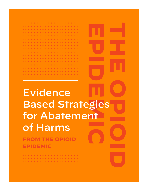#### . . . . . . . . . . . . . . . . . . . . . . . . . . . . . . . . . . . . . . . . . . . . . . . . . . . . . . . . . . . . . . . . . . . . . . . . . . . . . . . . . . . . . . . . . . . . . . . . . . . . . . . . . . . . . . . . . . . . . . . . . . . . . . . . . . . . . . . . . . . . . . . . . . . . . . . . . . . . . . . . . . . . . . . . . . . . . . . . . . . . . . . . . . . . . . . . . . . . . . . . . . . . . . . . . . . . . . . . . . . . . . . . . . . . . . . . . . . . . . . . . . . . . . . . . . . . . . . . . . . . . . . . . . . . . . . . . . . . . . . . . . . . . . . . . . . . . . . . . . . . . .

# **FROM THE OPIOID**  Evidence Based Strategies for Abatement of Harms

**EPIDEMIC**

. . . . . . . . . . . . . . . . . . . . . . . . . . . . . . . . . . . . . .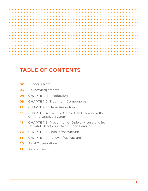## **TABLE OF CONTENTS**

| 02 | Funder's Note |  |
|----|---------------|--|
|----|---------------|--|

- Acknowledgements
- CHAPTER 1: Introduction
- CHAPTER 2: Treatment Components
- CHAPTER 3: Harm Reduction
- CHAPTER 4: Care for Opioid Use Disorder in the Criminal Justice System
- CHAPTER 5: Prevention of Opioid Misuse and its Harmful Effects on Children and Families
- CHAPTER 6: Data Infrastructure
- CHAPTER 7: Policy Infrastructure
- Final Observations
- References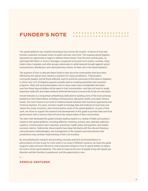### **FUNDER'S NOTE**

The opioid epidemic has created tremendous loss across the country—in terms of lives lost, families impacted, increased strain on public services, and more. The ongoing opioid litigation represents an opportunity to begin to address those losses. Over the next several years, an estimated \$50 billion or more in damages is expected to be paid out to states, counties, cities, Indian tribes, hospitals, and other groups nationwide, to settle lawsuits brought against opioid manufacturers, distributors, and retail pharmacy chains, for their role in the opioid epidemic.

The question of how to allocate these funds to best serve the communities that have been affected by the opioid crisis remains a question for many jurisdictions. Policymakers, community leaders, and all those affected, want to avoid the outcomes of the tobacco litigation, in which only 2.6% of litigation payouts actually went to smoking prevention and cessation programs. State and local policymakers will, in many cases, have considerable discretion over how these lawsuit dollars will be spent in their communities—and they will need to weigh important trade-offs and make evidence-informed decisions to ensure the funds are well-spent.

Arnold Ventures is a nonpartisan philanthropy dedicated to tackling some of the most pressing problems in the United States, including criminal justice, education, health, and public finance issues. Our core mission is to invest in evidence-based solutions that maximize opportunity and minimize injustice. For years, we have sought to leverage data and evidence to save lives and reduce the social, economic, and criminal justice costs of the opioid epidemic. As part of that work, we chose to support the research and development of this guide to provide state and local governments with a resource that will serve the unique needs of their communities.

The team that developed this guide includes leading experts in a variety of fields and systems related to the opioid epidemic, including addiction medicine, primary care, specialty addiction systems, criminal justice, harm reduction, prevention, health policy and payment, and related outcome metrics. Collectively, these experts have deep familiarity with the relevant literature, cost-estimation methodologies, and management of the systems and interventions that jurisdictions may consider implementing in their communities.

By consolidating the research and providing concrete, practical recommendations to policymakers on how to pay for what works in an array of different systems, we hope this guide supports state and local officials in critical decisions ahead on how to spend dollars to reduce the harms of the opioid epidemic. The need to improve the lives of people living with opioid use disorder and their families is paramount, and the opportunity is now.

#### **ARNOLD VENTURES**

**\_**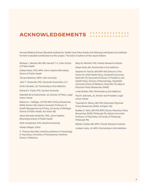### **ACKNOWLEDGEMENTS**

Harvard Medical School, Blavatnik Institute for Health Care Policy thanks the following individuals and institutes for their invaluable contributions to this project. The team of authors of this report follows:

Michael L. Barnett, MD, MS, *Harvard T. H. Chan School of Public Health*

Colleen Barry, PhD, MPP, *Johns Hopkins Bloomberg School of Public Health*

Tamara Beetham, MPH, *Yale University*

John T. Carnevale, PhD, *Carnevale Associates, LL*C

Emily Feinstein, JD, *Partnership to End Addiction*

Richard G. Frank, PhD, *Harvard University*

Gabrielle de la Gueronniere, JD, *Director of Policy, Legal Action Center*

Rebecca L. Haffajee, JD PhD MPH *(Policy Researcher, RAND, Boston MA; Adjunct Assistant Professor of Health Management and Policy, University of Michigan School of Public Health, Ann Arbor MI)*

Alene Kennedy-Hendricks, PhD, *Johns Hopkins Bloomberg School of Public Health*

Keith Humphreys, PhD, *Stanford University*

Geralyn Magan, *Editor*

A. Thomas McLellan, e*meritus professor of Psychology in Psychiatry, University of Pennsylvania, Perelman School of Medicine*

Mary M. Mitchell, PhD, *Friends Research Institute*

Robyn Oster, BA, *Partnership to End Addiction*

Stephen W. Patrick, MD MPH MS *(Director of the Center for Child Health Policy, Vanderbilt University, Nashville TN; Associate Professor of Pediatrics and Health Policy, Division of Neonatology, Vanderbilt University School of Medicine, Nashville TN; Adjunct Physician Policy Researcher, RAND)*

Linda Richter, PhD, *Partnership to End Addiction*

Paul N. Samuels, JD, *Director and President, Legal Action Center*

Tisamarie B. Sherry, MD PhD *(Associate Physician Policy Researcher, RAND, Arlington VA)*

Bradley D. Stein, MD PhD MPH *(Senior Physician Policy Researcher, RAND, Pittsburgh PA; Adjunct Associate Professor of Psychiatry, University of Pittsburgh, Pittsburgh PA)*

Mishka Terplan MD MPH, *Friends Research Institute*

Lindsey Vuolo, JD, MPH, *Partnership to End Addiction*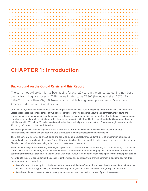

### **CHAPTER 1: Introduction**

#### **Background on the Opioid Crisis and this Report**

The current opioid epidemic has been raging for over 20 years in the United States. The number of deaths from drug overdoses in 2018 was estimated to be 67,367 (Hedegaard et al., 2020). From 1999-2018, more than 232,000 Americans died while taking prescription opioids. Many more Americans died while taking illicit opioids.

Until the 1990s, opioid-related overdoses resulted largely from use of illicit heroin. Beginning in the 1990s, however, the United States experienced the consequences of two dangerous trends: growing concerns about the under-treatment of acute and chronic pain in American medicine, and massive promotion of prescription opioids for the treatment of that pain. This confluence contributed to rapid growth in opioid use within the general population, illustrated by the more than 250 million prescriptions for opioids issued in 2011 alone. This alarming figure implies that medical professionals in the U.S. wrote enough prescriptions in 2011 to give 72 opioid pills to each American.

The growing supply of opioids, beginning in the 1990s, can be attributed directly to the activities of prescription drug manufacturers, physicians and dentists, and drug distributors, including wholesalers and pharmacies.

There are currently 42 states and 1,600 cities and counties suing manufacturers and distributors of prescription opioids and demanding billions of dollars in damages. Some of those claims have been consolidated into a legal case currently being heard in Cleveland, OH. Other claims are being adjudicated in courts around the country.

Some industry analysts are projecting a damages payout of \$50 billion or more to settle existing claims. In addition, a bankruptcy court in New York is considering how to distribute funds from the Purdue Pharma bankruptcy to aid in abatement of the harms stemming from Purdue's products. As the maker of OxyContin, Purdue is perhaps the most visible purveyor of prescription opioids.

According to the order consolidating the cases brought by cities and counties, there are two common allegations against drug manufacturers and distributors:

- **•** Manufacturers of prescription opioid medications overstated the benefits and downplayed the risks associated with the use of their opioids, and aggressively marketed these drugs to physicians, either directly or through key opinion leaders.
- **•** Distributors failed to monitor, detect, investigate, refuse, and report suspicious orders of prescription opioids.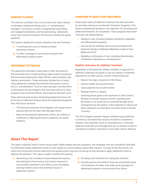#### DAMAGE CLASSES

The lawsuits currently in the courts involve two major classes of damages: backward-looking costs, or "compensatory damages," incurred as a result of inappropriate prescribing and negligent distribution; and forward-looking, "abatement costs" that must be incurred in the future to remedy the opioid epidemic.

This report's abatement analysis, therefore, has two functions:

- **1.** To estimate the costs of evidence-based abatement actions.
- **2.** To offer a strategy for how funds recovered from defendants would be spent.

#### ABATEMENT ESTIMATES

The abatement estimates made public to date are based on the estimated cost of implementing a large variety of programs that have been proposed by state officials, policy analysts, and federal commissions. These estimates include lists of nearly every abatement strategy that has been discussed or tried in the U.S. and elsewhere. Thus far, there has been a limited effort to distinguish among programs that have been shown to work, programs with uncertain effects, and programs that don't work.

State and local governments distributing abatement funds will be forced to make hard choices about the abatement programs they will pursue, because:

- **•** The financial outcomes of the litigation will surely result in payouts that are far lower than damage claims.
- **•** Many of the proposed abatement actions are unlikely to contribute to reducing the harms created by the opioid epidemic.

#### OVERVIEW OF ADDICTION TREATMENT

Historically, nearly all addiction treatment has been provided by specialty substance use disorder treatment "programs" that feature standardized durations, and regimens of counseling and behavioral therapies, for all patients. These programs have been variously sub-categorized by:

- **•** Setting of care, including hospital, residential, outpatient, and office-based programs.
- **•** Level of service intensity, such as those included in the American Society of Addiction Medicine's Levels of Care (Mee-Lee, 2013).
- **•** Modality or philosophy of care, including detoxification, methadone maintenance, and abstinence.

#### *Realistic Outcomes for Addiction Treatment*

Regardless of the particular setting, modality, or approach to addiction treatment, the goals of care are similar to treatment approaches for other serious, chronic medical illnesses:

- **•** Reduce the major symptoms of the illness.
- **•** Improve health and social function.
- **•** Teach patients how to self-monitor.
- **•** Manage threats to relapse.
- **•** Achieving these goals in the treatment of other chronic illnesses is termed "disease control," signifying that the illness is not cured, but is controlled through active management by the patient. In the treatment of opioid and other substance use disorders, the same result is termed "recovery."

The 2016 Surgeon General's Report, entitled Facing Addiction in America, concluded that recovery should be considered a realistic, even expected, result of comprehensive, continuing addiction treatment and management, just as disease control is considered a realistic outcome for most other chronic illnesses.

#### **About This Report**

This report organizes what is known about public health-related services, programs, and strategies that are considered "best bets" for effectively putting abatement funds to work, based on current evidence about their impacts. The goal of this document is to inform the constrained choices state and local governments may soon be facing as they attempt to apply settlement funds to address the epidemic. This report sought to achieve this goal by:

- **1.** Generating a list of evidence-based abatement options, describing the infrastructure and context required to successfully implement such efforts, and assembling existing evidence about the potential impact of abatement options.
- **2.** Providing cost estimates for scaling the activities.
- **3.** Considering how the political, financial, and infrastructure circumstances of states may make some packages of abatement programs more practical than others.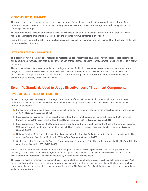#### ORGANIZATION OF THE REPORT

This report begins by reviewing the core elements of treatment for opioid use disorder. It then considers the delivery of those treatments in specific contexts, including the specialty treatment system, primary care settings, harm reduction programs, and criminal justice settings.

The report then turns to issues of prevention, followed by a discussion of the data and policy infrastructures that are likely to maximize the impacts of spending that is guided by the evidence reviews contained in this report.

Finally, the report looks at the policy infrastructure governing the supply of treatment and the likelihood that those treatments yield the best possible outcomes.

#### NOTES ON RESEARCH REPORTING

This document reviews the results of research on medications, behavioral therapies, and recovery support services designed to bring about stable recovery from opioid addiction. The aim of these discussions is to identify components shown to result in better outcomes.

The document does not emphasize modalities, settings, or levels of addiction care because research on such comparisons is meager and provides little direction for future investment. Most of interventions discussed in this report can be used across modalities and settings. In a few instances, the report focuses on the application of the components of treatment in various settings, such as primary care or criminal justice.

#### **Scientific Standards Used to Judge Effectiveness of Treatment Components**

#### FIVE SOURCES OF RESEARCH FINDINGS

Research findings cited in this report come largely from reviews of five major scientific documents published on addiction treatment in recent years. These studies are listed below, followed by the reference that will be used to refer to each study throughout this report:

- **1.** Medications for Opioid Use Disorder Save Lives, published by The National Academy of Sciences, Engineering, and Medicine in 2019. **(National Academies, 2019)**
- **2.** Facing Addiction in America: The Surgeon General's Report on Alcohol, Drugs, and Health, published by the Office of the Surgeon General, U.S. Department of Health and Human Services, in 2016. **(Surgeon General, 2016)**
- **3.** Facing Addiction in America: The Surgeon General's Spotlight on Opioids, published by the Office of the Surgeon General, U.S. Department of Health and Human Services, in 2018. This report focuses more specifically on opioids. **(Surgeon General, 2018)**
- **4.** National Practice Guideline for the Use of Medications in the Treatment of Addiction Involving Opioid Use, published by The American Society of Addiction Medicine in 2015. **[ASAM (Kampman & Jarvis, 2015)]**
- **5.** Guidelines for the Psychosocially Assisted Pharmacological Treatment of Opioid Dependence, published by The World Health Organization (WHO) in 2009. **(WHO, 2009)**

Each of these documents was chosen because it was compiled separately and independently by teams of experienced and politically impartial researchers. Moreover, each of these separate reports has already been extensively reviewed and broadly accepted for their comprehensiveness and accuracy by other addiction professionals.

These reports relied on findings from systematic searches of electronic databases of research articles published in English. Within those searches—and reflected here—priority was given to systematic literature reviews and to replicated findings from multiple controlled trials and/or large scale, real-world population studies. The Food and Drug Administration uses the same standards for evidence of effectiveness.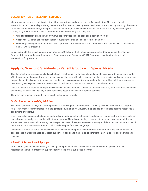#### CLASSIFICATION OF RESEARCH EVIDENCE

Many important issues in addiction treatment have not yet received rigorous scientific examination. This report includes information about potentially promising interventions that have not been rigorously evaluated. In summarizing the body of research for each treatment component, this report classifies the strength of evidence for specific interventions using the same system employed by the Centers for Disease Control and Prevention (Puddy & Wilkins, 2011):

- **• Well supported:** Evidence derived from multiple controlled trials or large-scale population studies.
- **• Supported:** Evidence derived from rigorous, but fewer or smaller, trials or restricted samples.
- **• Promising:** Findings that do not derive from rigorously controlled studies but, nonetheless, make practical or clinical sense and are widely practiced.

One exception to this classification system appears in Chapter 5, which focuses on prevention. Chapter 5 uses the modified Grading of Recommendations, Assessment, Development, and Evaluations (GRADE) approach to rating the strength of interventions for prevention.

### **Applying Scientific Standards to Patient Groups with Special Needs**

This document prioritizes research findings that apply most broadly to the general population of individuals with opioid use disorder. With the exception of pregnant women and adolescents, the report offers less evidence on the many special-needs subgroups within the population of individuals with opioid use disorder, such as non-pregnant women, racial/ethnic minorities, individuals involved in the criminal justice system, veterans, persons with disabilities, and persons with an LGBTQ sexual orientation.

Issues associated with populations primarily served in specific contexts, such as the criminal justice system, are addressed in this document's review of how delivery of core services is best organized within specific contexts.

There are two reasons for prioritizing research findings most broadly:

#### *Similar Processes Underlying Addiction*

The genetic, neurochemical, and learned processes underlying the addiction process are largely similar across most subgroups. As a result, most research findings from the general population of individuals with opioid use disorder also apply to most special populations or subgroups.

Likewise, available research findings generally indicate that medications, therapies, and recovery supports shown to be effective in one subgroup generally are effective with other subgroups. These broad findings also apply to pregnant women and adolescents, whose needs are addressed separately in this report. However, the report also notes meaningful differences with respect to use of medications for opioid use disorder and behavioral therapies for these two groups.

In addition, it should be noted that individuals often vary in their response to standard treatment options, and that patients with special needs may require additional social supports, in addition to medication or behavioral interventions, to ensure treatment success.

#### *A Dearth of Research on Subgroups*

At this writing, available research only permits general population-level conclusions. Research on the specific effects of medications, therapies, or recovery supports for most important subgroups is limited.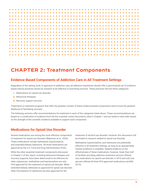### **CHAPTER 2: Treatment Components**

### **Evidence-Based Components of Addiction Care in All Treatment Settings**

Regardless of the setting, level, or approach to addiction care, all addiction treatments should offer a personalized set of evidencebased clinical practices shown by research to be effective in promoting recovery. These practices fall into three categories:

- **1.** Medications for opioid use disorder.
- **2.** Behavioral therapies.
- **3.** Recovery support services.

Treatments or treatment programs that offer the greatest number of these evidence-based components tend to have the greatest likelihood of facilitating recovery.

The following sections offer recommendations for treatment in each of the categories listed above. These recommendations are based on a combination of evidence from the five scientific review documents cited in Chapter 1 and are listed in rank order based on the strength of the scientific evidence available to support each component.

#### **Medications for Opioid Use Disorder**

Several medications are among the most effective components of treatment for opioid use disorder (Wakeman et al., 2020). These medications include methadone, buprenorphine, and extended-release naltrexone. All three medications are approved by the U.S. Food and Drug Administration (FDA).

While the other essential treatment components discussed in Chapter 2 of this report, including behavioral therapies and recovery supports, have been determined to be effective for other substances, methadone and buprenorphine are only FDA-approved for the treatment of opioid use disorder. While extended-release naltrexone is approved for opioid use disorder, other formulations of naltrexone are also approved for the

treatment of alcohol use disorder. However, this discussion will be limited to research related to opioid use disorder.

Methadone, buprenorphine, and naltrexone are potentially effective in all treatment settings, as long as an appropriately trained workforce is available. Despite evidence on the effectiveness of these medications, however, fewer than half of facilities providing addiction treatment services offered any medications for opioid use disorder in 2019 and only four percent offered all three FDA-approved medications (amfAR, 2019).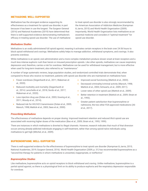#### METHADONE: WELL-SUPPORTED

Methadone has the strongest evidence supporting its effectiveness as a treatment for opioid use disorder, in part because it has been in use the longest. The Surgeon General (2016) and National Academies (2019) have determined that there is well-supported evidence demonstrating methadone's efficacy in treating opioid use disorder. The use of methadone to treat opioid use disorder is also strongly recommended by the American Association of Addiction Medicine (Kampman & Jarvis, 2015) and World Health Organization (2009). Importantly, World Health Organization lists methadone as an essential medicine and considers it "optimal treatment" for opioid use disorder.

#### *Methadone Studies*

Methadone is an orally administered full opioid agonist, meaning it activates certain receptors in the brain over 24-36 hours to block opioid withdrawal and cravings. Methadone safely helps to manage addiction, withdrawal symptoms, and cravings. It also prevents overdose.

While methadone is an opioid, oral administration and a more complex metabolism produce slower onset at brain receptors and a much less intense euphoric rush than heroin or misused prescription opioids. Like other opioids, methadone can cause respiratory depression and, therefore, carries a risk for overdose. Methadone can be used for withdrawal management, but is more effective when used for long-term treatment, also referred to as "maintenance."

A number of large systematic reviews, large population studies, and randomized controlled trials demonstrate that, when compared to those who receive no treatment, patients with opioid use disorder who are maintained on methadone have:

- **•** Fewer overdoses (Degenhardt et al., 2011; Wakeman et al., 2020).
- **•** Reduced morbidity and mortality (Degenhardt et al., 2014; Larochelle et al., 2018; Sordo et al., 2017; Wakeman et al., 2020).
- **•** Less injection drug use (Dolan et al., 2003; Gowing et al., 2011; Woody et al., 2014).
- **•** Reduced risk for HIV/HCV transmission (Dolan et al., 2005; Marsch, 1998; Mattick et al., 2003; Sees et al., 2000).
- **•** Improved social functioning (Mattick et al., 2003).
- **•** Decreased criminality/criminal activity (Marsch, 1998; Mattick et al., 2003; Schwartz, et al., 2009, 2011).
- **•** Lower rates of other opioid use (Mattick et al., 2009).
- **•** Better retention in treatment (Mattick et al., 2009; Strain et al., 1993).
- **•** Greater patient satisfaction than buprenorphine or naltrexone, the two other FDA-approved medications (Ali et al., 2017).

#### *Prescribing Methadone*

The effectiveness of methadone depends on proper dosing. Improved treatment retention and reduced illicit opioid use are associated with receiving higher doses of the medication (Bao et al., 2009; Strain et al., 1993, 1999).

There are instances in which methadone is diverted to illegal channels. However, research indicates that much of that diversion occurs among already-addicted individuals engaging in self-treatment, rather than among opioid-naïve individuals using methadone to get high (Mitchel, et al., 2009).

#### BUPRENORPHINE: WELL-SUPPORTED

There is well-supported evidence for the effectiveness of buprenorphine to treat opioid use disorder (Kampman & Jarvis, 2015; National Academies, 2019; Surgeon General, 2016). World Health Organization (2009, p. 31) has recommended buprenorphine as a "second-line therapy for patients in whom methadone is unwanted, inappropriate, or ineffective."

#### *Buprenorphine Studies*

Like methadone, buprenorphine acts on opioid receptors to block withdrawal and craving. Unlike methadone, buprenorphine is a partial opioid agonist, so there is a physiological limit on its ability to produce euphoria and the respiratory depression responsible for overdose.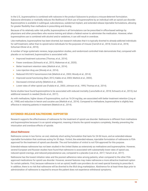In the U.S., buprenorphine is combined with naloxone in the product Suboxone to produce a misuse-deterrent formulation. Suboxone eliminates or markedly reduces the likelihood of illicit use of buprenorphine by an individual with an opioid use disorder. Buprenorphine is available in sublingual, subcutaneous, subdermal implant, and extended-release injectable formulations, allowing for greater flexibility than methadone in prescribing and dosing.

Because of its relatively safer risk profile, buprenorphine in all formulations can be prescribed in office-based settings by physicians and other prescribers who receive training and obtain a federal waiver to administer the medication. However, when buprenorphine use is combined with alcohol and/or sedatives, it can still result in overdose.

Like methadone, buprenorphine has been diverted, but research indicates that it is typically diverted to already-addicted individuals for self-treatment, rather than to opioid-naïve individuals for the purposes of misuse (Carroll et al., 2018; Cicero et al., 2018; Schuman-Olivier et al., 2010).

A number of large systematic reviews, large population studies, and randomized controlled trials demonstrate that, compared with placebo or no treatment, buprenorphine is associated with:

- **•** Improved treatment outcomes (Thomas, et al., 2014).
- **•** Fewer overdoses (Schwartz et al., 2013; Wakeman et al., 2020).
- **•** Better treatment retention rates (Mattick et al., 2014).
- **•** Less injection drug use (Woody et al., 2014).
- **•** Reduced HIV/HCV transmission/risk (Mattick et al., 2003; Woody et al., 2014).
- **•** Improved social functioning (Bart, 2012; Kakko et al, 2003; Mattick et al., 2003).
- **•** Decreased criminal activity (Mattick et al., 2003).
- **•** Lower rates of other opioid use (Fudala et al., 2003; Johnson et al., 1995; Thomas et al., 2014).

Some studies have found buprenorphine to be associated with reduced mortality (Larochelle et al., 2018; Schwartz et al., 2013), but additional research is needed (Sordo et al., 2017).

As with methadone, higher doses of buprenorphine, such as 16-24 mg/day, are associated with better treatment retention (Ling et al., 1998) and reduction in heroin and cocaine use (Mattick et al., 2014). Compared to methadone, buprenorphine is slightly less effective in retaining patients in treatment (Mattick et al., 2014).

#### EXTENDED-RELEASE NALTREXONE: SUPPORTED

Research supports the effectiveness of naltrexone for the treatment of opioid use disorder. Naltrexone is different from methadone and buprenorphine because it is an opioid antagonist, meaning it blocks the opioid receptors completely, thereby preventing the intoxication and overdose effects of opioids.

#### *About Naltrexone*

Naltrexone comes in two forms: an oral, relatively short-acting formulation that lasts for 24-36 hours, and an extended-release injectable formulation that continues acting for 30 days. Vivitrol, the extended-release, injectable formulation of naltrexone is FDAapproved for the treatment of opioid use disorder. The oral formulation of vivitrol is not FDA-approved for this purpose.

Extended-release naltrexone has not been studied in the United States as extensively as methadone and buprenorphine. However, several European and Russian studies have found that naltrexone is associated with substantially lower rates of opioid use, reduced opioid cravings, and reduced polysubstance use, compared to a placebo (Lee et al., 2017; Tanum et al., 2017).

Naltrexone has the lowest initiation rates and the poorest adherence rates among patients, when compared to the other FDAapproved medications for opioid use disorder. However, several features may make naltrexone a more attractive treatment option for certain patients. First, because naltrexone is not an opioid, health care providers do not need special licensing to prescribe it. In addition, there is no risk that naltrexone will be diverted to the illicit drug marketplace. Abstinence for at least three days prior to administration of naltrexone is required to ensure the patient does not experience withdrawal symptoms.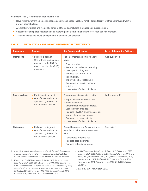Naltrexone is only recommended for patients who:

- **•** Have withdrawn from opioids in prison, an abstinence-based inpatient rehabilitation facility, or other setting, and want to protect against relapse.
- **•** Are highly motivated and would like to taper off opioids, including methadone or buprenorphine.
- **•** Successfully completed methadone and buprenorphine treatment and want protection against overdose.
- **•** Are adolescents and young adult patients with opioid use disorder.

#### TABLE 2.1: MEDICATIONS FOR OPIOID USE DISORDER TREATMENT<sup>1</sup>

| <b>Component</b>     | <b>Summary</b>                                                                                                             | <b>Key Supporting Evidence</b>                                                                                                                                                                                                                                                                                                                                        | <b>Level of Supporting Evidence</b> |
|----------------------|----------------------------------------------------------------------------------------------------------------------------|-----------------------------------------------------------------------------------------------------------------------------------------------------------------------------------------------------------------------------------------------------------------------------------------------------------------------------------------------------------------------|-------------------------------------|
| <b>Methadone</b>     | • Full opioid agonist.<br>• One of three medications<br>approved by the FDA for<br>opioid use disorder (OUD)<br>treatment. | Patients maintained on methadone<br>have:<br>• Fewer overdoses.<br>Reduced morbidity and mortality.<br>٠<br>Less injection drug use.<br>٠<br>Reduced risk for HIV/HCV<br>transmission.<br>• Improved social functioning.<br>• Decreased criminality/criminal<br>activity.<br>• Lower rates of other opioid use.                                                       | Well-supported <sup>2</sup>         |
| <b>Buprenorphine</b> | • Partial opioid agonist.<br>• One of three medications<br>approved by the FDA for<br>the treatment of OUD                 | Buprenorphine is associated with:<br>• Improved treatment outcomes.<br>Fewer overdoses.<br>Better treatment retention rates.<br>$\bullet$<br>Less injection drug use.<br>$\bullet$<br>Reduced HIV/HCV transmission/risk.<br>$\bullet$<br>Improved social functioning.<br>$\bullet$<br>Decreased criminal activity.<br>$\bullet$<br>• Lower rates of other opioid use. | Well-supported <sup>3</sup>         |
| <b>Naltrexone</b>    | • Full opioid antagonist.<br>One of three medications<br>$\bullet$<br>approved by the FDA for<br>the treatment of OUD.     | Several European and Russian studies<br>have found naltrexone is associated<br>with:<br>• Lower rates of opioid use.<br>Reduced opioid cravings.<br>٠<br>Reduced polysubstance use.                                                                                                                                                                                   | Supported <sup>4</sup>              |

- *1. Note: While all relevant references are listed, the level of supporting evidence indicated in the chart for each component reflects the authors' determination based on the balance of the cited evidence.*
- *2. Ali et al., 2017; ASAM (Kampman & Jarvis, 2015; Bao et al., 2009; Degenhardt et al., 2011, 2014; Dolan et al., 2003, 2005; Gowing et al., 2011; Larochelle et al., 2018; Mattick et al., 2003, 2009; Marsch, 1998; Mitchell et al., 2009; National Academies, 2019; Sees et al., 2000; Sordo et al., 2017; Strain et al., 1993, 1999; Surgeon General, 2016; Wakeman et al., 2020; WHO, 2009; Woody et al., 2014.*
- *3. ASAM (Kampman & Jarvis, 2015); Bart, 2012; Fudala et al., 2003; Johnson et al., 1995; Kakko et al, 2003; Larochelle et al., 2018; Ling et al., 1998; Mattick et al., 2003, 2014; National Academies, 2019; Schwartz et al., 2013; Sordo et al., 2017; Surgeon General, 2016; Thomas et al., 2014; Wakeman et al., 2020; WHO, 2009; Woody et al., 2014.*
- *4. Lee et al., 2017; Tanum et al., 2017.*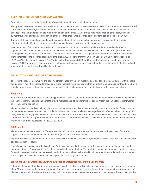#### TREATMENT DURATION WITH MEDICATIONS

Continuity of care is essential for patients who wish to maintain treatment with medications.

The optimal duration of the treatment medications described here has not been—and is not likely to be—determined by randomized controlled trials. However, many observational studies conducted within and outside the United States over the past several decades found that patients who are maintained on any of the three FDA-approved medications for longer periods, such as six to 12 months, have significantly better clinical outcomes than those who discontinue medications earlier (Sees et al., 2000).

Tapering off these medications should not be considered until there is stable abstinence and improved health and social adjustment, which offer the best preparation for sustained recovery without medication assistance.

Even in the best of circumstances, medication tapering must be carried out with careful consideration and under medical supervision, given the high risk for relapse and overdose. Many field studies have shown elevated risks of relapse and overdose among previously maintained patients who discontinued their medication. The highest rates of overdose occurred in the weeks immediately following discontinuation (Williams et al., 2020). Reports from the Surgeon General (2016), National Academies (2019), ASAM (Kampman & Jarvis, 2015), World Health Organization (2009) and the U.S. Department of Health and Human Services (2019) recommend that only trained health care professionals should decide, together with the patient, whether and under what conditions medication should be discontinued.

#### MEDICATIONS AND SPECIAL POPULATIONS

There is little research examining the specific effectiveness or value of most medications for opioid use disorder within special populations. Thus, this report addresses only those research findings showing that a specific medication is contraindicated for a specific subgroup, or that special considerations are required when providing a medication for individuals in a subgroup.

#### *Pregnancy*

Naltrexone is not recommended for use during pregnancy (SAMHSA, 2018), but methadone and buprenorphine are safe medications to use in pregnancy. The risks and benefits of both methadone and buprenorphine are approximately the same for pregnant women as for the general population.

Methadone is associated with slightly higher treatment adherence and risk of overdose during medication initiation. Babies born to mothers on medication for opioid use disorder have lower rates of neonatal abstinence syndrome (NAS) than babies born to opioidusing mothers not engaged in medication treatment. NAS risk is similar with both methadone and buprenorphine, but its severity and duration are lower with buprenorphine than with methadone. There is no relationship between the maternal methadone dose and the likelihood of an infant developing NAS (SAMHSA, 2018).

#### *Adolescents*

Methadone and naltrexone are not FDA-approved for individuals younger than age 18. Nonetheless, limited data offer some support for the use of naltrexone with adolescents (National Academies, 2019).

Buprenorphine is safe and effective for treating adolescents with opioid use disorder, although treatment retention rates are lower for adolescents than for adults.

Federal guidelines require individuals under age 18 to have two failed attempts at short-term detoxification or abstinence-based treatment within a 12-month period before becoming eligible for methadone. The guidelines also require parental/guardian consent for administration of methadone. As a result, methadone has not been well studied in adolescents. However, limited data also offer some support for the use of methadone in this population (Camenga et al, 2019).

#### *Treatment Cost Estimates for Expanding Access to Medications for Opioid Use Disorder*

Estimating the costs of medications involves determining the cost of an individual's medications over a year's time period for each of the FDA-approved medications, in addition to that individual's treatment costs. Settlement fund managers for a state or local unit of government would then determine how many individuals it expects to serve over the year, and then multiply the cost per individual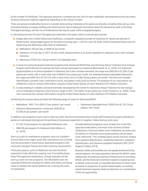by the number of individuals. This approach assumes a constant per-unit cost for each medication and treatment across the nation. However, discounts might be negotiated, depending on the volume of sales.

There are several complicating factors to consider when pricing medications for opioid use disorder, including initial set-up costs (including training, increased staffing and infrastructure), lack of adequate information about the demand for each of the three FDA-approved drugs, and the mix of medications that may be used, within a targeted program.

In calculating the price for each FDA-approved medication, this report relies on several data sources:

- **4.** Budget data from CODAC Behavioral Healthcare, a nonprofit outpatient provider of treatment for opioid use disorder in Rhode Island. Using budget figures for the period covering Sept. 1, 2019 to June 30, 2020, CODAC estimated these costs for dispensing and delivering a daily dose of medication:
	- **a.** Methadone: \$20 per day, or \$608.33 per month.
	- **b.** Suboxone: \$19 per day, or \$577.92 per month. Buprenorphine is an active ingredient in suboxone, but it also includes naloxone.
	- **c.** Naltrexone: \$700 to \$1,100 per month in its injectable form.
- **2.** A study of community-based treatment programs that introduced MOUD that used the Drug Abuse Treatment Cost Analysis Program (DATCAP.com) to estimate the total cost per participant for treatment (McCollister, et. al., 2018). For Suboxone (buprenorphine is an active ingredient in Suboxone, but it also includes naloxone), the range was \$503.82 to \$1,296.22 per patient per month, with a mean total cost of \$828.97 per patient per month. For extended-release (injectable) Naltrexone, the range was \$595.35 to \$1,791.24, with a mean total cost of \$1,082.38 per patient, per month. The total cost includes detoxification, provider costs, medications costs, and patient costs (such as travel). For purposes of our calculations, we inflated the costs to January 2020 dollars using the United States Bureau of Labor Statistics CPI Inflation Calculator.
- **3.** A study seeking to validate cost-band estimates developed by the Center for Substance Abuse Treatment for the average cost of methadone treatment, which found a range of \$491.79 to \$633.10 per patient per month (French et. al., 2008). Costs were converted into January 2020 dollars using the United States Bureau of Labor Statistics CPI Inflation Calculator.

Combining the sources above provides the following range of costs for delivering MOUD:

- **•** Methadone: \$491.79 to \$633.10 per patient / per month
- **•** Suboxone (Buprenorphine + naloxone): \$503.82 to \$1,296.22 per patient / per month
- **•** Naltrexone (injectable form): \$595.35 to \$1,791.24 per patient / per month

In addition, new programs must invest in start-up costs: one-time investments that include staff training (time spent attending inperson or web-based training) and the purchase of necessary equipment or supplies. Mean start-up costs were:

- **•** \$1,182.19 per program for injectable Naltrexone, and
- **•** \$860.98 per program for Suboxone (McCollister, et. al., 2018).

Start up costs for methadone programs were not available – but are likely much higher given that methadone can currently only be prescribed in stand-alone, dedicated programs that must past stringent federal and state licensing requirements.

Third party payors, such as Medicaid, can and should be expected to help offset the ongoing cost of providing these three FDA-approved medications, though typically not the start up costs for new programs. The Affordable Care Act expanded Medicaid coverage for adults, and states are taking steps to address the opioid epidemic by covering the costs of medication.

All state Medicaid programs cover at least two of the FDAapproved medications, and most cover all three of these medications. Forty-one states cover methadone; all states and the District of Columbia cover buprenorphine; and all states cover naltrexone. This coverage spans across services ranging from inpatient detoxification, residential treatment, outpatient detoxification, and intensive outpatient treatment (KFF, 2019; Orgera & Tolbert, 2019).

Because states and localities are not equally burdened by the opioid epidemic, the local population demand for MOUD varies. Additionally, the existing treatment infrastructure for providing MOUD, and the financial investment needed to expand access to MOUD, varies as well. An equitable allocation of funds could be based on proportion of opioid related deaths, on existing opioid treatment capacity relative to demand, or a combination of the two approaches.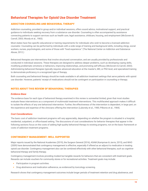### **Behavioral Therapies for Opioid Use Disorder Treatment**

#### ADDICTION COUNSELING AND BEHAVIORAL THERAPY

Addiction counseling, provided in group and/or individual sessions, offers sound advice, motivational support, and practical guidance to individuals seeking recovery from a substance use disorder. Counseling is often accompanied by assistance connecting patients to support services such as health care, legal assistance, childcare, housing, and employment (McGovern & Carroll, 2003; Woody et al., 1983).

Most states have few specific educational or training requirements for individuals who wish to become a licensed addiction counselor. Counseling can be performed by individuals with a wide range of training and background skills, including clergy, social workers, nurses, psychologists, and some of those with "lived experience." (The National Center on Addiction and Substance Abuse, 2012.)

Behavioral therapies are interventions that involve structured conversation, and are usually provided by professionals and conducted in individual sessions. These therapies are designed to address deeper problems, such as developing coping skills, modifying problematic emotions or behaviors, improving relationships, and promoting self-efficacy (McGovern & Carroll, 2003). Administering behavioral therapies typically requires advanced education at the master's, MD, or PhD level, and specialized training to demonstrate proficiency in a recognized type of therapy.

Both counseling and behavioral therapy should be made available in all addiction treatment settings that serve patients with opioid use disorder. However, patients' receipt of medications should not be contingent on participation in counseling or therapy.

#### NOTES ABOUT THIS REVIEW OF BEHAVIORAL THERAPIES

#### *Evidence Base*

The evidence base for each type of behavioral therapy examined in this review is somewhat limited, given that most studies evaluate these interventions as a component of multimodal treatment interventions. This multifaceted approach makes it difficult to isolate the effects of any one behavioral intervention. Further, the effectiveness of the intervention is dependent, in large part, on the experience and expertise of the clinicians offering the intervention (Luborsky et al., 1985; Pilkonis et al., 1984).

#### *Cost Considerations*

The basic cost of addiction treatment programs will vary appreciably, depending on whether the program is situated in a hospital, residential, outpatient, or office-based setting. The discussions of cost considerations for behavior therapies that appear in the following sections focus on the costs of adding high-quality behavioral therapy to existing programs, not on the basic framework or costs of addiction treatment programs.

#### CONTINGENCY MANAGEMENT: WELL SUPPORTED

Major reports issued by the National Academies (2019), the Surgeon General (2016), ASAM (Kampman & Jarvis, 2015), and WHO (2009) have demonstrated that contingency management is effective, especially if offered as an adjunct to medication in treating opioid use disorder. Contingency management also can be combined effectively with other behavioral therapies, such as cognitivebehavioral therapy and family therapy.

Contingency management involves providing modest but tangible rewards for behaviors that are consistent with treatment goals. Rewards can include vouchers for community stores or for recreational activities. Treatment goals may include:

- **•** Participation in program activities.
- **•** Drug abstinence and medication adherence, as evidenced by toxicology screening.

Research shows that contingency management outcomes include longer periods of treatment retention and drug abstinence, and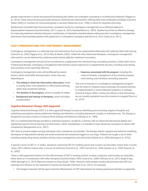greater improvement in social and personal functioning than either non-contingent counseling or no behavioral treatment (Higgins et al., 2013). These outcomes are particularly strong for reinforcement interventions offering take-home medication privileges (Carroll & Onken, 2005), or vouchers for community goods or services (Silverman, et al., 1996), in return for drug-free urine tests.

Randomized controlled trials have found less consistent results for contingency management as an effective adjunct to buprenorphine treatment (Carroll & Weiss, 2017; Ling et al., 2013; Schottenfeld et al., 2005). Studies found that an effective strategy for improving treatment retention featured a combination of injectable extended-release naltrexone and a contingency management intervention that rewarded patients with placement in a therapeutic workplace (DeFulio et al., 2012; Everly et al., 2011).

#### COST CONSIDERATIONS FOR CONTINGENCY MANAGEMENT

Contingency management is a relatively low-cost intervention that can be implemented effectively with relatively little staff training (Carroll et al., 2002; Higgins et al., 2013; Petry & Martin, 2002). Unlike the other behavioral therapies, contingency management interventions can be delivered by relatively easily trained addiction treatment counselors.

Contingency management should not be considered as a replacement for individual drug counseling sessions. Unlike other forms of behavioral therapy, contingency management interventions require adjunctive or supplemental services, including urine testing and vouchers, to be maximally effective.

Contingency management costs will be affected by several factors, which could differ among locales. Costs may vary, depending on:

- **• The setting in which the intervention takes place,** which is usually lower cost outpatient or office-based settings, rather than residential settings.
- **• The duration of the program,** which is usually 24 weeks.
- **• Background and training of therapists,** which will affect compensation.

#### **• Expenses associated with the program,** including the costs of rewards, management of the rewards program, urine testing, and individual counseling sessions.

The cost of rewards in a contingency management program and the need for frequent drug screenings can present barriers to implementation in some treatment programs or settings (Carroll & Onken, 2005). Further, the effects of the intervention are not usually sustained once the incentive is stopped (Dunn et al., 2015).

#### *Cognitive Behavioral Therapy: Well-Supported*

Cognitive behavioral therapy (CBT) is a well-supported therapy focused on identifying and correcting negative thoughts and underlying assumptions about problematic feelings and behaviors, including depression, anxiety, or substance use. The therapy is designed to provide a means to improve those feelings and behaviors (Woody et al., 1983).

CBT is a sophisticated therapy provided in individual sessions, usually by a clinician with an advanced educational degree and substantial special clinical training (Carroll & Onken, 2005). Nonetheless, it is feasible to train advanced counselors to deliver CBT competently (Morgenstern et al., 2001).

CBT aims to prevent relapse among individuals with a substance use disorder. The therapy utilizes cognitive and behavior-modifying techniques to help patients identify and avoid emotional and situational triggers to use drugs. Patients are taught a set of skills, including coping, drug-refusal, problem-solving, stress management, and self-control (Kleber et al., 2006; McHugh et al., 2010).

A typical course of CBT is 12 weeks. Research examining CBT for treating opioid and cocaine use disorders shows that, in some cases, CBT's effects endure after a course of treatment (Carroll et al., 1994; Carroll et al., 2000; Epstein et al., 2003; Rawson et al., 2002).

There is well-supported evidence for the effectiveness of CBT in treating alcohol, cocaine, marijuana, and nicotine use disorders, either alone or in combination with other therapies (Carroll & Onken, 2005, Dutra et al., 2008; Hofmann et al., 2012; Magill & Ray, 2009; McHugh et al., 2010; National Institute on Drug Abuse, 1998). However, meta-analytic studies demonstrate that CBT has relatively less efficacy for the treatment of opioid use disorder (Hofmann et al., 2012). For example:

**•** The Surgeon General's (2016) report rated the effectiveness of CBT interventions for treating opioid use disorder as supported.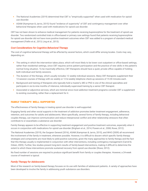- **•** The National Academies (2019) determined that CBT is "empirically supported" when used with medication for opioid use disorder.
- **•** ASAM (Kampman & Jarvis, 2015) found "evidence of superiority" of CBT and contingency management over other behavioral therapies when used with medications for opioid use disorder.

CBT has not been shown to enhance medical management for patients receiving buprenorphine for the treatment of opioid use disorder. Two randomized controlled trials in office-based or primary care settings found that patients receiving buprenorphine for opioid use disorder did not have more positive treatment outcomes when CBT was added to a program of standard medical management (Fiellin et al., 2013; Ling et al., 2013).

#### *Cost Considerations for Cognitive Behavioral Therapy*

The cost of cognitive behavioral therapy will be affected by several factors, which could differ among locales. Costs may vary, depending on:

- **•** The setting in which the intervention takes place, which will most likely to be lower cost outpatient or office-based settings, rather than residential settings, since CBT requires active patient participation and the practice of new skills in the patient's normal living situation. To be maximally effective, CBT therapists should have a quiet, private office capable of holding both individual and family sessions.
- **•** The duration of the therapy, which usually includes 12 weekly individual sessions. Many CBT therapists supplement their 12-session courses of therapy with six weekly or 12 bi-weekly telephone check-up sessions of 15-30 minutes each.
- **•** Background and training of therapists who typically hold a master's, MD or PhD in one of the clinical specialties and participate in six-to-nine months of intensive, individually supervised training by a senior CBT therapist.
- **•** Associated or adjunctive services, which are minimal since most addiction treatment programs consider CBT a supplement to existing counseling, rather than a replacement for it.

#### FAMILY THERAPY: WELL-SUPPORTED

The effectiveness of family therapy in treating opioid use disorder is well-supported.

Engaging family and other social supports in the treatment of addiction promotes better treatment engagement, adherence, retention, and outcomes for adults and adolescents. More specifically, several forms of family therapy, including behavioral couples therapy, can improve communication and reduce interpersonal conflict and other relationship stressors that often contribute to or exacerbate a substance use disorder.

Family therapy appears to be effective in supporting treatment engagement and positive treatment outcomes, especially when it occurs in conjunction with medications for opioid use disorder (Brigham et al., 2014; Powers et al., 2008; Rowe, 2012).

The National Academies (2019), the Surgeon General (2016), ASAM (Kampman & Jarvis, 2015), and WHO (2009) all recommend the involvement of the family in treatment, whenever possible. However, it is difficult to discern which specific family therapy strategies and components are most likely to yield positive outcomes, given the many approaches to family therapy and the fact that this therapy usually is implemented in conjunction with other interventions, including contingency management (Carroll & Onken, 2005). Further, few studies present long-term results of family-based interventions, making it difficult to determine the extent to which these interventions promote sustained recovery from opioid use disorder (Rowe, 2012).

No fixed number of sessions are required to produce significant benefit from family or couples therapies. However, a 24-week course of treatment is typical.

#### *Family Therapy for Adolescents*

Most of the research on family-based therapy focuses on its use with families of adolescent patients. A variety of approaches have been developed to involve the family in addressing youth substance use disorders.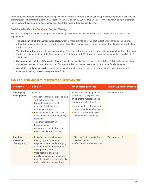Some of these approaches target youth with specific co-occurring disorders, such as conduct problems, oppositional behavior, or criminal-justice involvement (Diamond & Josephson, 2005; Liddle et al., 2008; Rowe, 2012). However, few studies have examined the efficacy of these treatment approaches specifically for youth with opioid use disorder.

#### *Cost Considerations for Family and Couples Therapy*

The cost of family and couples therapy will be affected by several factors, which could differ among locales. Costs may vary, depending on:

- **• The setting in which the therapy takes place,** which is more likely to be lower cost outpatient or office-based settings, rather than residential settings. Family therapists should have a quiet, private office capable of holding both individual and family sessions.
- **• The duration of the therapy**. Research shows that 24 weeks of family therapy produces clinically significant benefits. Most family therapists supplement the 24-session course of therapy with 12 bi-weekly telephone sessions that usually last 15- 30 minutes.
- **• Background and training of therapists** who are specially trained clinicians with a master's, MD or PhD in a clinical specialty and receive between six and nine months of intensive, individually supervised training by a senior family therapist.
- **• Associated or adjunctive services,** which are minimal when family and couples therapy are viewed as a supplement to existing counseling instead of a replacement for it.

| <b>Component</b>                                              | <b>Summary</b>                                                                                                                                                                                                                                                                                                                                                    | <b>Key Supporting Evidence</b>                                                                                                                                                                                                                                | <b>Level of Supporting Evidence</b> |
|---------------------------------------------------------------|-------------------------------------------------------------------------------------------------------------------------------------------------------------------------------------------------------------------------------------------------------------------------------------------------------------------------------------------------------------------|---------------------------------------------------------------------------------------------------------------------------------------------------------------------------------------------------------------------------------------------------------------|-------------------------------------|
| <b>Contingency</b><br><b>Management</b>                       | Seeks to:<br>• Weaken reinforcement associated<br>with substance use.<br>Strengthen reinforcements<br>associated with healthier,<br>alternative actions.<br>• Provides rewards for behaviors<br>associated with treatment goals,<br>including:<br>• Treatment participation.<br>Drug abstinence.<br>• Adherence to medications for<br>opioid use disorder (MOUD). | Effective in treating opioid use<br>disorder (OUD), especially as<br>an adjunct to methadone and<br>buprenorphine treatment.<br>• Longer periods of treatment<br>retention and drug abstinence.<br>• More improvements in social<br>and personal functioning. | Well-supported <sup>2</sup>         |
| <b>Cognitive</b><br><b>Behavioral</b><br><b>Therapy (CBT)</b> | • Individual sessions focus on<br>identifying and correcting<br>negative thoughts and underlying<br>assumptions about problematic<br>feelings/behaviors.<br>• Uses cognitive and behavior-<br>modifying techniques to provide<br>patients with strategies to identify<br>and avoid triggers to use drugs.                                                         | Effective for treating OUD when<br>$\bullet$<br>used with MOUD.<br>• Effects endure after treatment                                                                                                                                                           | Well-supported <sup>3</sup>         |

#### TABLE 2.2: BEHAVIORAL THERAPIES FOR OUD TREATMENT<sup>1</sup>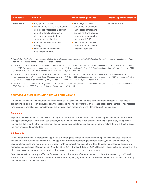| <b>Component</b>  | <b>Summary</b>                                                                                                                                                                                                                                                                                 | <b>Key Supporting Evidence</b>                                                                                                                                                                                                             | <b>Level of Supporting Evidence</b> |
|-------------------|------------------------------------------------------------------------------------------------------------------------------------------------------------------------------------------------------------------------------------------------------------------------------------------------|--------------------------------------------------------------------------------------------------------------------------------------------------------------------------------------------------------------------------------------------|-------------------------------------|
| <b>Naltrexone</b> | Engages the family.<br>• Works to improve communication<br>and reduce interpersonal conflict<br>and other family relationship<br>stressors that contribute to<br>substance use disorder.<br>• Includes behavioral couples<br>therapy.<br>• Often used with families of<br>adolescent patients. | Effective, especially in<br>٠<br>conjunction with MOUD,<br>in supporting treatment<br>engagement and positive<br>treatment outcomes for<br>patients with OUD.<br>• Involvement of family in<br>treatment recommended<br>whenever possible. | Well-supported <sup>4</sup>         |

- *1. Note that while all relevant references are listed, the level of supporting evidence indicated in the chart for each component reflects the authors' determination based on the balance of the cited evidence.*
- *2. ASAM (Kampman & Jarvis, 2015); Bickel et al., 2008; Carroll et al., 2001; Carroll & Onken, 2005; Carroll & Weiss, 2017; DeFulio et al., 2012; Dugosh et al., 2016; Everly et al., 2011; Higgins et al., 2013; Ling et al., 2013; National Academies, 2019; Prendergast et al., 2006; Schottenfeld et al., 2005; Silverman et al., 1996; Stanger & Budney, 2019; Surgeon General, 2016; WHO, 2009.*
- *3. ASAM (Kampman & Jarvis, 2015); Carroll et al., 1994, 2000; Carroll & Onken, 2005; Dutra et al., 2008; Epstein et al., 2003; Fiellin et al., 2013; Hofmann et al., 2012; Kleber et al., 2006; Ling et al., 2013; Magill & Ray, 2009; McHugh et al., 2010; Morgenstern et al., 2001; National Academies, 2019; National Institute on Drug Abuse, 1998; Rawson et al., 2002; Surgeon General, 2016; Woody et al., 1983.*
- *4. ASAM (Kampman & Jarvis, 2015); Brigham et al., 2014; Carroll & Onken, 2005; Diamond & Josephson, 2005; Liddle et al, 2008; National Academies, 2019; Powers et al., 2008; Rowe, 2012; Surgeon General, 2016; WHO, 2009.*

#### BEHAVIORAL THERAPIES AND SPECIAL POPULATIONS

Limited research has been conducted to determine the effectiveness or value of behavioral treatment components with special populations. Thus, this report discusses only those research findings showing that an evidence-based component is contraindicated for a subgroup, or that special considerations are required when implementing the intervention with a subgroup.

#### *Pregnancy*

In general, behavioral therapies show little efficacy in pregnancy. When interventions such as contingency management are used during pregnancy, they tend to show less efficacy, compared with their use in non-pregnant women (Terplan et al., 2015). These findings are due, in part, to the fact that many people reduce their substance use during pregnancy, making it more difficult to assess the intervention's additional effect.

#### *Adolescents*

Adolescent Community Reinforcement Approach is a contingency management intervention specifically designed for treating adolescents with substance use disorder. This approach promotes treatment goals through family, social, and educational/ vocational incentives and reinforcements. Efficacy for this approach has been shown for adolescent alcohol use disorders and marijuana use disorders (Davis et al., 2019; Godley et al., 2017; Stanger & Budney, 2019). However, rigorous studies focusing on the effectiveness of this approach in the treatment of adolescent opioid use disorder are lacking.

Cognitive behavioral therapy is effective for adolescents with a variety of substance-use disorders (Becker & Curry, 2008; Waldron & Kaminer, 2004; Waldron & Turner, 2008), but few methodologically rigorous studies are available on its effectiveness in treating adolescents with opioid use disorder.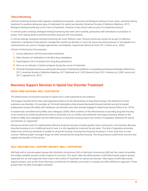#### *Clinical Monitoring*

Clinical monitoring involves both regularly scheduled and periodic, unannounced biological testing of urine, saliva, and blood during treatment for patients taking any type of medication for opioid use disorder (American Society of Addiction Medicine, 2017). Biological testing/monitoring is not a form of treatment. However, it has clinical value as part of a treatment protocol.

In criminal justice settings, biological testing/monitoring has been used routinely, particularly with individuals on probation or parole. Such testing detects and then punishes drug use with incarceration.

In clinical settings, biological testing/monitoring has much different uses. Clinical monitoring carried out as part of addiction treatment is designed to help patients manage their opioid use disorder in much the same way blood pressure or hemoglobin A1c measurements are used to manage hypertension and diabetes, respectively (Dennis & Scott, 2011; Dennis et al., 2003).

Clinical monitoring has five purposes:

- **1.** Assure adherence with the prescribed medication.
- **2.** Deter diversion of medications to the illicit drug marketplace.
- **3.** Guard against risk of overdose from drug-drug interactions.
- **4.** Serve as an indicator of patient progress during the course of treatment.
- **5.** Promote full patient disclosure and honest discussion of behavioral problems in counseling and behavioral therapy (Alford et al., 2011; American Society of Addiction Medicine, 2017; Barthwell et al., 2018; Dennis & Scott, 2011; Dennis et al., 2003; Jarvis et al., 2017; Lagisetty et al., 2017).

#### **Recovery Support Services in Opioid Use Disorder Treatment**

#### DRUG-FREE HOUSING: WELL SUPPORTED

The effectiveness of drug-free housing for Opioid Use is well-supported by the evidence.

The Surgeon General (2016) cites well-supported evidence for the effectiveness of drug-free housing in the treatment of most substance use disorders. For example, an 18-month descriptive study showed decreased drug and alcohol use and increased employment among 245 adults with substance use disorders who were actively engaged in sober-living homes (Polcin et al., 2010).

A randomized controlled trial by Milby and colleagues (2005) offers evidence of the effectiveness of providing drug-free housing as an incentive for achieving abstinence that is sustained over six months and verified by toxicology screening. Based on this evidence, Milby and colleagues rate the effectiveness of drug-free housing used in the context of outpatient treatment for opioid use disorder as "supported."

Numerous barriers exist for implementing effective drug-free housing, including quality, fraud, zoning laws, and licensing. Because drug-free housing is not a traditional level of care, it is not regulated as treatment by any state. This lack of regulation precludes states from enforcing standards of quality for drug-free housing. Ensuring that drug-free housing is, in fact, drug-free, is a key concern. Without proper oversight, drugs are often introduced into drug-free housing. This drug presence undermines recovery and negates the benefits of this service.

#### SELF-HELP/MUTUAL-SUPPORT GROUPS: WELL-SUPPORTED

Self-help and/or mutual-support groups like Alcoholics Anonymous (AA) or Narcotics Anonymous (NA) are free, easily accessible, and widely available sources of peer support for recovery. This report rates the effectiveness of self-help/mutual-support groups, especially AA, as well-supported when used in the context of treatment for opioid use disorder. Other types of self-help/mutualsupport groups, such as NA, Smart Recovery, and Women for Sobriety, are similar in concept, but often different in approach. These groups have not been thoroughly evaluated.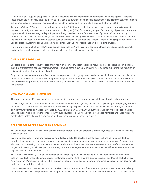AA and other peer-support groups are free and not regulated by any governmental or commercial insurance agency. Therefore, these groups are technically not a "paid service" that could be purchased using opioid settlement funds. Nonetheless, these groups are recommended by the ASAM (Kampman & Jarvis, 2015), based on a few large field studies (Kelly et al., 2020).

Tracy and Wallace (2016), cited in the National Academies (2019) report, state that the use of peer-support groups is promising, but needs more rigorous evaluation. Humphreys and colleagues (2004) found strong support for the ability of peer-support groups to promote abstinence among study participants, although the dropout rate for these types of groups—90 percent—is high. In a Cochrane review, Kelly and colleagues (2020) concluded there was enough evidence from randomized controlled trials to support the use of AA for positive long-term outcomes such as abstinence. In contrast, the Surgeon General's (2016) report stated that the use of Narcotics Anonymous has not been studied extensively. Still, the report calls NA a "promising practice."

It is important to note that self-help/mutual-support groups like AA and NA do not constitute treatment. States should not make participation in such groups a requirement for receiving medication for opioid use disorder.

#### CHILDCARE: PROMISING

Childcare is a promising recovery support that has high face validity because it could reduce barriers to sustained participation in outpatient treatment, especially among women. However, there is currently little empirical evidence supporting the inclusion of childcare in treatment of opioid use disorder.

Only one quasi-experimental study, featuring a non-equivalent control group, found evidence that childcare services, bundled with other social services, was an effective component of opioid use disorder treatment (Marsh et al., 2000). Based on this evidence, the study rates as "promising" the effectiveness of adjunctive childcare provided in the context of outpatient treatment for opioid use disorder.

#### CASE MANAGEMENT: PROMISING

This report rates the effectiveness of case management in the context of treatment for opioid use disorder to be promising.

Case management was recommended in the National Academies report (2019),but was not supported by accompanying evidence. Assertive Community Treatment, which offers the individual highly specialized and personal care every day of the year, at home or in community settings, was recommended by ASAM (Kampman & Jarvis, 2015), but there was poor evidence supporting its use. The supporting studies were conducted with subpopulations, including individuals who were homeless and those with severe mental illness, rather than with a broader population experiencing substance use disorder.

#### PEER SUPPORT/PEER PROVIDERS: PROMISING

The use of peer support services in the context of treatment for opioid use disorder is promising, based on the limited evidence available to date.

In a typical peer support program, recovering individuals are asked to develop a peer-to-peer relationship with patients. Peer providers help engage and motivate people with opioid use disorder to enter some form of continuing treatment. Peer providers also assist with resolving common barriers to continued care, such as providing transportation or an active referral to treatment programs. Increasingly, paid peer providers are playing a role in emergency department settings, detoxification programs, and as adjuncts to residential treatment programs.

The National Academies (2019) cites Chapman and colleagues (2018), who conclude there is no randomized controlled trial data on the effectiveness of peer providers. The Surgeon General (2016) cites the Substance Abuse and Mental Health Services Administration (Park-Lee et al., 2015), which states that peer providers can be important for maintaining recovery but does not cite evidence to support this conclusion.

Use of peer providers is widespread and has received many favorable reviews from treatment programs and healthcare delivery organizations. However, the practice of peer support is not well standardized, and no studies currently attest to its effectiveness.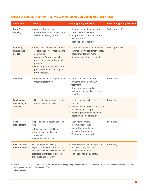#### TABLE 2.3: RECOVERY SUPPORT SERVICES IN OPIOID USE DISORDER (OUD) TREATMENT<sup>1</sup>

| <b>Component</b>                                             | <b>Summary</b>                                                                                                                                                                                                                                              | <b>Key Supporting Evidence</b>                                                                                                                                              | <b>Level of Supporting Evidence</b> |
|--------------------------------------------------------------|-------------------------------------------------------------------------------------------------------------------------------------------------------------------------------------------------------------------------------------------------------------|-----------------------------------------------------------------------------------------------------------------------------------------------------------------------------|-------------------------------------|
| <b>Drug-Free</b><br><b>Housing</b>                           | • Offers substance-free<br>environments and support from<br>fellow recovering residents.                                                                                                                                                                    | • Decreases substance use and<br>increases employment.<br>• Supports sustained abstinence<br>over six months.<br>• Reduces illegal activity.                                | Well-supported <sup>2</sup>         |
| Self-Help/<br><b>Mutual Support</b><br><b>Groups</b>         | • Free, widely accessible sources<br>of peer support for recovery and<br>abstinence.<br>• Alcoholics Anonymous is the<br>most researched and supported<br>program.<br>• Other programs may have similar<br>positive outcomes, but require<br>more research. | • Not a "paid service" that could be<br>purchased with settlement funds.<br>• Recommended, but more<br>rigorous evaluation is needed.                                       | Well-supported <sup>3</sup>         |
| <b>Childcare</b>                                             | • Enables patient engagement and<br>treatment retention.                                                                                                                                                                                                    | • Little evidence to support<br>including childcare in OUD<br>treatment.<br>• One study found bundling<br>childcare and social services is<br>effective.                    | Promising <sup>4</sup>              |
| <b>Employment</b><br><b>Counseling and</b><br><b>Support</b> | • Non-clinical wrap-around service<br>that supports recovery.                                                                                                                                                                                               | • Logical adjunct to treatment<br>services.<br>• Few studies address employment<br>counseling and support.<br>• Receiving treatment should not<br>depend on being employed. | Promising <sup>5</sup>              |
| Case<br><b>Management</b>                                    | Helps individuals access services<br>like:<br>Physical and mental health care.<br>• Substance use disorder<br>treatment.<br>• Other social services.                                                                                                        | • Case management<br>recommended, but not<br>supported by evidence.<br>• Assertive Community<br>Treatment recommended.                                                      | Promising <sup>6</sup>              |
| Peer Support/<br><b>Peer Providers</b>                       | Recovering peers develop<br>supportive relationships with<br>individuals who have substance use<br>disorders, to increase likelihood of<br>their sustained recovery                                                                                         | • Peer providers can be important<br>for maintaining recovery.<br>• Widespread practice.<br>• Not supported by evidence.                                                    | Promising <sup>7</sup>              |

*1. Note that while all relevant references are listed, the level of supporting evidence indicated in the chart for each component reflects the authors' determination, based on the balance of the cited evidence.*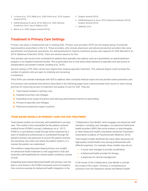- *2. Lo Sasso et al., 2012; Milby et al., 2005; Polcin et al., 2010; Surgeon General (2016).*
- *3. ASAM (Kampman & Jarvis, 2015); Kelly et al., 2020; National Academies, 2019; Tracy & Wallace, 2016.*
- *4. Marsh et al., 2000; Surgeon General (2016);.*
- *5. Surgeon General (2016).*
- *6. ASAM (Kampman & Jarvis, 2015); National Academies (2019); Surgeon General (2016).*
- *7. SAMHSA, 2015.*

### **Treatment in Primary Care Settings**

Primary care plays a fundamental role in treating OUD. Primary care providers (PCP) are the largest group of potential buprenorphine prescribers in the U.S. These providers, who include physicians and advanced practice providers like nurse practitioners and physician assistants, are well-positioned to improve treatment access and capacity for OUD (Barnett et al., 2019; Wakeman & Barnett, 2018). There are several reasons for this.

First, primary care can be more convenient for patients than specialty care options, such as a psychiatrist, an opioid treatment program, or an inpatient treatment facility. This is particularly true in rural areas where distance to specialty care and access to transportation can present a barrier (Joudrey et al., 2019).

Second, seeing a PCP often carries less stigma than seeking specialty treatment. This reduced stigma could increase the number of patients who are open to initiating and remaining in treatment.

Third, PCPs can motivate individuals with OUD to address other comorbid medical issues and can provide routine preventive care.

Five primary care-centered interventions described in the following pages have a demonstrated track record or show strong promise for improving access to treatment and quality of care for OUD. They are:

- **1.** Team-based modules in primary care.
- **2.** Hospital-to-primary care linkages.
- **3.** Expanding nurse scope of practice and reducing administrative barriers to prescribing.
- **4.** Primary-to-specialty care linkages.
- **5.** Physician-to-physician support systems.

#### TEAM-BASED MODELS IN PRIMARY CARE FOR OUD TREATMENT

Team-based models are extremely well-established in primary care. This model is best exemplified by the patient-centered medical home (PCMH) concept (Jabbarpour et al., 2017). PCMH is a care-delivery model through which treatment by a team of healthcare professionals is coordinated through the patient's primary care physician to ensure the patient receives the necessary care when and where the patient needs it, in a manner the patient can understand.

The evidence supporting team-based primary care models for behavioral health treatment is well supported in OUD and extremely well-established for mental health conditions outside of OUD.

Integrating team-based behavioral health into primary care has been a core theme in the PCMH movement since its inception. One common example for behavioral health integration is the

"Collaborative Care Model," which engages non-physician staff members, including care managers, non-physician behavioral health providers (BHP) like social workers or psychologists, or other behavioral health consultants (American Psychiatric Association Academy of Psychosomatic Medicine, 2016).

Team-based models distribute the many tasks necessary for high-quality mental health care among professionals with different expertise. For example, these models may rely on:

- **•** A nurse care manager to provide coordination.
- **•** A behavioral health provider for therapy.
- **•** A physician for clinical management.

A full review of the Collaborative Care Model is outside the scope of this report. However, a comprehensive summary from the Substance Abuse and Mental Health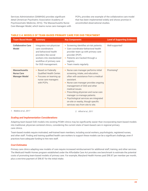Services Administration (SAMHSA) provides significant detail (American Psychiatric Association Academy of Psychosomatic Medicine, 2016). The Massachusetts Nurse Care Manager Model, which teams nurse care managers with PCPs, provides one example of the collaborative care model that has been implemented widely and shows promise in uncontrolled observational studies.

#### TABLE 2.4: MODELS OF TEAM-BASED PRIMARY CARE FOR OUD TREATMENT

| <b>Team-Based Model</b>                                           | <b>Summary</b>                                                                                                                                                                  | <b>Key Components</b>                                                                                                                                                                                                                                                                                                                                                                                                     | <b>Level of Supporting Evidence</b> |
|-------------------------------------------------------------------|---------------------------------------------------------------------------------------------------------------------------------------------------------------------------------|---------------------------------------------------------------------------------------------------------------------------------------------------------------------------------------------------------------------------------------------------------------------------------------------------------------------------------------------------------------------------------------------------------------------------|-------------------------------------|
| <b>Collaborative Care</b><br><b>Model</b>                         | Integrates non-physician<br>care coordinators<br>and behavioral health<br>providers like social<br>workers into standardized<br>workflow of primary care<br>for OUD management. | Screening identifies at-risk patients.<br>Care coordinator-behavioral health<br>provider team up with primary care<br>provider (PCP).<br>• Patients are tracked through a<br>registry.<br>• Team meets regularly.                                                                                                                                                                                                         | Well-supported <sup>1</sup>         |
| <b>Massachusetts</b><br><b>Nurse Care</b><br><b>Manager Model</b> | • Based on Federally<br><b>Qualified Health Center.</b><br>• Focuses on teaming up<br>nurse care managers<br>with PCPs.                                                         | • Nurse care manager performs initial<br>screening, intake, and education,<br>often with assistance from a medical<br>assistant.<br>• Nurse care manager provides ongoing<br>management of OUD and other<br>medical issues.<br>• Prescribing physician and nurse care<br>manager co-manage patients.<br>• Psychological services are integrated<br>on-site or nearby, though specific<br>services vary from site to site. | Promising <sup>3</sup>              |

*1. Watkins et al., 2017 2. Alford et al., 2011*

#### *Scaling and Implementation Considerations*

Adapting team-based OUD models into existing PCMH clinics may be significantly easier than incorporating team-based models into traditional, physician-centered clinics, considering the current state of team-based care in regional primary care clinics.

Team-based models require motivated, well-trained team members, including social workers, psychologists, registered nurses, and other staff. Finding and training qualified health care workers to support these models can be a significant challenge, even if practices have adequate funding to hire new staff.

#### *Cost Estimates*

Primary care clinics adapting new models of care require increased reimbursement for additional staff, training, and other services. The Medicaid Health Homes program established under the Affordable Care Act provides one benchmark to estimate the potential costs of promoting team-based models of primary care. For example, Maryland Health Homes paid \$98.87 per member per month, plus a one-time payment of \$98.87 for the initial intake.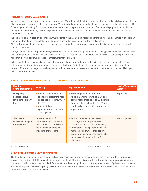#### *Hospital-to-Primary Care Linkages*

When a patient presents in the emergency department (ED) with an opioid-related overdose, that patient is stabilized medically and discharged with a referral to addiction treatment. This standard operating procedure leaves the patient with the sole responsibility for setting up and waiting for an appointment at a time when the patient is in the midst of withdrawal symptoms. Given this lack of longitudinal coordination, it is not surprising that few individuals with OUD are connected to treatment (Alinsky et al., 2020; Larochelle et al., 2018).

In hospital-to-primary care linkage models, OUD patients in the ED are administered buprenorphine, and discharged with a primary care appointment and enough take-home buprenorphine to last until the appointment takes place.

Directly linking a patient to primary care, especially when initiating buprenorphine, increases the likelihood that the patient will engage in treatment.

Linkage can also extend to patients being discharged from an acute-care inpatient hospital. The typical standard of care for these discharged patients is similar to discharges from ED settings. Patients are offered referrals to follow-up addiction providers in the hope that they will continue to engage in treatment after discharge.

In the hospital-to-primary care linkage model, however, patients admitted for short-term inpatient stays for medically managed withdrawals are linked directly to primary care before discharge. Patients are also maintained on buprenorphine, rather than tapered off before discharge. Maintaining buprenorphine treatment increases engagement in treatment and reduces illicit opioid use up to six months later.

| <b>Hospital</b><br><b>Coordination Model</b>                             | <b>Summary</b>                                                                                                                                                         | <b>Key Components</b>                                                                                                                                                                                                                                                                       | <b>Level of Supporting</b><br><b>Evidence</b> |
|--------------------------------------------------------------------------|------------------------------------------------------------------------------------------------------------------------------------------------------------------------|---------------------------------------------------------------------------------------------------------------------------------------------------------------------------------------------------------------------------------------------------------------------------------------------|-----------------------------------------------|
| <b>Emergency</b><br>Department (ED)<br><b>Linkage to Primary</b><br>Care | Administer buprenorphine<br>to patients presenting with<br>opioid use disorder (OUD) in<br>the ED.<br>Arrange follow-up<br>appointment with primary<br>care physician. | Screening and brief intervention.<br>$\bullet$<br>Appointment made with primary care<br>center within three days of ED discharge.<br>Buprenorphine initiated in the ED and<br>continued at home until primary care<br>appointment.                                                          | Supported <sup>1</sup>                        |
| Short-term<br><b>Inpatient Linkage to</b><br><b>Primary Care</b>         | Inpatient initiation of<br>medications for opioid use<br>disorder (MOUD), and MOUD<br>maintenance at home until<br>linkage to primary care.                            | • PCP is contacted before patient is<br>discharged and an appointment is<br>scheduled within a week of discharge.<br>Patient receiving inpatient medically<br>managed withdrawal continues on<br>buprenorphine, rather than being fully<br>tapering off the medication before<br>discharge. | Well-supported <sup>2</sup>                   |

#### TABLE 2.5: EXAMPLE OF HOSPITAL-TO-PRIMARY CARE LINKAGES

*1. D'Onofrio et al., 2015; 2017 2. Liebschutz et al., 2014; Stein et al., 2020*

#### *Scaling and Implementation Considerations*

The foundation of hospital-to-primary care linkage models is a workforce of prescribers who are equipped with buprenorphine waivers and comfortable initiating patients on treatment. In addition, the linkage models will work best in communities that have resources to which patients can be linked. Communities without an opioid treatment program or a base of primary care practices with buprenorphine treatment capacity may not be able to take advantage of linkage models until a more robust community-based treatment infrastructure is established.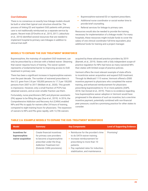#### *Cost Estimates*

There is no consensus on exactly how linkage models should be built or what their typical cost structure should be. The process of linking ED and inpatient OUD patients with primary care is not traditionally reimbursed as a separate service by payers. Recent trials (D'Onofrio et al., 2015, 2017; Liebschutz et al., 2014) identified several resources that are needed to implement hospital-to-primary care linkages in addition to clinical trial staff:

- **•** Buprenorphine-waivered ED or inpatient prescribers.
- **•** Additional nurse coordinator or social worker time to provide brief counseling.
- **•** Referral services for linkage to primary care.

Resources would also be needed to provide the training necessary for implementation of a linkage model. For many hospitals, these resources might include funds to cover the salary of one clinical coordinator full-time equivalent, plus additional funds for training and a project manager.

#### MODELS TO EXPAND THE OUD TREATMENT WORKFORCE

Buprenorphine, the mainstay of outpatient OUD treatment, can only be prescribed by a clinician with a federal waiver. Obtaining that waiver requires hours of training. The waiver system represents a fundamental barrier to improving access to OUD treatment in primary care.

There has been a significant increase in buprenorphine waivers over the past decade. The number of waivered prescribers in the U.S. grew from 3.8 per 100,000 persons to 17.3 per 100,000 persons from 2007 to 2017 (McBain et al., 2020). This growth is impressive. However, only a small fraction of PCPs has obtained waivers, and an even smaller fraction use them.

Fortunately, nurse practitioners (NP) and physician assistants (PA) appear to be filling the gap (Xue et al., 2019). In 2016, the Comprehensive Addiction and Recovery Act (CARA) enabled NPs and PAs to apply for waivers after 24 hours of training, compared to eight training hours for physicians. The expansion of waivers to NPs and PAs grew rapidly, with 12,706 waivers

acquired by these advanced practice providers by 2019 (Barnett, et al., 2019). States with a fully independent scope-ofpractice regulation for NPs had twice as many waivered NPs than states with limited scope-of-practice policies.

Vermont offers the most relevant example of state efforts to incentivize waiver acquisition and expand OUD treatment. Through its Medicaid 1115 waiver, Vermont offered a \$500 incentive payment to physicians who completed the waiver training, and enhanced reimbursement for physicians prescribing buprenorphine to 10 or more patients (ASPE, 2018; Van Donsel et al., 2019). There is no evidence regarding how buprenorphine waiver adoption in Vermont would have progressed in the absence of such an incentive, but a one-time incentive payment, potentially combined with non-financial peer pressure, could be a promising practice for other states to consider.

| <b>Model</b>                                          | <b>Summary</b>                                                                                                                                                                      | <b>Key Components</b>                                                                                                                                                                                                   | <b>Level of Supporting Evidence</b> |
|-------------------------------------------------------|-------------------------------------------------------------------------------------------------------------------------------------------------------------------------------------|-------------------------------------------------------------------------------------------------------------------------------------------------------------------------------------------------------------------------|-------------------------------------|
| Incentives for<br>buprenorphine<br>waiver acquisition | Create financial incentives<br>for primary care providers<br>to become a buprenorphine<br>prescriber under the Drug<br><b>Addiction Treatment Act</b><br>(Extends CARA provisions). | • Reimburse for the provider's time<br>to do DATA-waiver training.<br>Increase reimbursement for<br>prescribing to more than 10<br>patients.<br>• Pay capitated rates for induction,<br>stabilization, and maintenance. | Promising <sup>1</sup>              |

#### TABLE 2.6: EXAMPLE MODELS TO EXPAND THE OUD-TREATMENT WORKFORCE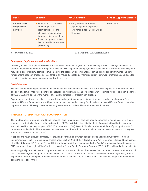| <b>Model</b>                                              | <b>Summary</b>                                                                                                                                                                                                  | <b>Key Components</b>                                                                                        | <b>Level of Supporting Evidence</b> |
|-----------------------------------------------------------|-----------------------------------------------------------------------------------------------------------------------------------------------------------------------------------------------------------------|--------------------------------------------------------------------------------------------------------------|-------------------------------------|
| <b>Promote Use of</b><br>Nonphysician<br><b>Providers</b> | • Encourage DATA-waivers<br>and hiring of nurse<br>practitioners (NP) and<br>physician assistants for<br>buprenorphine prescribing.<br>• Expand scope-of-practice<br>laws to enable independent<br>prescribing. | • Not yet demonstrated but<br>expanding scope of practice<br>laws for NPs appears likely to be<br>effective. | Promising <sup>2</sup>              |

*1. Van Donsel et al., 2020 2. Barnett et al., 2019; Spetz et al., 2019*

#### *Scaling and Implementation Considerations*

Achieving wide-scale implementation of a waiver-related incentive program is not necessarily a major challenge since such a program could be implemented through state-level policy or regulation changes, or wide-scale incentive programs. However, there may be political or cultural barriers to implementing the necessary policy changes, such as gaining support from stakeholders for expanding scope-of-practice policies for NPs or PAs, and accepting a "harm reduction" framework of strategies and ideas for reducing negative consequences associated with drug use.

#### *Cost Estimates*

The cost of implementing incentives for waiver acquisition or expanding waivers for NPs/PAs will depend on the approach taken. The cost of a simple monetary incentive to encourage physicians, NPs, and PAs to take waiver training would likely be in the range of \$500-\$1,000, multiplied by the number of clinicians targeted for program participation.

Expanding scope-of-practice policies is a legislative and regulatory change that cannot be purchased using abatement funds. However, NPs and PAs usually make 50 percent or less of the standard salary for physicians. Allowing NPs and PAs to prescribe buprenorphine could be very cost-effective for government-run facilities like community health centers.

#### PRIMARY-TO-SPECIALTY CARE COORDINATION

The need for better integration of addiction specialty care within primary care has been documented in multiple surveys. These surveys report that a key barrier to the participation of PCPs in OUD treatment is their lack of comfort with addiction treatment, and their need for specialty support (ASPE, 2018 Louie et al., 2019). Many PCPs also attribute their lack of participation in OUD treatment with their lack of knowledge of this treatment, and their lack of institutional support and peer support from colleagues who treat OUD (Haffajee et al., 2018).

A popular and much-discussed strategy for providing coordination between addiction specialists and PCPs is the "Hub and Spoke" model, a Health Home initiative created under Section 2703 of the Affordable Care Act for Vermont Medicaid beneficiaries (Brooklyn & Sigmon, 2017). In the Vermont Hub and Spoke model, primary care and other "spoke" practices collaborate closely on OUD treatment with a regional "hub," which is typically a formal Opioid Treatment Program (OTP) staffed with addiction specialists.

Patients typically receive intake and buprenorphine induction at the hub, and then receive OUD treatment centered at either the hub or at spoke clinics, depending on the patient's needs and acuity. The Baltimore Collaboration Opioid Prescribing (Co-OP) model implements the Hub and Spoke model in an urban setting (Chou et al., 2016; Stoller, 2015). The evidence supporting the hub and spoke model is still limited.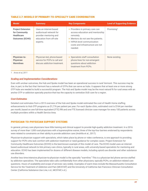#### TABLE 2.7: MODELS OF PRIMARY-TO-SPECIALTY CARE COORDINATION

| <b>Model</b>                                                                             | <b>Summary</b>                                                                                                     | <b>Key Components</b>                                                                                                                                                                                            | <b>Level of Supporting Evidence</b> |
|------------------------------------------------------------------------------------------|--------------------------------------------------------------------------------------------------------------------|------------------------------------------------------------------------------------------------------------------------------------------------------------------------------------------------------------------|-------------------------------------|
| <b>Project Extension</b><br>for Community<br><b>Healthcare</b><br><b>Outcomes (ECHO)</b> | Uses an internet-based<br>audiovisual network for<br>provider mentoring and<br>education from off-site<br>experts. | • Providers in primary care can<br>access education and mentorship<br>remotely.<br>Mentors do not see the patients.<br>۰<br><b>HIPAA-level communication</b><br>۰<br>costs and infrastructure are not<br>needed. | Promising <sup>1</sup>              |
| Physician-to-<br><b>Physician</b><br><b>Warmlines</b>                                    | Physician-led, phone-based<br>service for PCPs to call and<br>discuss addiction treatment.                         | • Specialists staff consultation<br>phone lines for non-emergent<br>questions about addiction<br>treatment from PCPs.                                                                                            | None existing                       |

*1. Arora et al, 2011*

#### *Scaling and Implementation Considerations*

Even with unclear outcomes, the Hub and Spoke model has been an operational success in rural Vermont. This success may be due, in part, to the fact that Vermont has a network of OTPs that can serve as hubs. It appears that at least one or more strong OTP hubs are needed to build a successful program. The Hub and Spoke model may be the most natural fit for rural areas with an anchor OTP or addiction specialty practice that has the capacity to centralize OUD care for a region.

#### *Cost Estimates*

Detailed cost estimates from a 2013 overview of the Hub and Spoke model estimated the cost of Health Home staffing enhancements to Hub OTP programs as \$1,776 per patient per year. For each Spoke clinic, estimated cost is \$164 per member per month, based on one full-time equivalent (FTE) RN and one FTE licensed clinician case manager for every 100 patients across multiple providers within a Health Service Area.

#### PHYSICIAN-TO-PHYSICIAN SUPPORT SYSTEMS

In general, primary care physicians have little training and clinical support to provide high-quality addiction treatment. In a 2016 survey of more than 1,000 rural physicians with a buprenorphine waiver, three of the top-four barriers endorsed by respondents were related to constraints on their ability to provide addiction care (Andrilla et al., 2017).

Physician-to-physician support with specialists, which takes place by phone or video conference, is one approach to providing support for PCPs who lack comfort with addiction treatment or need guidance for complex cases. Project Extension for Community Healthcare Outcomes (ECHO) is the best-known example of this model of care. The ECHO model uses an internetbased audiovisual network to link primary care clinics, typically in rural areas, with university-based specialists for mentoring and education. ECHO has been implemented for dozens of different disease models, including opioid use disorder and other substance use disorders.

Another less time-intensive physician-to-physician model is the specialty "warmline." This is a physician-led phone service staffed by addiction specialists. The specialists take calls confidentially from other physicians, typically PCPs, on addiction-related care questions. Hours of availability and scope of services vary widely. Examples of warm lines include the Massachusetts Consultation Service for the Treatment of Addiction and Pain (MCSTAP) and the University of California San Francisco Clinician Consultation Center (California Substance Use Line, n.d.; MCSTAP, n.d.).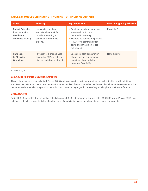#### TABLE 2.8: MODELS ENHANCING PHYSICIAN-TO-PHYSICIAN SUPPORT

| <b>Model</b>                                                                             | <b>Summary</b>                                                                                                     | <b>Key Components</b>                                                                                                                                                                               | <b>Level of Supporting Evidence</b> |
|------------------------------------------------------------------------------------------|--------------------------------------------------------------------------------------------------------------------|-----------------------------------------------------------------------------------------------------------------------------------------------------------------------------------------------------|-------------------------------------|
| <b>Project Extension</b><br>for Community<br><b>Healthcare</b><br><b>Outcomes (ECHO)</b> | Uses an internet-based<br>audiovisual network for<br>provider mentoring and<br>education from off-site<br>experts. | • Providers in primary care can<br>access education and<br>mentorship remotely.<br>• Mentors do not see the patients.<br>• HIPAA-level communication<br>costs and infrastructure are<br>not needed. | Promising <sup>1</sup>              |
| <b>Physician-</b><br>to-Physician<br><b>Warmlines</b>                                    | Physician-led, phone-based<br>service for PCPs to call and<br>discuss addiction treatment.                         | • Specialists staff consultation<br>phone lines for non-emergent<br>questions about addiction<br>treatment from PCPs.                                                                               | None existing                       |

*1. Arora et al, 2011*

#### *Scaling and Implementation Considerations*

Though their evidence base is limited, Project ECHO and physician-to-physician warmlines are well suited to provide additional addiction specialty resources in remote areas through a relatively low-cost, scalable mechanism. Both interventions use centralized resources and a specialist or specialist team that can connect to a geographic area of any size by phone or videoconference.

#### *Cost Estimates*

Project ECHO estimates that the cost of establishing one ECHO Hub program is approximately \$200,000 a year. Project ECHO has published a detailed budget that describes the costs of establishing a new model and its necessary components.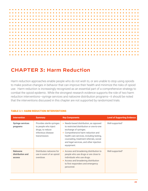

### **CHAPTER 3: Harm Reduction**

Harm reduction approaches enable people who do not wish to, or are unable to stop using opioids to make positive changes in behavior that can improve their health and minimize the risks of opioid use. Harm reduction is increasingly recognized as an essential part of a comprehensive strategy to combat the opioid epidemic. While the strongest research evidence supports the role of two harm reduction interventions—syringe services and naloxone distribution programs—it should be noted that the interventions discussed in this chapter are not supported by randomized trials.

| <b>Intervention</b>                           | <b>Summary</b>                                                                                               | <b>Key Components</b>                                                                                                                                                                                                                                                                             | <b>Level of Supporting Evidence</b> |
|-----------------------------------------------|--------------------------------------------------------------------------------------------------------------|---------------------------------------------------------------------------------------------------------------------------------------------------------------------------------------------------------------------------------------------------------------------------------------------------|-------------------------------------|
| <b>Syringe services</b><br>programs           | Provides sterile syringes<br>to people who inject<br>drugs, to reduce<br>infectious disease<br>transmission. | • Needs-based distribution, as opposed<br>to restricted distribution or one-to-one<br>exchange of syringes.<br>• Comprehensive harm reduction and<br>health care services, including testing,<br>counseling, treatment referrals, social<br>and legal services, and other injection<br>equipment. | Well-supported <sup>1</sup>         |
| <b>Naloxone</b><br>distribution and<br>access | Distributes naloxone for<br>use in event of an opioid<br>overdose.                                           | • Access and broadening distribution to<br>people who use drugs or are close to<br>individuals who use drugs.<br>• Access and broadening distribution<br>to first responders and emergency<br>personnel.                                                                                          | Well-supported <sup>2</sup>         |

#### TABLE 3.1: HARM REDUCTION INTERVENTIONS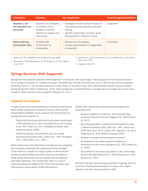| <b>Intervention</b>                                              | <b>Summary</b>                                                                                                     | <b>Key Components</b>                                                                                                                                                           | <b>Level of Supporting Evidence</b> |
|------------------------------------------------------------------|--------------------------------------------------------------------------------------------------------------------|---------------------------------------------------------------------------------------------------------------------------------------------------------------------------------|-------------------------------------|
| <b>Hepatitis C and</b><br><b>HIV</b> education and<br>prevention | Education on strategies<br>to minimize risk of<br>hepatitis C and HIV<br>infection for people who<br>inject drugs. | • Strategies include multiple sessions of<br>counseling, group education, and peer<br>training.<br>• Specific components uncertain, given<br>heterogeneity of effective models. | Supported <sup>3</sup>              |
| <b>Supervised Drug</b><br><b>Consumption Sites</b>               | Provides safe<br>environment for<br>consumption                                                                    | • Reduces risk of overdose<br>• Creates opportunities for engagement<br>in treatment                                                                                            | Promising <sup>4</sup>              |

*1. Platt et al., 2017; UNAIDS, 2016; Wodak & Cooney, 2004.*

*2. Abouk et al., 2019; McClellan et al., 2018; Rees et al., 2017; Walley et al., 2013*

*3. Garfein et al., 2007; Gilchrist et al., 2017; Meader et al., 2010; Sacks-Davis et al., 2012*

*4 Caulkins et al, 2019.*

### **Syringe Services: Well-Supported**

Syringe services programs provide sterile equipment to individuals who inject drugs. These programs are sometimes referred to as "syringe exchanges" or "needle exchanges." Available data indicates that there are close to 400 syringe services programs operating in the U.S., with locations primarily in urban areas, on the West Coast, and in the Northeast (North American Syringe Exchange Network, 2020; Teshale et al., 2019). Many people who could benefit from a syringe services program do not live close enough to obtain services from a program (Canary et al., 2017).

#### SUMMARY OF EVIDENCE

A large, robust observational literature, including reviews by the World Health Organization (Wodak & Cooney, 2004) and the United Nations (UNAIDS, 2016), supports the effectiveness of syringe services programs in:

- **•** Reducing blood-borne infections, particularly transmission of HIV (Aspinall et al., 2014; Fernandes et al., 2017; Hurley et al., 1997; Platt et al., 2017; Strathdee & Vlahov, 2001; Wodak & Cooney, 2006).
- **•** Reducing injection risk behaviors, such as syringe borrowing and lending (Des Jarlais et al., 1995; Donoghoe et al., 1989; Vlahov et al., 1997).

While randomized controlled trials of syringe services programs have not been conducted, this assessment of the strength of the evidence is based on a large number of observational studies showing findings that have remained consistent as better quality data have become available and as programs have been replicated. This assessment relies on a set of criteria developed by Bradford Hill (1965) that has been used extensively to assess public health interventions.

Studies also indicate that syringe services programs are associated with:

- **•** Reduced frequency of injection, and increased drug treatment entry and retention (Hagan et al., 2000; Platt et al., 2017).
- **•** Non-clinical benefits, including averted treatment costs ( Cabase & Sanchez, 2003; Gold et al., 1997; Jones et al., 2008; Kwon et al., 2012; Laufer, 2001; Nguyen et al., 2014; Sweeney et al., 2019; Wodak & Cooney, 2004).
- **•** Studies of syringe services programs showed:
- **•** No evidence of increased injection frequency or recruitment of new users (Hartgers et al., 1992; Watters et al., 1994).
- **•** No evidence of increased drug debris in the surrounding environment (Broadhead et al., 1999; Doherty et al., 2002; Oliver et al., 1992).

Research indicates that the largest benefits of syringe services come from locating these programs in areas with a higher density of injection drug use (Harris, 2006).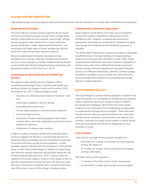#### SCALING AND IMPLEMENTATION

High-quality syringe services programs share a few characteristics that are important to consider when establishing new programs.

#### *Needs-Based Distribution*

The most effective syringe services programs do not require one-for-one syringe exchanges, through which a single sterile syringe is distributed for each returned, used syringe. Syringe services programs with unrestricted or loosely restricted syringe distribution—called "needs-based distribution"—are associated with higher rates of sterile syringes per injection, lower HIV incidence, and safer injection practices.

Because needs-based distribution decouples syringe distribution from syringe collection, it enables individuals to access as many syringes as needed. Needs-based distribution is associated with reduced syringe borrowing and lending, and decreased incidence of HIV (Kerr et al., 2010).

#### *Comprehensive Harm Reduction and Health Care Services*

The highest quality syringe services programs offer a comprehensive package of harm reduction and health care services (Centers for Disease Control and Prevention, 2010; Fernandes et al., 2017). These packages include:

- **•** Education on preventing transmission of hepatitis C and **HIV**
- **•** Anonymous hepatitis C and HIV testing.
- **•** Counseling and medical care.
- **•** On-site drug treatment or referrals to that treatment.
- **•** Social and legal services.
- **•** Distribution of other injecting equipment like swabs, cookers, filters, and water ampoules to prevent the risk of blood-borne infection.
- **•** Distribution of naloxone and condoms.

In light of surges in overdose deaths due to fentanyl, newer evidence suggests the efficacy of incorporating anonymous fentanyl-testing technologies into the comprehensive package of services offered by syringe services programs. Limited available research indicates that the distribution of fentanyl test strips or other testing technologies to people who inject drugs may influence injection decisions, and possibly reduce the risk of fatal overdose (Sherman et al., 2019). However, since the majority of the heroin supply in many or most regions in the U.S. has been penetrated by fentanyl over time, the tests may offer little extra information to potential users. However, these tests may offer value to users of other drugs, including cocaine.

#### *Complementary Distribution Approaches*

Most evidence on the effects of syringe services programs comes from studies of distribution taking place at fixed distribution sites. However, complementary distribution approaches should also be considered for abatement funding, even though less evidence for this distribution approach is available.

The World Health Organization reported on evidence supporting the effectiveness of syringe distribution through pharmacy sales and vending machines (Wodak & Cooney, 2004). These complementary distribution sites tend to attract a population of injection drug users that is different from those using fixedlocation syringe services programs and may help to broaden access to an effective intervention. Similarly, outreach syringe distribution strategies, such as mobile vans and home visits, are increasingly becoming part of a comprehensive syringe services program approach.

#### BASIC FINDINGS ON COST

The cost findings for syringe services programs included in this report are based on a comprehensive syringe services program using a traditional "store-front" facility structure. Research by Teshale and colleagues (2019) offers the most current evidence on the estimated cost of establishing and operating a comprehensive syringe services program. These estimates include one-time start-up costs and annual costs associated with personnel, operations, and prevention and medical care services. Estimates are based on the number of clients served each year and whether the service is categorized as rural, suburban, or urban.

#### *Cost Estimates*

Total cost for a syringe services program ranged from:

- **•** \$0.4 million for a small, rural syringe services programs serving 250 clients, to
- **•** \$1.9 million for a large, urban syringe services program serving 2,500 clients.

The initial start-up costs represent:

- **•** 1.6 percent of the total cost for small, rural program.
- **•** 0.8 percent for a large, urban syringe services program.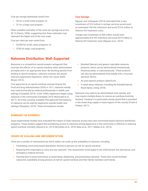Cost per-syringe distributed varied from:

- **•** \$3 for a small urban program, to
- **•** \$1 for a large rural program.

Other available estimates of the costs per syringe are as low \$0.13 (Harris, 2006), suggesting that these estimates may represent the higher end of the cost scale.

Cost per client per year varied from:

- **•** \$2,000 for small, urban programs, to
- **•** \$700 for large, rural programs.

### **Naloxone Distribution: Well-Supported**

Naloxone is a competitive opioid-receptor antagonist that reverses the effects of an opioid overdose when administered promptly and in an appropriate dose. By blocking opioids from binding to opioid receptors, naloxone reverses the opioidinduced suppressed respiration, which can cause death (Boyer, 2012).

First approved as an opioid overdose reversal drug by the Food and Drug Administration (FDA) in 1971, naloxone initially was used exclusively by medical professionals in health care settings (Campbell, 2019). In the 1990s, laypersons began using naloxone in the community (Campbell, 2019; McDonald et al., 2017). All of the currently available FDA-approved formulations of naloxone can be used by laypersons outside health care settings (Sharpless, 2019). These formulations include:

#### *Cost Savings*

Nguyen and colleagues (2014) estimated that a new investment of \$10 million in syringe services would avert an estimated 194 HIV infections and avoid \$75.8 million in lifetime HIV treatment costs.

A larger new investment of \$50 million would avert approximately 816 HIV infections and avoid \$319 million in lifetime HIV treatment costs (Nguyen et al., 2014).

- **•** Branded (Narcan) and generic injectable naloxone products, which can be administered intravenously, intramuscularly, or subcutaneously. These products can also be administered intra-nasally with a mucosal atomizer device.
- **•** An auto-injector product called Evzio.
- **•** A nasal spray naloxone, including the branded Narcan Nasal Spray (Jiang, 2018).

Naloxone may need to be administered more quickly, and may require multiple doses, to reverse an overdose involving fentanyl. Fentanyl is a particularly strong opioid that is prevalent in the street drug supply in many regions of the country (Frank & Pollack, 2017).

#### SUMMARY OF EVIDENCE

Quasi-experimental studies have evaluated the impact of state naloxone access laws and community-based naloxone distribution programs. These studies suggest that broadening access to naloxone among laypersons in the community is effective in reducing opioid overdose mortality (Abouk et al., 2019; McClellan et al., 2018; Rees et al., 2017; Walley et al., 2013).

#### ISSUES OF SCALING AND IMPLEMENTATION

There are a number of mechanisms by which states can scale up the availability of naloxone, including:

- **•** Facilitating community-based distribution directly to persons at risk for opioid overdose.
- **•** Requiring first responders to carry and use naloxone. This requirement would apply to law enforcement, fire and rescue, and emergency medical services.
- **•** Passing laws to ease restrictions on prescribing, dispensing, and possessing naloxone. These laws would facilitate naloxone's availability among persons at risk for opioid overdose and their family members and friends.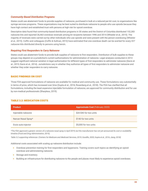#### *Community-Based Distribution Programs*

States could use abatement funds to provide supplies of naloxone, purchased in bulk at a reduced per-kit cost, to organizations like syringe services programs. These organizations may be best suited to distribute naloxone to people who use opioids because they have high contact and established trust with persons at high risk for opioid overdose.

Descriptive data found that community-based distribution programs in 30 states and the District of Columbia distributed 152,283 naloxone kits and reported 26,463 overdose reversals among kit recipients between 1996 and 2014 (Wheeler et al., 2015). The majority of reversals were carried out by other individuals who use opioids and were present with the person overdosing (Wheeler et al., 2015). Coffin and colleagues (Coffin & Sullivan, 2013) have estimated that one overdose death can be averted for every 227 naloxone kits distributed directly to persons using heroin.

#### *Requiring First Responders to Carry Naloxone*

States could use abatement funds to provide bulk supplies of naloxone to first responders. Distribution of bulk supplies to these groups may depend on a jurisdiction's current authorizations for administration of naloxone. Legal analyses conducted in 2013 suggest significant national variation in legal authorization for different types of first responders to administer naloxone (Davis et al., 2015; Davis et al., 2014). Jurisdictions vary in whether they authorize all types of first responders to administer naloxone and whether they order responders to carry naloxone.

#### BASIC FINDINGS ON COST

Three FDA-approved formulations of naloxone are available for medical and community use. These formulations vary substantially in terms of price, which has increased over time (Gupta et al., 2016; Rosenberg et al., 2018). The FDA has clarified that all formulations, including the least expensive injectable formulation of naloxone, are approved for community distribution and for use by non-medical professionals (Sharpless, 2019).

#### TABLE 3.2: MEDICATION COSTS

| <b>Product</b>      | <b>Approximate Cost (February 2020)</b> |
|---------------------|-----------------------------------------|
| Injectable naloxone | \$20-\$40 for two units                 |
| Narcan Nasal Spray* | \$140 for two units                     |
| Enzio auto-injector | \$5,000 for two units                   |

*\*The FDA approved a generic version of a naloxone nasal spray in April 2019, but the manufacturer has not yet announced its cost or availability timeline (Food and Drug Administration, 2019).* 

*Table 3.2 supporting references: (Centers for Medicare and Medicaid Services, 2019; GoodRx, 2020; Gupta et al., 2016; Jiang, 2018)*

Additional costs associated with scaling up naloxone distribution include:

- **•** Overdose prevention training for first responders and laypersons. Training covers such topics as identifying an opioid overdose and administering naloxone.
- **•** Storage and inventory.
- **•** Building an infrastructure for distributing naloxone to the people and places most likely to experience opioid overdoses.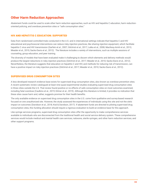### **Other Harm Reduction Approaches**

Abatement funds could be used to scale other harm reduction approaches, such as HIV and hepatitis C education, harm reductionoriented policing, and overdose prevention sites or "safe consumption sites."

#### HIV AND HEPATITIS C EDUCATION: SUPPORTED

Data from randomized controlled trials conducted in the U.S. and in international settings indicate that hepatitis C and HIV educational and psychosocial interventions can reduce risky injection practices, like sharing injection equipment, which facilitate hepatitis C virus and HIV transmission (Garfein et al., 2007; Gilchrist et al., 2017; Latka et al., 2008; MacKesy-Amiti et al., 2013; Meader et al., 2010; Sacks-Davis et al., 2012). The literature includes a variety of interventions, such as multiple sessions of counseling, group education, and peer training.

The diversity of models that have been evaluated make it challenging to discern which elements and delivery methods would produce the largest reductions in risky injection practices (Gilchrist et al., 2017; Meader et al., 2010; Sacks-Davis et al., 2012). Nevertheless, the literature suggests that education on hepatitis C and HIV, and methods for reducing risk of transmission, can have a positive impact on risky injection practices (Gilchrist et al., 2017; Meader et al., 2010; Sacks-Davis et al., 2012).

#### SUPERVISED DRUG CONSUMPTION SITES

A less developed research evidence base exists for supervised drug consumption sites, also known as overdose prevention sites. A recent systematic review catalogued at least nine quasi-experimental studies evaluating supervised drug consumption sites in three cities outside the U.S. That review found positive or no effects of safe consumption sites on most outcomes examined, including fatal overdose (Caulkins et al., 2019; Kilmer et al., 2019). Although this literature is limited, it provides no indication that these sites cause harm and, rather, suggests promise for their health benefits.

The only available evidence on supervised drug consumption sites in the U.S. come from qualitative and survey-based research focused on one unauthorized site. However, the study assessed the experiences of individuals using this site and not the site's impact on outcomes (Davidson et al., 2018; Kral & Davidson, 2017). If abatement funds are directed to piloting supervised drug consumption sites, this funding allocation should require a rigorous evaluation to build an evidence base for this approach.

Like syringe services programs, supervised drug consumption sites offer the opportunity to make comprehensive services available to individuals who are disconnected from the traditional health and social service delivery system. These comprehensive services would include medical and mental health care services; naloxone, sterile syringes, and other harm reduction services; and other support programs.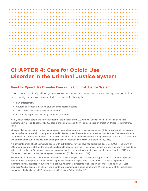# **CHAPTER 4: Care for Opioid Use Disorder in the Criminal Justice System**

### **Need for Opioid Use Disorder Care in the Criminal Justice System**

The phrase "criminal justice system" refers to the full continuum of programming provided in the community by law enforcement at four distinct intercepts:

- **•** Law enforcement.
- **•** Courts and probation, including drug and other specialty courts.
- **•** Jails, prisons, and re-entry from incarceration.
- **•** Community supervision including parole and probation.

Nearly seven million people are currently under the supervision of the U.S. criminal justice system: 2.3 million people are incarcerated in jails and prisons; 840,000 people are on parole; and 3.6 million people are on probation (Prison Policy Institute, 2019).

Most people involved in the criminal justice system have a history of a substance use disorder (SUD) or problematic substance use. Sixty-five percent of all currently incarcerated individuals meet the criteria for a substance use disorder (The National Center on Addiction and Substance Abuse at Columbia University, 2010). Substance-use rates among people on parole and probation are two to three times substance-use rates among the general population (The Pew Charitable Trusts, 2018).

A significant portion of justice-involved people with SUD histories have or have had opioid use disorders (OUD). People with an OUD are much more likely than the general population to become involved in the criminal justice system. Those with no opioid use in the past year have a 16-percent chance of becoming involved in the criminal justice system, while people with an OUD have a 50-percent chance of criminal justice system involvement (Winkelman et al., 2018).

The Substance Abuse and Mental Health Services Administration (SAMHSA) reports that approximately 17 percent of people incarcerated in state prisons and 19 percent of people incarcerated in jails report regular opioid use. Over 30 percent of incarcerated individuals report suffering from serious withdrawal symptoms or an inability to control their opioid use. Each year, over 200,000 people with a heroin use disorder are incarcerated, a figure constituting 24 to 36 percent of the incarcerated population (Boutwell et al., 2007; Bronson et al., 2017; Legal Action Center, 2011).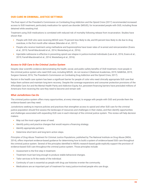#### OUD CARE IN CRIMINAL JUSTICE SETTINGS

The final report of the President's Commission on Combating Drug Addiction and the Opioid Crisis (2017) recommended increased access to SUD treatment, particularly medication for opioid use disorder (MOUD), for incarcerated people with OUD, including those detained while awaiting trial.

Treatment using OUD medications is correlated with reduced risk of mortality following release from incarceration. Studies have shown that:

- **•** People with OUD who were receiving MOUD were 75 percent less likely to die, and 85 percent less likely to die due to drug overdose, in the first month after release (Marsden et al., 2017).
- People who receive treatment using methadone and buprenorphine have lower rates of re-arrest and reincarceration (Evans et al., 2019; Farrell-Macdonald et al., 2014; Westerberg et al., 2016).
- Injectable naltrexone is effective in preventing opioid use relapse in justice-involved individuals (Lee et al., 2016; Evans et al., 2019; Farrell-Macdonald et al., 2014; Westerberg et al., 2016).

#### *Access to OUD Care in the Criminal Justice System*

Despite clear scientific evidence demonstrating the health, social, and public-safety benefits of OUD treatment, most people in the criminal justice system who need OUD care, including MOUD, do not receive it (National Academies, 2019; SAMHSA, 2019; Surgeon General, 2016; The President's Commission on Combating Drug Addiction and the Opioid Crisis, 2017).

Racism in the health care system has been a significant barrier for people of color who need clinically appropriate SUD care that helps them achieve and maintain long-term recovery. Despite the coverage expansions and consumer protection provisions of the Affordable Care Act and the Mental Health Parity and Addiction Equity Act, persistent financing barriers have precluded millions of Americans from receiving the care they need to become and remain well.

#### *What Jurisdictions Can Do*

The criminal justice system offers many opportunities, at every intercept, to engage with people with OUD and provide them the evidence-based care they need.

Jurisdictions seeking to improve policies and practices that strengthen access to opioid and other SUD care for the criminal justice population should first assess the landscape of resources and challenges in their states, and then identify opportunities and challenges associated with expanding OUD care in each intercept of the criminal justice system. This review will help decision makers:

- **•** Map out the most urgent areas of need.
- **•** Identify policy and practice changes that would require a financing strategy.
- **•** Identify appropriate partners.
- **•** Determine short-term and long-term action steps.

*Principles of Drug Abuse Treatment for Criminal Justice Populations,* published by The National Institute on Drug Abuse (NIDA, 2014), offers important evidence-based guidance for determining how to build a system of evidence-based SUD care throughout the criminal justice system. Several of the principles identified in NIDA's research-based guide explicitly support the provision of evidence-based OUD care throughout the criminal justice system. Those principles include:

- **•** Assessment is the first step in treatment.
- **•** Treatment must last long enough to produce stable behavioral changes.
- **•** Tailor services to fit the needs of the individual.
- **•** Continuity of care is essential as people with drug use histories re-enter the community.
- Medications are an important part of treatment for many justice-involved people who use drugs.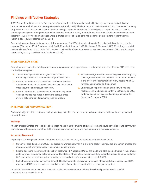# **Findings on Effective Strategies**

A 2017 study found that less than five percent of people referred through the criminal justice system to specialty OUD care received either methadone or buprenorphine (Krawczyk et al., 2017). The final report of the President's Commission on Combating Drug Addiction and the Opioid Crisis (2017) acknowledged significant barriers to providing MOUD to people with OUD in the criminal justice system. Citing research, which included a national survey of corrections staff in 14 states, the commission noted that most MOUD provided behind prison walls is limited to detoxification or to maintenance treatment for pregnant women (Belenko et al., 2013; Friedmann et al., 2012).

Research has also shown that an extremely low percentage (2%-10%) of people with an OUD receive MOUD while on probation or parole (Clark et al., 2014; Friedmann et al., 2012; Mumola & Bonczar, 1998; Nordstrom & Marlowe, 2016). Most drug courts fail to offer all three forms of MOUD for OUD, despite considerable efforts to improve access to evidence-based OUD care for people participating in drug court (National Academies, 2019).

#### HIGH NEED, LOW CARE

Several factors have led to the disproportionately high number of people who need but are not receiving effective OUD care in the criminal justice system.

- **1.** The community-based health system has failed to effectively address the health needs of people with SUD.
- **2.** Lack of resources for SUD and other health care services and medications has resulted in less effective health care throughout the criminal justice system.
- **3.** Lack of coordination between health and criminal justice decision makers has made it difficult to achieve crosssystem collaboration, data sharing, and innovation.
- **4.** Policy failures, combined with racially discriminatory drug policies, have criminalized a health problem and resulted in the arrest and incarceration of many people with SUD for reasons unrelated to drug crimes.
- **5.** Criminal justice professionals charged with making health care-related decisions often lack training on SUD, evidence-based services, medications, and supports (McMillan & Lapham, 2005.

#### INTERVENTION AND CONNECTION

Each criminal justice intercept presents important opportunities for intervention and connection to evidence-based opioid and other SUD care.

#### *Training*

At each intercept, states and localities should require and fund the training of law enforcement, court, corrections, and community corrections staff on opioid and other SUD, effective treatment services, and medications, and recovery supports.

#### *Access to Treatment*

Improving the strikingly low rates of treatment in the criminal justice system should start with these steps:

- Screen for opioid and other SUDs. This screening works best when it is a routine part of the individual evaluation process and incorporated at every intercept of the criminal justice system.
- **•** Expand access to treatment. Studies show that when FDA-approved MOUD are made available, people treated in the criminal justice system experience better outcomes. The state of Rhode Island has successfully expanded access to opioid and other SUD care in the corrections system resulting in reduced rates of overdose (Green et al., 2018).
- **•** Make treatment available at every intercept. The likelihood of improvement increases when people have access to all FDAapproved MOUDs and all evidence-based elements of care at every point of the criminal justice system.

As jurisdictions take steps to expand access to evidence-based elements of care, they should pay attention to special considerations at each intercept: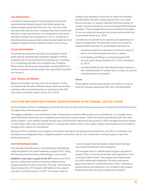#### *Law Enforcement*

Jurisdictions should support the development of new and expanded police-based programs that divert people into evidence-based opioid and other SUD care. Pre-arrest SUD care and other early diversion strategies have been found to be effective in reducing recidivism, as measured by lower arrest and felony charge rates (Clifasefi et al., 2017). Jurisdictions should prioritize programs that mobilize mental health and SUD treatment experts through mobile and other crisis services.

#### *Courts and Probation*

Drug treatment and other specialty court programs should adopt policies clarifying that individuals engaged in MOUD treatment will not be precluded from entering into, remaining in, or completing specialty court programming. Probation office policies should ensure that people receiving MOUD can continue treatment and that people who need MOUD treatment can receive it.

#### *Jails, Prisons, and Reentry*

States and localities can learn from the successes of other jurisdictions like the state of Rhode Island, which saw positive outcomes after it expanded access to opioid and other SUD care in the corrections system (Green et al., 2018).

Evidence and experience show that as states and localities provide MOUD and other evidence-based OUD care inside prisons and jails, it is equally important that they arrange for in-reach services provided by community-based SUD treatment providers. These arrangements ensure seamless continuation of care as individuals leave jails and prisons and re-enter their communities (Guyer et al., 2019).

Jurisdictions may benefit from examining the experiences of states, including New York and Ohio, which have sought to improve health outcomes for incarcerated individuals by:

- **•** Introducing addiction medications and the provision of other core evidence-based care prior to release.
- **•** Coordinating and linking to community-based OUD services upon release (Gardner et al., 2018; Jannetta et al., 2017).
- **•** Activating Medicaid and other benefits before release so that reimbursement for needed care is in place as soon as individuals leave incarceration.

#### *Parole*

Parole agents should ensure people can receive or continue receiving clinically appropriate SUD care, including MOUD.

#### COSTS FOR IMPLEMENTING EVIDENCE-BASED PROGRAMS IN THE CRIMINAL JUSTICE SYSTEM

Every jurisdiction will find it challenging to estimate the costs of interventions that expand access to improved OUD health services throughout the criminal justice system.

The biggest challenge to cost estimating is that criminal justice systems differ greatly across jurisdictions. For example, some states like Rhode Island have one, integrated state-level prison and jail system, while other states separate their jails from their prison systems. Local sheriffs manage the jails and a commissioner reporting to the governor's office manages the prison system. In some cases, cities may share jail systems. To complicate matters further, many states contract with private-sector providers to manage some aspects of incarceration.

Because of this complexity, each program intervention will require the appropriate jurisdiction's own effort to estimate cost. Individuals knowledgeable about a targeted program intervention and its cost components must participate in any costestimating exercise.

#### *Cost-Estimating Example*

This example illustrates how a cost estimating methodology might be applied to an opioid treatment program (OTP). Using the following cost-estimating methodology, a state would:

**Establish a clear goal or goals for the OTP.** Assume the OTP's goal is to reduce the number of overdose deaths among inmates released into the community. First ask, "How does the state introduce the OTP program with fidelity to the research and with cost effectiveness in mind?" The answer might be,

"Look at research and examples of other states that have successfully introduced similar programs."

This example looks at a Rhode Island program designed to expand OTPs in correctional facilities with populations of not more than 3,000 inmates. The program was implemented by CODAC Behavioral Healthcare. All three medications approved by the FDA for the treatment of OUD—methadone, buprenorphine, and naltrexone—are included in the program. Rhode Island does not have a unified prison system.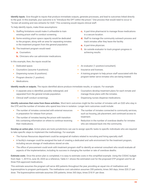**Identify inputs**. Give thought to inputs that produce immediate outputs, generate processes, and lead to outcomes linked directly to the goal. In this example, your outcome is to "Introduce the OPT within the prison." One process that would need to occur is: "Screen all existing and new entrants for OUD." This screening would require clinical staff.

To help identify inputs, make three assumptions:

- **1.** Staffing limitations would make it unfeasible to train existing prison staff to conduct screening.
- **2.** Some existing prison space capacity would be dedicated to the program, along with an area for separating inmates in the treatment program from the general population.
- **3.** The treatment program would need:
	- **a.** Counselors.
	- **b.** Clinicians who can administer medications.

In this example, then, the inputs would be:

- **•** Dedicated space.
- **•** Counselors (assume 4 positions).
- **•** Dispensing nurses (6 positions).
- **•** Program director (1 position).
- **•** Medications.

**Identify results or outputs.** The inputs identified above produce immediate results, or outputs. For example:

- **•** A separate area is identified, possibly redesigned, and separated from the general inmate population.
- **•** Clinical staff conduct screenings.
- **•** Counselors develop treatment plans for each inmate and manage those plans with the inmates.
- **•** Dispensing nurses dispense medications.

**Identify outcomes that come from these activities.** Short-term outcomes might be the number of inmates with an OUD who stay in the OTP, and the number of inmates who spend less time in isolation. Longer term outcomes could include:

- **•** The number of inmates connected with external resources in preparation for release from prison.
- **•** The number of inmates leaving the prison with transition kits containing information on where to continue receiving their medications.
- **•** The number of inmates connected to community services, such as housing, job placement, and continued access to treatment.
- **•** Reduction in the number of overdose deaths for inmates who are released back into the community.

**Develop an action plan.** Action plans are tools jurisdictions can use to assign specific tasks to specific individuals who are required to take specific steps to implement the methodology. For example:

- **•** The Human Resources department could be assigned all matters related to recruiting and hiring specialty staff.
- **•** A facility's manager could be assigned the task of creating a dedicated and safe environment for the treatment program, including secure storage of medications stored on-site.
- **•** The office of procurement could work with treatment program staff to identify an external consultant who would evaluate all aspects of the implementation, including its success in changing the number or rate of overdose deaths.

**Estimate costs**. Once the action plan is completed, it is easy to estimate costs in this simplified example. Using the CODAC budget from Sept. 1, 2019 to June 30, 2020 as a reference, Table 4.1 shows the estimated cost for the proposed OTP program and for all three FDA-approved medications.

This estimate assumes the program will serve 400 patients throughout the year, providing an equal mix of methadone and buprenorphine to program participants. The methadone cost calculation assumes 200 patients, times 365 days, times \$20.21 per dose. The buprenorphine estimate assumes 200 patients, times 365 days, times \$18.91 per dose.

- **c.** A part-time pharmacist to manage those medications in a secure location.
- **d.** Staff to manage the community outreach process and track inmates after they leave the facility.
- **e.** A part-time physician.
- **f.** An outside evaluator to track program progress in achieving results.
- **•** An evaluator (1 position/consultant).
- **•** Insurance and licenses.
- **•** A training program to help prison staff associated with the program better serve inmates who are being treated.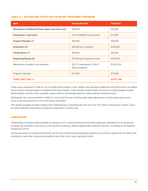#### TABLE 4.1: ESTIMATING COSTS FOR AN OPIOID TREATMENT PROGRAM

| <b>Input</b>                                                | <b>Annual Unit Cost</b>                         | <b>Total Cost</b> |
|-------------------------------------------------------------|-------------------------------------------------|-------------------|
| <b>Renovation of Dedicated Prison Space (one-time cost)</b> | \$40,000                                        | \$40,000          |
| <b>Pharmacist (1 part-time)</b>                             | 25% of \$48,000 annual salary                   | \$12,000          |
| <b>Program Manager (1)</b>                                  | \$95,000                                        | \$95,000          |
| <b>Counselors (4)</b>                                       | \$60,000 per counselor                          | \$240,000         |
| <b>Charge Nurse (1)</b>                                     | \$80,000                                        | \$80,000          |
| <b>Dispensing Nurses (6)</b>                                | \$70,000 per dispensing nurse                   | \$420,000         |
| Medications (bundled cost estimate)                         | \$20.21 (methadone); \$18.91<br>(buprenorphine) | \$2,855,760       |
| Program Evaluator                                           | \$75,000                                        | \$75,000          |
| <b>TOTAL COST (Year 1)</b>                                  |                                                 | \$3,817,760       |

These costs presented in Table 4.1 do not reflect total program costs. Rather, they represent additional costs that need to be added to the prison's existing budget to implement the new program. Costs already covered within the prison's ongoing budget include administrative services such as payroll, inmate officers, and transportation for other external medical services.

Additionally, the costs presented in Table 4.1 are for the first year. Setting aside wage adjustments, all else being equal, year 2 costs would drop by the full cost of the facility renovation.

This simple example provides insight in the methodology of estimating the cost of a new OTP within a state prison system. Costs for other treatment interventions would be conducted in a similar way.

#### **CONCLUSION**

"Withholding or failing to have available all classes of U.S. Food and Drug Administration-approved medication for the treatment of opioid use disorders in any care or criminal justice setting is denying appropriate medical treatment," according to the National Academies (2019).

Improving access to evidence-based OUD care for the criminal justice population presents an enormous opportunity for states and localities to make their communities healthier and safer, and to save significant funds.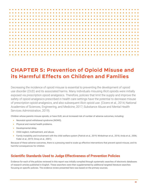

# **CHAPTER 5: Prevention of Opioid Misuse and its Harmful Effects on Children and Families**

Decreasing the incidence of opioid misuse is essential to preventing the development of opioid use disorder (OUD) and its associated harms. Many individuals misusing illicit opioids were initially exposed via prescription opioid analgesics. Therefore, policies that limit the supply and improve the safety of opioid analgesics prescribed in health care settings have the potential to decrease misuse of prescription opioid analgesics, and also subsequent illicit opioid use. (Cicero et al., 2014; National Academies of Sciences, Engineering, and Medicine, 2017; Substance Abuse and Mental Health Services Administration, 2019).

Children whose parents misuse opioids, or have OUD, are at increased risk of number of adverse outcomes, including:

- **•** Neonatal opioid withdrawal syndrome (NOWS).
- **•** Physical and mental health problems.
- **•** Developmental delay.
- **•** Child neglect, maltreatment, and abuse.
- **•** Family instability and involvement with the child welfare system (Patrick et al., 2019; Winkelman et al., 2018; Anda et al., 2006; Feder et al., 2019; Ornoy et al., 2001).

Because of these adverse outcomes, there is a pressing need to scale up effective interventions that prevent opioid misuse, and its harmful consequences for children.

### **Scientific Standards Used to Judge Effectiveness of Prevention Policies**

Evidence for each of the policies reviewed in this report was initially compiled through systematic searches of electronic databases of research articles published in English. These searchers were then supplemented by additional targeted literature searches focusing on specific policies. The evidence review presented here was based on the primary sources.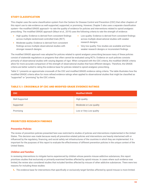#### STUDY CLASSIFICATION

This chapter uses the same classification system from the Centers for Disease Control and Prevention (CDC) that other chapters of this report use to rate evidence as well-supported, supported, or promising. However, Chapter 5 also uses a separate classification system—the modified GRADE approach—to rate the quality of evidence for policies and interventions related to opioid analgesic prescribing. The modified GRADE approach (Mauri et al., 2019) uses the following criteria to rate the strength of evidence:

- **•** High quality: Evidence is derived from consistent findings across multiple randomized controlled trials (RCT).
- **•** Moderate quality: Evidence is derived from consistent findings across multiple observational studies with stronger research designs.
- **•** Low quality: Evidence is derived from consistent findings across multiple observational studies with weaker research designs.
- **•** Very low quality: Few studies are available and have weaker research designs or inconsistent findings.

The modified GRADE approach was adopted for policies related to opioid analgesic prescribing because many of these policies consist of statewide regulations or programs that often cannot be evaluated using RCTs. Evidence on such policies consists primarily of observational studies with varying degrees of rigor. When compared with the CDC criteria, the modified GRADE criteria allow for more accurate comparison of the strength of observational studies that have different designs. Therefore, the GRADE criteria are better suited to rating the evidence base for policies related to opioid analgesic prescribing.

Table 5.1 presents an approximate crosswalk of the CDC and modified GRADE evidence rating criteria. The table illustrates how the modified GRADE criteria allow for more refined evidence ratings when applied to observational studies that might be classified as "supported" or "promising" by the CDC criteria.

#### TABLE 5.1: CROSSWALK OF CDC AND MODIFIED GRADE EVIDENCE RATINGS

| <b>CDC</b>     | <b>Modified GRADE</b>   |
|----------------|-------------------------|
| Well-Supported | High quality            |
| Supported      | Moderate or Low quality |
| Promising      | Low or Very Low quality |

#### PRIORITIZED RESEARCH FINDINGS

#### *Prevention Policies*

The review of prevention policies presented here was restricted to studies of policies and interventions implemented in the United States. This decision was made because nearly all prevention-related policies and interventions are heavily intertwined with or influenced by the regulatory, financing, and social safety net infrastructures of the countries in which they are implemented. It is important for the purposes of this report to evaluate the effectiveness of different prevention policies in the unique context of the United States.

#### *Children and Families*

In reviewing interventions to mitigate harms experienced by children whose parents misuse addictive substances, this report prioritizes studies that exclusively or primarily examined families affected by opioid misuse. In cases where such evidence was limited, the review also considered studies that included families affected by misuse of other addictive substances. There were two reasons for including these studies:

**1.** The evidence base for interventions that specifically or exclusively target families affected by opioid misuse is more limited.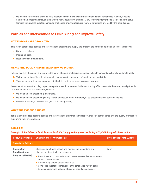**2.** Opioids are far from the only addictive substances that may have harmful consequences for families. Alcohol, cocaine, and methamphetamine misuse also affects many adults with children. Many effective interventions are designed to serve families with diverse substance misuse challenges and, therefore, are relevant to families affected by the opioid crisis.

# **Policies and Interventions to Limit Supply and Improve Safety**

#### HOW FINDINGS ARE ORGANIZED

This report categorizes policies and interventions that limit the supply and improve the safety of opioid analgesics, as follows:

- **•** State-level policies.
- **•** Insurer policies.
- **•** Health system interventions.

#### MEASURING POLICY AND INTERVENTION OUTCOMES

Policies that limit the supply and improve the safety of opioid analgesics prescribed in health care settings have two ultimate goals:

- **1.** To improve patients' health outcomes by decreasing the incidence of opioid misuse and OUD.
- **2.** To subsequently decrease negative opioid-related outcomes, such as opioid overdose.

Few evaluations examine policy impacts on patient health outcomes. Evidence of policy effectiveness is therefore based primarily on intermediate outcome measures, such as:

- **•** Opioid analgesic prescribing/dispensing.
- **•** Opioid analgesic prescribing safety related to dose, duration of therapy, or co-prescribing with benzodiazepines.
- **•** Provider knowledge of opioid analgesic prescribing safety.

#### WHAT THE EVIDENCE SHOWS

Table 5.2 summarizes specific policies and interventions examined in this report, their key components, and the quality of evidence supporting their effectiveness.

#### TABLE 5.2:

#### *Strength of the Evidence for Policies to Limit the Supply and Improve the Safety of Opioid Analgesic Prescriptions*

| <b>Policy/Intervention</b>                                               | <b>Summary and Key Components</b>                                                                                                                                                                                                                                                                                                                                                       |                  |
|--------------------------------------------------------------------------|-----------------------------------------------------------------------------------------------------------------------------------------------------------------------------------------------------------------------------------------------------------------------------------------------------------------------------------------------------------------------------------------|------------------|
| <b>State-Level Policies</b>                                              |                                                                                                                                                                                                                                                                                                                                                                                         |                  |
| <b>Prescription</b><br><b>Drug Monitoring</b><br><b>Programs (PDMPs)</b> | Electronic databases collect and monitor the prescribing and<br>dispensing of controlled substances.<br>Prescribers and pharmacists and, in some states, law enforcement<br>consult the databases.<br>• Data-sharing across state lines varies.<br>• Controlled substances included in the databases vary by state.<br>• Screening identifies patients at risk for opioid use disorder. | Low <sup>2</sup> |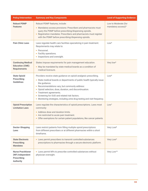| <b>Policy/Intervention</b>                                                                                                                                                                                                                                                                                                        | <b>Summary and Key Components</b>                                                                                                                                                                                                                                                                                                                                                                                                   | <b>Level of Supporting Evidence</b>                    |
|-----------------------------------------------------------------------------------------------------------------------------------------------------------------------------------------------------------------------------------------------------------------------------------------------------------------------------------|-------------------------------------------------------------------------------------------------------------------------------------------------------------------------------------------------------------------------------------------------------------------------------------------------------------------------------------------------------------------------------------------------------------------------------------|--------------------------------------------------------|
| <b>Robust PDMP</b><br>Robust PDMP features, include:<br><b>Features</b><br>• Mandatory access provisions: Prescribers and pharmacists must<br>query the PDMP before prescribing/dispensing opioids.<br>• Registration mandates: Prescribers and pharmacists must register<br>with the PDMP before prescribing/dispensing opioids. |                                                                                                                                                                                                                                                                                                                                                                                                                                     | Low to Moderate (for<br>mandatory access) <sup>3</sup> |
| <b>Pain Clinic Laws</b>                                                                                                                                                                                                                                                                                                           | Laws regulate health care facilities specializing in pain treatment.<br>Requirements may relate to:<br>• Personnel.<br>• Facility operations.<br>• Inspections and oversight.                                                                                                                                                                                                                                                       | Low <sup>4</sup>                                       |
| <b>Continuing Medical</b><br><b>Education (CME)</b><br><b>Requirements</b>                                                                                                                                                                                                                                                        | States impose requirements for pain management education.<br>• May be mandated by state medical boards as a condition of<br>medical licensure.                                                                                                                                                                                                                                                                                      | Very low <sup>5</sup>                                  |
| <b>State Opioid</b><br><b>Prescribing</b><br><b>Guidelines</b>                                                                                                                                                                                                                                                                    | Providers receive state guidance on opioid analgesic prescribing.<br>• State medical boards or departments of public health typically issue<br>the guidance.<br>• Recommendations vary, but commonly address:<br>• Opioid selection, dose, duration, and discontinuation.<br>• Treatment agreements.<br>• Screening for OUD and related risk factors.<br>• Monitoring strategies, including urine drug testing and visit frequency. | Low <sup>6</sup>                                       |
| <b>Opioid Prescription</b><br><b>Limitation Laws</b>                                                                                                                                                                                                                                                                              | Laws regulate the characteristics of opioid prescriptions. Laws most<br>commonly:<br>• Address dose and duration limits.<br>• Are restricted to acute pain treatment.<br>• Offer exemptions for certain patient populations, like cancer patients.                                                                                                                                                                                  | Low <sup>7</sup>                                       |
| <b>Doctor-Shopping</b><br>Laws                                                                                                                                                                                                                                                                                                    | Laws restrict patients from filling multiple opioid prescriptions<br>from different prescribers or at different pharmacies within a short<br>timeframe.                                                                                                                                                                                                                                                                             | Very Low <sup>8</sup>                                  |
| <b>State Electronic</b><br><b>Prescribing</b><br><b>Mandates</b>                                                                                                                                                                                                                                                                  | • Laws permit prescribers to transmit controlled-substances<br>prescriptions to pharmacies through a secure electronic platform.                                                                                                                                                                                                                                                                                                    | Very Low <sup>9</sup>                                  |
| <b>Nurse Practitioner</b><br>(NP) Independent<br><b>Prescribing</b><br><b>Authority</b>                                                                                                                                                                                                                                           | • Laws permit NPs to prescribe controlled substances without<br>physician oversight.                                                                                                                                                                                                                                                                                                                                                | Very Low <sup>10</sup>                                 |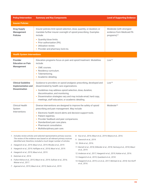| <b>Policy/Intervention</b><br><b>Summary and Key Components</b>                                                                                                                                                                                                                                                                                 |                                                                                                                                                                                                                                                                                                                                                         | <b>Level of Supporting Evidence</b>                                              |
|-------------------------------------------------------------------------------------------------------------------------------------------------------------------------------------------------------------------------------------------------------------------------------------------------------------------------------------------------|---------------------------------------------------------------------------------------------------------------------------------------------------------------------------------------------------------------------------------------------------------------------------------------------------------------------------------------------------------|----------------------------------------------------------------------------------|
| <b>Insurer Policies</b>                                                                                                                                                                                                                                                                                                                         |                                                                                                                                                                                                                                                                                                                                                         |                                                                                  |
| <b>Drug Supply</b><br>Insurer policies limit opioid selection, dose, quantity, or duration; or<br>mandate further insurer oversight of opioid prescribing. Examples<br><b>Management</b><br><b>Policies</b><br>include:<br>• Quantity/dose limits.<br>• Prior authorization (PA).<br>• Utilization review.<br>• Provider and pharmacy lock-ins. |                                                                                                                                                                                                                                                                                                                                                         | Moderate (with strongest<br>evidence from Medicaid PA<br>programs) <sup>11</sup> |
| <b>Health System Interventions</b>                                                                                                                                                                                                                                                                                                              |                                                                                                                                                                                                                                                                                                                                                         |                                                                                  |
| <b>Provider</b><br><b>Education on Pain</b><br><b>Management</b>                                                                                                                                                                                                                                                                                | Education programs focus on pain and opioid treatment. Modalities<br>include:<br>• CME courses.<br>Residency curriculum.<br>Telementoring.<br>۰<br>• Academic detailing.                                                                                                                                                                                | L <sub>OW</sub> <sup>12</sup>                                                    |
| <b>Clinical Guideline</b><br><b>Implementation and</b><br><b>Dissemination</b>                                                                                                                                                                                                                                                                  | Guidance to providers on opioid analgesic prescribing, developed and<br>disseminated by health care organizations.<br>• Guidelines may address opioid selection, dose, duration,<br>discontinuation, and monitoring.<br>· Dissemination strategies vary and may include email, hard copy,<br>meetings, staff education, or academic detailing.          | Low <sup>13</sup>                                                                |
| <b>Clinical Health</b><br>System<br>Interventions                                                                                                                                                                                                                                                                                               | Diverse interventions are designed to improve the safety of opioid<br>prescribing and pain management. May include:<br>• Electronic health record alerts and decision-support tools.<br>• Patient registries.<br>Provider feedback and peer comparisons.<br>Standardized pain care plans.<br>Pharmacist consultation.<br>• Multidisciplinary pain care. | Moderate <sup>14</sup>                                                           |

*1. Includes review articles and selected representative primary sources. The review of the evidence was based on all relevant primary sources identified and, therefore, included a much larger number of articles.* 

*2. Haegerich et al., 2019; Mauri et al., 2019; Rhodes et al., 2019.*

*3. Haegerich et al., 2019; Haffajee et al., 2018; Mauri et al., 2019.*

*4. Haegerich et al., 2019; Mauri et al., 2019.*

*5. Katzman et al., 2014.*

*6. Fulton-Kehoe et al., 2015; Mauri et al., 2019; Sullivan et al., 2016; Weiner et al., 2017.*

*7. Agarwal et al., 2019; Mauri et al., 2019; Sacks et al., 2019.*

- *8. Kuo et al., 2016; Mauri et al., 2019; Meara et al., 2016.*
- *9. Danovich et al., 2019.*
- *10. Shirle et al., 2016.*
- *11. Barnett et al., 2018; Dillender et al., 2018; Hartung et al., 2018; Mauri et al., 2019.*
- *12. Anderson et al., 2017; Haegerich et al., 2019; Kattan et al., 2016.*
- *13. Haegerich et al., 2019; Quanbeck et al., 2018.*
- *14. Haegerich et al., 2019; Lin et al., 2017; Michael et al., 2018; Von Korff et al., 2016.*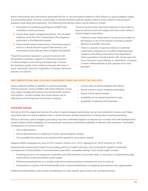Most of the policies and interventions examined had low- or very low-quality evidence of their effects on opioid analgesic supply and prescribing safety. However, several types of policies showed moderate-quality evidence of their ability to reduce opioid analgesic prescribing and dispensing. The following three policies, which may be effective, include:

- **1.** Prescription Drug Monitoring Programs (PDMP) with mandatory access provisions.
- **2.** Insurer drug supply management policies. The strongest evidence came from Prior Authorization (PA) programs, particularly in the Medicaid program.
- **3.** Clinical health system interventions. Promising evidence exists on clinical decision support interventions, and interventions that notify providers of higher-risk patients.

These three policies represent a subset of policies with the greatest evidentiary support for achieving reductions in opioid analgesic prescribing and dispensing. However, the moderate quality of the evidence indicates that there is some uncertainty about the magnitude of changes that these policies can achieve.

There are several other important limitations to the evidence base for policies to limit the supply and improve the safety of opioid analgesic prescribing:

- **•** Evidence is very limited and of very low to low quality for the impacts of any of the policies reviewed on patient behavior and health outcomes.
- **•** There is a paucity of rigorous evidence on potential unintended consequences of policies targeting opioid analgesic prescribing, particularly in key populations. These populations include patients with chronic pain who are on long-term opioid therapy, or racial/ethnic minorities in whom undertreatment of pain appears to be more prevalent.

#### IMPLEMENTATION AND SCALING CONSIDERATIONS FOR EFFECTIVE POLICIES

States weighing whether to establish or expand potentially effective policies—such as PDMPs with robust features, insurer drug supply management policies, and clinical health systems interventions—should consider how those policies will be affected by several important local trends, including:

- **•** Current rates of opioid analgesic prescribing.
- **•** Recent trends in opioid analgesic prescribing.
- **•** Extent of illicit opioid markets.
- **•** Availability of non-opioid treatment for pain.
- **•** Availability of effective OUD treatment.

#### *Vulnerable Settings*

Policies to limit the supply and improve the safety of opioid analgesic prescribing may be more beneficial in locales with higher prescribing rates for opioid analgesics than in states that have already achieved low or falling rates of opioid prescribing.

Efforts to decrease opioid analgesic prescribing may have unintended negative consequences in locales with well-developed illicit opioid markets, limited availability of non-opioid pain treatments, and limited availability of effective OUD treatment. Unintended consequences of concern include:

- **•** Pain undertreatment.
- **•** Abrupt discontinuation or tapering of chronic opioid analgesic therapy.
- **•** The possibility that patients may substitute illicit opioids for prescription opioids.

Negative health consequences, such as HCV infection (Fenton et al., 2019; Lagisetty et al., 2019; Powell et al., 2019).

Systematically assessing the impact of prescribing policies on health outcomes, and monitoring for negative unintended consequences of these policies, is recommended, especially in vulnerable settings. Such locales might consider:

- Providing access to non-opioid pain treatments and OUD treatment concurrently while, or even prior to, implementing largescale policies to limit prescription opioid supply.
- Piloting proposed policies on a smaller scale and monitoring adverse consequences prior to scale-up.
- **•** Scaling back on policies with limited benefits and/or demonstrated harms or targeting those policies more appropriately.

Additional implementation and scaling considerations for each specific type of policy are summarized below.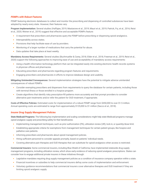#### *PDMPs with Robust Features*

PDMP featuring electronic databases to collect and monitor the prescribing and dispensing of controlled substances have been adopted by nearly every state. However, their features vary.

**Program Implementation:** Several studies (Haffajee, 2019; Mastarone et al., 2019; Mauri et al., 2019; Patrick, Fry, et al., 2016; Reist et al., 2020; Weiner et al., 2019) suggest that effective and acceptable PDMPs feature:

- **•** A requirement that prescribers and pharmacies query the PDMP before prescribing or dispensing opioid analgesics.
- **•** Interoperability across states.
- **•** Provisions that help facilitate ease of use by providers.
- **•** Monitoring of a larger number of medications that carry the potential for abuse.
- **•** Data updates that take place at least weekly.

**Mandatory Access Requirements:** Several studies (Buchmueller & Carey, 2018; Elder et al., 2018; Freeman et al., 2019; Reist et al., 2020) support the following approaches to improving ease of use and acceptability of mandatory access requirements:

- **•** Using a health information technology platform that can be integrated easily into existing electronic health records systems in physician offices and pharmacies.
- **•** Educating prescribers and pharmacists regarding program features and requirements.
- **•** Engaging prescribers and pharmacists in efforts to improve database design and usability.

**Mitigating Unintended Consequences:** Several implementation strategies have the potential to mitigate adverse unintended consequences of robust PDMPs:

- **•** Consider exempting prescribers and dispensers from requirements to query the database for certain patients, including those with terminal illness or those enrolled in a hospice program.
- **•** Create algorithms that identify risky prescription-fill patterns more accurately and that prompt providers to consider alternative pain treatments and/or refer the patient for OUD treatment, if appropriate.

**Costs of Effective Policies:** Estimated costs for implementation of a robust PDMP range from \$450,000 to over \$1.5 million. Annual operating costs are estimated to range from approximately \$125,000 to \$1 million (Sacco et al., 2018).

#### *Insurer Drug Supply Management Policies*

**State Medicaid Programs:** The following key implementation and scaling considerations might help state Medicaid programs manage opioid analgesic supply and prescribing safety for their beneficiaries:

- **•** Implementing management techniques, such as prior authorization (PA), utilization review (UR), lock-in, or quantity/dose limit.
- **•** Establishing appropriate criteria for exemptions from management techniques for certain patient groups, like hospice and palliative care patients.
- **•** Informing prescribers and pharmacists about opioid management policies.
- **•** Hiring sufficient personnel to consider appeals promptly, based on patients' individual needs.
- **•** Covering alternative pain therapies and OUD therapies that can substitute for opioid analgesics when access is restricted.

**Commercial Insurers:** Some commercial insurers, including Blue Shield of California, have implemented statewide drug supply management programs, including utilization review, which show early evidence of reducing opioid analgesic prescriptions. States can consider how to engage additional private insurers in these initiatives through:

- **•** Legislative mandates requiring drug supply management policies as a condition of insurance company operation within a state.
- **•** Financial incentives or subsidies to help commercial insurers defray some costs of implementation and enforcement.
- **•** Voluntary guidance recommendations that commercial insurers cover alternative therapies and OUD treatment if they are limiting opioid analgesic supply.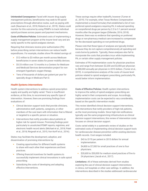**Unintended Consequence:** Faced with insurer drug supply management policies, beneficiaries may seek to fill opioid prescriptions through alternative routes, such as paying with cash (Naumann et al., 2018; Roberts et al., 2019). States could monitor for this outcome by using PDMPs to track individual opioid purchases across payers and payment mechanisms.

**Costs of Effective Policies**: Estimated costs of implementing a supply management program at the insurer level vary and are rarely specific to the opioid analgesic domain.

Requiring that clinicians receive prior authorization (PA) before prescribing certain interventions can reduce health expenditures. For example, studies show PA-related savings of:

- **•** \$12 million to \$3 million per month across Medicare beneficiaries in seven states for power mobility devices.
- **•** \$5.33 million over 13 months in a Centers for Medicare and Medicaid Services demonstration project for nonemergent hyperbaric oxygen therapy.
- **•** Tens of thousands of dollars per patient per year for specialty drugs in Medicare Part D.

#### *Health Systems Interventions*

Health system interventions to address opioid prescription supply and quality are highly varied. There is insufficient evidence, at this time, to recommend any specific type of intervention. However, there are promising findings from evaluations of:

- **•** Clinical decision support tools that provide clinicians, administrative staff, patients, caregivers, or other members of the care team with information that is filtered or targeted to a specific person or situation.
- **•** Interventions that notify providers about patients at higher risk for opioid misuse. Promising findings point particularly to unsolicited PDMP reports, registries, and electronic health record alerts (Michael et al., 2018; Patel et al., 2018; Ringwalt et al., 2015; Von Korff et al., 2016).

States may facilitate the development, adoption, and dissemination of promising interventions by:

- **•** Creating opportunities for different health systems to share with each other their experiences and best practices.
- **•** Offering financial incentives for health systems to successfully implement clinical innovations in safe opioid prescribing.
- **•** Subsidizing the costs of developing and adopting effective interventions.

These savings require other tradeoffs, however (Turner et al., 2019). For example, when Texas Workers Compensation implemented a closed formulary that established a list of nonpreferred opioid analgesics requiring PA, it reduced spending on nonpreferred drugs per person by 2.3 to 3.1 percent several months after the program began (Dillender, 2016; 2018). However, there was no evidence that spending on preferred drugs or non-pharmacy medical care increased to compensate for the decreased spending on non-preferred drugs.

Please note that these types of analyses are typically limited because they do not capture comprehensively all spending and costs borne by patients. Typically, these analyses also fail to incorporate the costs that providers incur while implementing PA, or certain other supply management policies.

Estimates of PA implementation costs for physician practices vary and range from between \$2,200 and \$3,400 per physician to \$80,000 annually per physician in 2010 dollars. (Turner et al., 2019). A comprehensive analysis of the costs of insurer-level policies related to opioid analgesic prescribing, particularly PA, would better inform implementation.

**Costs of Effective Policies:** Health system interventions to improve the safety of opioid analgesic prescribing are highly varied in their components and scope. Accordingly, implementation costs can be expected to vary considerably, based on the specific intervention model.

This review identified clinical decision support interventions, and interventions that notify providers of high-risk patients, as the most promising models. Since high-risk notifications typically use the same programming infrastructure as clinical decision support interventions, this review of intervention costs focuses on clinical decision support.

Costs varied widely in a systematic review of studies on the estimated costs of implementing clinical decision support tools for cardiovascular disease prevention within existing electronic health records. Cost ranges included:

- **•** \$43 to \$170 per patient in 2015 dollars for annual implementation.
- **•** \$4,800 to \$7,300 for small practices of one to four physicians.
- **•** \$20,600 to \$50,000 for medium-sized practices of five to 24 physicians (Jacob et al., 2017).

**Limitations:** All of these estimates derived from studies exploring the use of clinical decision support interventions in clinics, not hospitals or other care settings. In addition, the interventions described in the studies addressed cardiovascular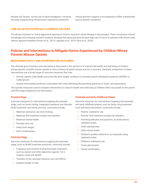disease risk factors, not the use of opioid analgesics. However, the basic programming infrastructure required to implement

clinical decision support is not expected to differ substantially across specific conditions.

#### LOW-VALUE OR POTENTIALLY HARMFUL POLICIES

The abrupt cessation or overly aggressive tapering of chronic, long-term opioid therapy is discouraged. There is extensive clinical knowledge and emerging research evidence showing that these practices present high risk of harms to patients with chronic pain, without apparent benefits (Fenton et al., 2019; Lagisetty et al., 2019; Oliva et al., 2020).

### **Policies and Interventions to Mitigate Harms Experienced by Children Whose Parents Misuse Opioids**

#### MEASURING POLICY AND INTERVENTION OUTCOMES

The ultimate goal of policies and interventions discussed in this section is to improve the health and well-being of children whose parents currently misuse opioids or have a history of opioid misuse and are in recovery. Generally, evaluations of these interventions use a broad range of outcome measures that may:

- **•** Directly capture child health outcomes like birth weight, incidence of neonatal opioid withdrawal syndrome (NOWS), or maltreatment.
- **•** Assess intermediate predictors associated with child well-being like parenting practices or foster care placements.

The specific measures used to evaluate interventions to improve health and well-being of children often vary based on the parentchild life stage targeted by the intervention.

#### *Prenatal Stage*

Outcome measures for interventions targeting the prenatal stage, such as home visiting, integrated substance use disorder (SUD) treatment, and family services, commonly include:

- **•** Maternal substance use and smoking.
- **•** Maternal SUD treatment receipt and retention.
- **•** Maternal mental health.
- **•** Prenatal care use.
- **•** Infant birth weight.
- **•** Birth complications.

#### *Perinatal Stage*

Outcome measures for Interventions targeting the perinatal stage, such as NOWS treatment protocols, commonly include:

- **•** Frequency and duration of pharmacologic treatment such as opioids and other adjunctive agents—for a newborn child with NOWS
- **•** Transfers to the neonatal intensive care unit (NICU).
- **•** Inpatient length of stay.

#### *Postnatal and Early Childhood Stages*

Outcome measures for interventions targeting the postnatal and early childhood phases, such as family drug treatment court and early intervention, commonly include:

- **•** Parents' substance use.
- **•** Parents' SUD treatment receipt and retention.
- **•** Parenting attitudes and practices, as measured by validated scales.
- **•** Child maltreatment.
- **•** Child mental health.
- **•** Children's problem behaviors, as measured using validated scales.
- **•** Children's substance use.
- **•** Foster placements.
- **•** Family reunification.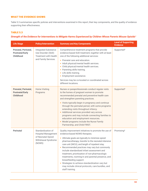#### WHAT THE EVIDENCE SHOWS

Table 5.3 summarizes specific policies and interventions examined in this report, their key components, and the quality of evidence supporting their effectiveness.

#### TABLE 5.3

#### *Strength of the Evidence for Interventions to Mitigate Harms Experienced by Children Whose Parents Misuse Opioids<sup>1</sup>*

| <b>Life Stage</b>                                                  | <b>Policy/Intervention</b>                                                                                | <b>Summary and Key Components</b>                                                                                                                                                                                                                                                                                                                                                                                                                                                                                                                                                                                     | <b>Level of Supporting</b><br><b>Evidence</b> |
|--------------------------------------------------------------------|-----------------------------------------------------------------------------------------------------------|-----------------------------------------------------------------------------------------------------------------------------------------------------------------------------------------------------------------------------------------------------------------------------------------------------------------------------------------------------------------------------------------------------------------------------------------------------------------------------------------------------------------------------------------------------------------------------------------------------------------------|-----------------------------------------------|
| Prenatal, Perinatal,<br><b>Postnatal/Early</b><br>Childhood        | <b>Integrated Substance</b><br>Use Disorder (SUD)<br><b>Treatment with Health</b><br>and Family Services. | Comprehensive treatment programs that provide<br>evidence-based SUD treatment, together with at least<br>one of the following additional services:<br>• Prenatal care and education.                                                                                                                                                                                                                                                                                                                                                                                                                                  | Supported <sup>2</sup>                        |
|                                                                    |                                                                                                           | Adult physical/mental health services.<br>٠<br>Child physical/mental health services.<br>۰<br>Parenting skills training.<br>۰<br>Life skills training.<br>۰<br>Employment assistance.<br>۰                                                                                                                                                                                                                                                                                                                                                                                                                            |                                               |
|                                                                    |                                                                                                           | Services may be co-located or coordinated across<br>different locations.                                                                                                                                                                                                                                                                                                                                                                                                                                                                                                                                              |                                               |
| Prenatal, Perinatal,<br><b>Postnatal/Early</b><br><b>Childhood</b> | <b>Home Visiting</b><br>Programs                                                                          | Nurses or paraprofessionals conduct regular visits<br>to the homes of pregnant women to promote<br>recommended prenatal and preventive health care<br>and strengthen parenting practices.                                                                                                                                                                                                                                                                                                                                                                                                                             | Supported <sup>3</sup>                        |
|                                                                    |                                                                                                           | • Visits typically begin in pregnancy and continue<br>through the perinatal period, with some programs<br>extending visits throughout infancy.<br>• Additional services provided vary across<br>programs and may include connecting families to<br>education and employment resources.<br>• Model programs include the Nurse Family<br>Partnership, and Child FIRST.                                                                                                                                                                                                                                                  |                                               |
| <b>Perinatal</b>                                                   | Standardization of<br><b>Hospital Management</b><br>of Neonatal Opioid<br>Withdrawal Syndrome<br>(NOWS)   | Quality improvement initiatives to promote the use of<br>evidence-based NOWS therapies.<br>• Ultimate goals are typically to minimize opioid<br>pharmacotherapy, transfer to the neonatal intensive<br>care unit (NICU), and length of inpatient stay.<br>• Recommended practices may vary but commonly<br>include standardized infant assessment and<br>treatment, prioritization of non-pharmacologic<br>treatments, rooming-in and parental presence, and<br>breastfeeding support.<br>Strategies to achieve standardization vary but<br>٠<br>may include clinical protocols, care bundles, and<br>staff training. | Promising <sup>4</sup>                        |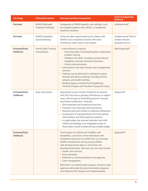| <b>Life Stage</b>                          | <b>Policy/Intervention</b>                      | <b>Summary and Key Components</b>                                                                                                                                                                                                                                                                                                                                                                                                                                                                                                                                                                                           | <b>Level of Supporting</b><br><b>Evidence</b>                           |
|--------------------------------------------|-------------------------------------------------|-----------------------------------------------------------------------------------------------------------------------------------------------------------------------------------------------------------------------------------------------------------------------------------------------------------------------------------------------------------------------------------------------------------------------------------------------------------------------------------------------------------------------------------------------------------------------------------------------------------------------------|-------------------------------------------------------------------------|
| <b>Perinatal</b>                           | NOWS-Dedicated<br><b>Treatment Settings</b>     | Designation of NOWS-specific care settings, such<br>as hospital inpatient units, NICUs, or residential<br>treatment facilities.                                                                                                                                                                                                                                                                                                                                                                                                                                                                                             | Undetermined <sup>5</sup>                                               |
| <b>Perinatal</b>                           | <b>NOWS Outpatient</b><br><b>Opioid Weaning</b> | Protocols allow opioid tapering for infants with<br>NOWS to be completed at home with close<br>monitoring, rather than in the hospital.                                                                                                                                                                                                                                                                                                                                                                                                                                                                                     | Undetermined <sup>6</sup> (Some<br>studies indicate<br>possible harms.) |
| <b>Postnatal/Early</b><br><b>Childhood</b> | <b>Family Skills Training</b><br>Interventions  | • Interventions to improve:<br>• Parenting skills, including discipline, supervision,<br>problem solving.<br>• Childrens' life skills, including socioemotional<br>regulation, and peer pressure resistance.<br>• Family communication.<br>• Interventions may also include case management<br>services.<br>• Training can be delivered in individual or group<br>formats and diverse settings, including homes,<br>schools, and health facilities.<br>Model programs include the Strengthening<br>$\bullet$<br>Families Program and Families Facing the Future.                                                            | Well-Supported <sup>7</sup>                                             |
| <b>Postnatal/Early</b><br>Childhood        | Early Intervention                              | Specialized courts monitor treatment for parents<br>with SUD who have a pending child abuse or neglect<br>case, with the goal of facilitating parents' recovery<br>and family reunification. Features:<br>• SUD treatment and wraparound services.<br>• Frequent court hearings and drug testing.<br>• Rewards/sanctions linked to treatment adherence.<br>• Involvement of representatives from the judicial,<br>child welfare, and SUD treatment systems.<br>• A single judge may oversee treatment and child<br>welfare proceedings in an integrated model, or<br>these tasks may be divided among multiple judges.      | Supported <sup>8</sup>                                                  |
| <b>Postnatal/Early</b><br><b>Childhood</b> |                                                 | The Program for Infants and Toddlers with<br>Disabilities, a provision of the Individuals with<br>Disabilities Education Act (IDEA Part C), promotes<br>healthy development among young children<br>with developmental delay or risk factors for<br>developmental delay. Services vary, but may include:<br>• Health care services.<br>Early education.<br>$\bullet$<br>Referrals to community-based care agencies.<br>$\bullet$<br>• Case management.<br>IDEA Part C is a federal grant program. However, state<br>agencies administer the early intervention programs<br>and influence their features and implementation. | Supported <sup>9</sup>                                                  |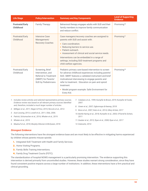| <b>Life Stage</b>                   | <b>Policy/Intervention</b>                                                                                                   | <b>Summary and Key Components</b>                                                                                                                                                                                                                                                                                                                                  | <b>Level of Supporting</b><br><b>Evidence</b> |
|-------------------------------------|------------------------------------------------------------------------------------------------------------------------------|--------------------------------------------------------------------------------------------------------------------------------------------------------------------------------------------------------------------------------------------------------------------------------------------------------------------------------------------------------------------|-----------------------------------------------|
| <b>Postnatal/Early</b><br>Childhood | <b>Family Therapy</b>                                                                                                        | Behavioral therapy engages adults with SUD and their<br>family members to improve family communication<br>and reduce conflict.                                                                                                                                                                                                                                     | Promising <sup>10</sup>                       |
| Postnatal/Early<br>Childhood        | Intensive Case<br>Management/<br>Recovery Coaches                                                                            | Case managers/recovery coaches are assigned to<br>parents with SUD and assist with:<br>• Care coordination.<br>Reducing barriers to service use.<br>Patient outreach.<br>$\bullet$<br>Assessment of clinical and social service needs.<br>Interventions can be embedded in a range of<br>settings, including SUD treatment programs and<br>child welfare agencies. | Promising <sup>11</sup>                       |
| Postnatal/Early<br>Childhood        | Screening, Brief<br>Intervention, and<br><b>Referral to Treatment</b><br>(SBIRT) for Parents'<br><b>SUD by Pediatricians</b> | Pediatric primary care-based intervention to screen<br>for adverse childhood experiences including parents'<br>SUD, SBIRT features a validated instrument and brief<br>motivational interviewing to engage parents and<br>refer to treatment. Education on pain and opioid<br>treatment.<br>Model program example: Safe Environment for<br>$\bullet$<br>Every Kid. | Promising <sup>12</sup>                       |

| 1. Includes review articles and selected representative primary sources.<br>Evidence review was based on all relevant primary sources identified | 7. Catalano et al., 1999; Kumpfer & Brown, 2019; Kumpfer & Fowler,<br>2007. |
|--------------------------------------------------------------------------------------------------------------------------------------------------|-----------------------------------------------------------------------------|
| and, therefore, included a much larger number of articles.                                                                                       | 8. Green et al., 2007; Ogbonnaya & Keeney, 2018                             |
| 2. Milligan et al., 2011; Neger & Prinz, 2015; Niccols et al., 2012.                                                                             | 9. Bono et al., 2007; Katz et al., 2014; Ullery & Katz, 2017                |
| 3. Azzi-Lessing, 2013; Lowell et al., 2011; Olds, 2006.                                                                                          | 10. Bartle-Haring et al., 2018; Kumpfer et al., 2003; O'Farrell & Schein,   |
| 4. Patrick, Schumacher et al., 2016; Whalen et al., 2019.                                                                                        | 2011                                                                        |
| 5. Whalen et al., 2019.                                                                                                                          | 11. Dauber et al., 2012; Ryan et al., 2008; Ryan et al., 2017               |
| 6. Maalouf et al., 2018; Murphy-Oikonen & McQueen, 2018.                                                                                         | 12. Dubowitz, 2014                                                          |

#### *Strongest Evidence*

The following interventions have the strongest evidence base and are most likely to be effective in mitigating harms experienced by children whose parents misuse opioids:

- **1.** Integrated SUD Treatment with Health and Family Services.
- **2.** Home Visiting Programs.
- **3.** Family Skills Training Interventions.
- **4.** Family Drug Treatment Courts (FDTC).

The standardization of hospital NOWS management is a particularly promising intervention. The evidence supporting this intervention is derived primarily from uncontrolled studies. However, these studies warrant strong consideration, since they have found consistent positive impacts across a large number of institutions. In addition, these interventions have a firm practical and clinical grounding.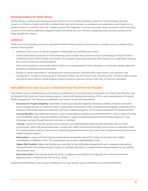#### *Promising Evidence for Family Therapy*

Family therapy is rated as promising given this section's focus on child well-being. Evidence of family therapy's positive impacts on children of adults with SUD is limited. Note that family therapy is considered well-supported overall, based on its positive impacts on patients with OUD. Evidence-based OUD treatment for parents has been shown to improve child and family outcomes even without additional integrated health and family services. However, integrating these services achieves even larger benefits for children.

#### *Limitations*

There are several important limitations associated with the evidence base for interventions to mitigate harms to children whose parents misuse opioids:

- **•** Evidence of the impacts on direct measures of child health and well-being are limited.
- **•** Certain intermediate measures of child well-being used in studies discussed here may be challenging to interpret without understanding the child's broader environment. For example, foster placements are often viewed as an undesirable outcome but, in some instances, may be beneficial.
- **•** With some exceptions, most studies follow children for a limited period of time. Therefore, it is uncertain whether observed benefits are sustained over the long term.
- **•** Studies of certain interventions—including home visiting programs, parenting skills interventions, and intensive case management—enrolled a diverse group of vulnerable families, not all of whom were affected by SUD. Therefore, there is some uncertainty about whether similar program impacts would be observed among a SUD-only, or OUD-only, population.

#### IMPLEMENTATION AND SCALING CONSIDERATIONS FOR EFFECTIVE POLICIES

This chapter reviews implementation and scaling considerations for the interventions considered most likely to be effective, such as integrated SUD treatment, home visiting programs, family skills training interventions, FDTCs, and standardization of hospital NOWS management. The following considerations are relevant to all such interventions:

- **• Screening for Program Eligibility:** Systematic screening for program eligibility, followed by referral, should be conducted across multiple settings to connect families to appropriate interventions. These settings include hospitals, outpatient clinics, Medicaid, child welfare agencies, Head Start and other childcare programs, and Temporary Assistance for Needy Families.
- **• Covered Benefits:** State Medicaid programs could include effective programs as covered benefits in order to improve access and affordability. States may use legislative mandates to require commercial insurers to cover these programs or may encourage coverage through financial incentives or subsidies.
- **• Training**: Impacts are generally greater when programs are implemented by highly trained individuals who are health professionals, rather than paraprofessionals. Locales with health professional shortages may not have an adequate supply of trained providers to deliver interventions. Substituting paraprofessionals may lower costs of implementation but may also weaken program impacts.
- **• Interventions**: Longer and more intensive interventions are typically required for higher-risk families with multiple vulnerabilities in addition to OUD. This requirement may increase implementation costs.
- **• Higher-Risk Families:** Higher-risk families are more likely to face difficulties engaging with and completing interventions. These difficulties may weaken program impacts or interfere with efforts to target evidence-based programs to the families with greatest need.
- **Early Intervention:** Interventions beginning earlier in pregnancy and childhood are typically more effective than those beginning later in childhood (van der Put et al., 2018).

Additional implementation and scaling considerations for each specific type of intervention are summarized below.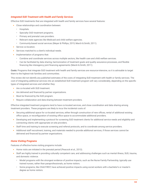#### *Integrated SUD Treatment with Health and Family Services*

Effective SUD treatments that are integrated with health and family services have several features:

- **•** Close relationships and coordination between:
	- Hospitals.
	- Specialty OUD treatment programs.
	- Primary and prenatal care providers.
	- Relevant state agencies like Medicaid and child welfare agencies.
	- Community-based social services (Meyer & Phillips, 2015; March & Smith, 2011).
- **•** Service co-location.
- **•** Services matched to a client's individual needs.
- **•** Implementation of programs that:
	- Combine and coordinate services across multiple sectors, like health care and child welfare services.
	- Can be facilitated by data sharing, harmonization of treatment goals and quality assurance processes, and flexible financing like interagency joint financing agreements (Marsh & Smith, 2011).

**Costs:** Programs that integrate SUD treatment with health and family services are resource-intensive, so it is advisable to target them to the highest-risk families and communities.

This review did not identify any published estimates of the costs of integrating SUD treatment with health or family services. The cost of integrating additional services into an established SUD treatment program will vary considerably, depending on the specific types of integrated services and whether they:

- **•** Are co-located with SUD treatment.
- **•** Are delivered and financed by partner organizations.
- **•** Must be financed by the SUD program.
- **•** Require collaboration and data-sharing between treatment providers.

Effective integrated treatment programs tend to have co-located services, and close coordination and data sharing among treatment providers. These programs are likely to incur the incidental costs of:

- **•** Securing additional space for co-located services, either through construction of new offices, rental of additional existing office space, or reconfiguration of existing office space to accommodate additional providers.
- **•** Developing and implementing a protocol for screening SUD treatment clients for additional service needs and eligibility and connecting clients with appropriate on-site providers.
- **•** Staff time and training to execute screening and referral protocols, and to coordinate among service providers.
- **•** Additional staff recruitment, training, and materials needed to provide additional services, if those services cannot be delivered and financed by partner organizations.

#### *Home Visiting Programs*

Features of effective home visiting programs include:

- **•** Home visits are initiated in the prenatal period (Peacock et al., 2013).
- **•** Staff are highly trained in providing culturally competent care, and addressing challenges such as mental illness, SUD, trauma, and domestic violence.
	- Model programs with the strongest evidence of positive impacts, such as the Nurse Family Partnership, typically use trained nurses, rather than paraprofessionals, as home visitors.
	- Some programs, like Child FIRST, have achieved positive impacts using social workers with a bachelor's or master's degree as home visitors.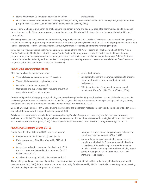• Home visitors receive frequent supervision by trained **professionals**.

**•** Home visitors collaborate with other service providers, including professionals in the health care system, early intervention programs like IDEA Part C, and child welfare agencies (Azzi-Lessing, 2013).

**Costs**: Home visiting programs may be challenging to implement in rural and sparsely populated communities due to increased travel time and costs. These programs are resource-intensive, so it is advisable to target them to the highest-risk families and communities.

The average cost per family served in a home visiting program is \$6,583 in 2012 dollars, based on a cost survey of five rigorously studied home visiting programs implemented across 19 different agencies (Burwick et al., 2014). Studied programs included Nurse Family Partnership, Healthy Families America, SafeCare, Parents as Teachers, and Positive Parenting Program.

Costs per family served varied widely across programs, ranging from \$2,372 for Parents as Teachers, to \$8,000 for the Nurse Family Partnership. The higher cost of the Nurse Family Partnership program was attributed to the fact that it was the only program among the five programs studies that required home visitors to have a bachelor's degree in nursing. Salaries for these home visitors tended to be higher than salaries in other programs. Notably, these cost estimates are all derived from "real-world" programs rather than randomized controlled trials (RCT).

#### *Family Skills Training Interventions*

Effective family skills training programs:

- **•** Typically lasts between seven and 15 sessions.
- **•** Target children age 3 through adolescence.
- **•** Are adapted to be age appropriate.
- **•** Use trained and supervised staff, including prevention specialists, to deliver interventions.
- **•** Involve both parents.
- **•** Use culturally-sensitive program adaptations to improve retention of families from racial/ethnic minority backgrounds.
- **•** Offer incentives for attendance to improve overall recruitment (Kumpfer, 2014; Von Korff et al., 2016).

Certain family skills training programs, including the Strengthening Families Program, have been successfully adapted from the traditional group format to a DVD-format that allows for program delivery at a lower cost in multiple settings, including schools, health facilities, and child welfare and juvenile justice settings (Von Korff et al., 2016).

**Costs of Effective Policies:** Family skills training interventions are moderately resource-intensive and could be prioritized in states and sub-state regions with a higher burden of parental OUD.

Published cost estimates are available for the Strengthening Families Program, a model program that has been rigorously evaluated in multiple RCTs. Using the group-based service delivery format, the average cost for a single-child family is \$1,662 in 2011 dollars (Johnson-Motoyama, 2013). These cost estimates are derived from "real-world" program settings, not RCTs.

### *Family Drug Treatment Courts (FDTC)*

Family Drug Treatment Courts (FDTC) programs feature:

- **•** Frequent contact with the court (Lloyd, 2015).
- **•** Early involvement of families affected by SUD (Choi, 2012).
- **•** Access to medication treatment for clients with OUD. Certain courts prohibit medication treatment for OUD (Tabashneck, 2018).
- **•** Collaboration among judicial, child welfare, and SUD

treatment programs to develop consistent policies and coordinate case management (Choi, 2012).

**•** Integrated models in which a single judge oversees compliance with both OUD treatment and child welfare proceedings. This model may be more effective than models in which monitoring is shared by multiple judges/ courts (Chuang et al., 2012; Green et al., 2007; van Wormer & Hsieh, 2016).

There is longstanding evidence of disparities in the treatment of racial/ethnic minorities by the court, child welfare, and health care systems (Choi, 2012). Monitoring the outcomes of minority families served by FDTCs is critical to preventing and addressing racial/ethnic disparities in FDTC program outcomes.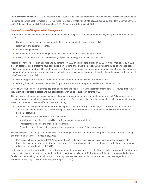**Costs of Effective Policies:** FDTCs are resource-intensive, so it is advisable to target them to the highest-risk families and communities.

Published operating cost estimates for FDTCs range from approximately \$8,300 to \$10,900 per single-child family served per year, in 2014 dollars (Brook et al., 2016; Burrus et al., 2011; Zeller, Hornby & Ferguson, 2007).

#### *Standardization of Hospital NOWS Management*

Components of successful quality-improvement initiatives for hospital NOWS management have typically included (Whalen et al., 2019):

- **•** Standardized screening and assessment tools to diagnose and rate the severity of NOWS.
- **•** Rooming-in and parental presence.
- **•** Breastfeeding support.
- **•** Prioritization of non-pharmacologic therapies like a standard, non-pharmacologic bundle.
- **•** Protocol for initiation, titration, and weaning of pharmacotherapy with opioids or other agents.

Medicaid covers 43 percent of all births and 80 percent of NOWS-affected births (Martin et al., 2018; Winkelman et al., 2018). As a result, state Medicaid programs have considerable leverage to encourage the adoption and standardization of evidence-based NOWS management practices. This could be achieved through, for example, enhanced reimbursement rates for facilities achieving a high rate of guideline-concordant care. State health departments can also encourage the wider dissemination of evidence-based NOWS treatment protocols by:

- **•** Mandating protocol adoption or development as a condition of hospital licensure/accreditation.
- **•** Offering financial incentives or subsidies for protocol adoption and integration into electronic health records.

**Costs of Effective Policies:** Initiatives designed to standardize hospital NOWS management are moderately resource-intensive, so they might be prioritized in states and sub-state regions with a higher burden of parental OUD.

This review did not identify any published cost estimates for implementing interventions to standardize NOWS management in hospitals. However, such interventions are believed to be cost-effective since they have been associated with substantial savings in NICU and inpatient costs for affected infants, including:

- **•** A decrease in average hospital costs for opioid-exposed newborns from \$11,000 to \$5,300 per newborn in 2015 dollars. These savings were reported by Children's Hospital at Dartmouth-Hitchcock for prenatal care and OUD treatment center programs featuring:
	- Standardized infant-centered NOWS assessment.
	- Non-pharmacologic interventions like rooming-in and volunteer "cuddlers."
	- Protocols for the use of pharmacologic treatments.
	- Education outreach to at-risk pregnant women at prenatal care and OUD treatment centers

These savings were driven by decreased use of pharmacologic treatment and decreased length-of-stay among infants requiring pharmacologic treatment (Holmes et al., 2016).

**•** Decreases in hospital costs by \$27,090 per patient, in 2015 dollars. These savings were reported by the University of Louisville Hospital for implementation of a more aggressive morphine-weaning protocol, together with changes in non-opioid adjunctive therapy (Devlin et al., 2017).

Neither of these studies reported the costs of implementing standardized care protocols. However, other implementing institutions have reported that these protocols are typically limited to retraining existing staff, devoting staff time to engaging and educating families, and establishing relationships with community partners (Dickes et al., 2017). As a result, it has been argued that such interventions are likely to be cost-effective (Summey et al., 2017).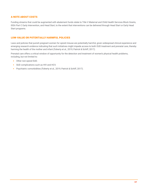#### A NOTE ABOUT COSTS

Funding streams that could be augmented with abatement funds relate to Title V Maternal and Child Health Services Block Grants, IDEA Part C Early Intervention, and Head Start, to the extent that interventions can be delivered through Head Start or Early Head Start programs.

#### LOW-VALUE OR POTENTIALLY HARMFUL POLICIES

Laws and policies that punish pregnant women for opioid misuse are potentially harmful, given widespread clinical experience and emerging research evidence indicating that such initiatives might impede access to both OUD treatment and prenatal care, thereby harming the health of the mother and infant (Faherty et al., 2019; Patrick & Schiff, 2017).

Prenatal care offers a critical window of opportunity for the detection and treatment of women's physical health problems, including, but not limited to:

- **•** Other non-opioid SUD.
- **•** SUD complications such as HIV and HCV.
- **•** Psychiatric comorbidities (Faherty et al., 2019; Patrick & Schiff, 2017).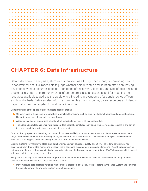

# **CHAPTER 6: Data Infrastructure**

Data collection and analysis systems are often seen as a luxury when money for providing services is constrained. Yet, it is impossible to judge whether opioid-related amelioration efforts are having any impact without accurate, ongoing, monitoring of the severity, location, and type of opioid-related problems in a state or community. Data infrastructure is also an essential tool for mapping the resources available to address the opioid crisis, including prevention professionals, police officers, and hospital beds. Data can also inform a community's plans to deploy those resources and identify gaps that should be targeted for additional investment.

Certain features of the opioid crisis complicate data monitoring:

- **1.** Opioid misuse is illegal, and often involves other illegal behaviors, such as stealing, doctor shopping, and prescription fraud. Understandably, people are unlikely to self-report.
- **2.** Addiction is a deeply stigmatized condition that individuals may not wish to acknowledge.
- **3.** The addicted population is often hard to reach. This population includes individuals who are homeless, shuttle in and out of jails and hospitals, or drift from community to community.

Data monitoring systems built entirely on household surveys are likely to produce inaccurate data. Better systems would use a range of data-collection methods, including biological and administrative measures like wastewater analysis, urine screens of individuals entering jails, and medical diagnostic data from hospitals and clinics.

Existing systems for monitoring state-level data have inconsistent coverage, quality, and utility. The federal government has disinvested from drug-related monitoring in recent years, canceling the Arrestee Drug Abuse Monitoring (ADAM) program, which gathered vital data from drug-using individuals entering jails, and the Drug Abuse Warning Network (DAWN) program, which tracked substance-related emergency room visits.

Many of the surviving national data-monitoring efforts are inadequate for a variety of reasons that lessen their utility for state policy formation and evaluation. These monitoring efforts:

**•** Don't measure opioid-related variables with sufficient precision. The Behavior Risk Factors Surveillance System and National Forensic Laboratory Information System fit into this category.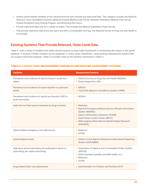- **•** Assess opioid-related variables at the national level but can't provide any state-level data. This category includes the National Electronic Injury Surveillance System, National Hospital Medical Care Survey, National Ambulatory Medical Care Survey, Federal Workplace Drug Testing Program, and Monitoring the Future.
- **•** Provide state-level data only for a subset of states. This includes the Medical Expenditure Panel Survey.
- **•** Only provide state-level data every few years and with a considerable time lag. The National Survey on Drug Use and Health is an example.

## **Existing Systems That Provide Relevant, State-Level Data**

Table 6.1 lists a range of variables that states should measure as they make investments in ameliorating the impact of the opioid epidemic. A number of these variables can be assessed—in many cases, imperfectly—using existing measurement systems that can support state-level analyses. Table 6.2 provides notes on the systems mentioned in Table 6.1.

#### TABLE 6.1: STATE-LEVEL MEASUREMENT VARIABLES AND EXISTING ASSESSMENT SYSTEMS

| <b>Variables</b>                                                                                | <b>Measurement Systems</b>                                                                                                                                                                                                                         |
|-------------------------------------------------------------------------------------------------|----------------------------------------------------------------------------------------------------------------------------------------------------------------------------------------------------------------------------------------------------|
| Prevalence and incidence of opioid misuse in youth and<br>adults.                               | • National Survey on Drug Use and Health (NSDUH)<br>• Quest Diagnostics (QD)                                                                                                                                                                       |
| Prevalence and incidence of opioid injection in youth and<br>adults.                            | • NSDUH<br>• Youth Risk Behavior Surveillance System (YRBS)                                                                                                                                                                                        |
| Prevalence and incidence of opioid use disorder (OUD) in<br>youth and adults.                   | • NSDUH                                                                                                                                                                                                                                            |
| Fatal and non-fatal opioid overdoses by drugs involved.                                         | • Medicare<br>• National Emergency Medical Service Officials Information<br>System (NEMSIS)<br>• Optum Clinformatics Datamart (OCDM)<br>• State Poison Control Center (SPCC).<br>• Wide-ranging Online Data for Epidemiologic Research<br>(WONDER) |
| Opioid-related emergency room admissions.                                                       | • Medicare<br>$\bullet$ OCDM                                                                                                                                                                                                                       |
| Opioid-related arrests.                                                                         | • Uniform Crime Reports/National Incident-Based Reporting<br>System (UCR/NIBRS)                                                                                                                                                                    |
| High-dose opioid prescribing, benzodiazepine-opioid co-<br>prescribing, per capita prescribing. | • Automation of Reports and Consolidated Orders System<br>(ARCOS)<br>• IQVIA (formerly Quintiles and IMS Health, Inc.)<br>• Medicare<br>$\bullet$ OCDM                                                                                             |
| Drug-related foster care placements.                                                            | • Administration for Children and Families (ACF)                                                                                                                                                                                                   |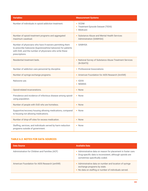| <b>Variables</b>                                                                                                                                                                                   | <b>Measurement Systems</b>                                              |
|----------------------------------------------------------------------------------------------------------------------------------------------------------------------------------------------------|-------------------------------------------------------------------------|
| Number of individuals in opioid addiction treatment.                                                                                                                                               | $\bullet$ OCDM<br>• Treatment Episode Dataset (TEDS)<br>• Medicare      |
| Number of opioid treatment programs and aggregated<br>maximum caseload.                                                                                                                            | • Substance Abuse and Mental Health Services<br>Administration (SAMHSA) |
| Number of physicians who have X-waivers permitting them<br>to prescribe Suboxone (buprenorphine/naloxone) for patients<br>with OUD, and the number of physicians who write these<br>prescriptions. | • SAMHSA                                                                |
| Residential treatment beds.                                                                                                                                                                        | • National Survey of Substance Abuse Treatment Services<br>(N-SSATS)    |
| Number of addiction care personnel by discipline.                                                                                                                                                  | • Professional Associations                                             |
| Number of syringe exchange programs.                                                                                                                                                               | • American Foundation for AIDS Research (AmfAR)                         |
| Naloxone use.                                                                                                                                                                                      | · IQVIA<br>• NEMSIS                                                     |
| Opioid-related incarcerations.                                                                                                                                                                     | • None                                                                  |
| Prevalence and incidence of infectious disease among opioid-<br>using population.                                                                                                                  | • None                                                                  |
| Number of people with OUD who are homeless.                                                                                                                                                        | • None                                                                  |
| Supportive/recovery housing allowing medications, compared<br>to housing not allowing medications.                                                                                                 | • None                                                                  |
| Number of drop-off sites for excess medication.                                                                                                                                                    | • None                                                                  |
| Staffing, services, and individuals served by harm reduction<br>programs outside of government.                                                                                                    | • None                                                                  |

#### TABLE 6.2: NOTES FOR DATA SOURCES

| <b>Data Source</b>                             | <b>Available Data</b>                                                                                                                                        |
|------------------------------------------------|--------------------------------------------------------------------------------------------------------------------------------------------------------------|
| Administration for Children and Families (ACF) | • Administrative data on reason for placement in foster care.<br>• Drug-specific data is inconsistent, although opioids are<br>sometimes specifically coded. |
| American Foundation for AIDS Research (amfAR)  | • Administrative data on number and location of syringe<br>exchange programs by state.<br>• No data on staffing or number of individuals served.             |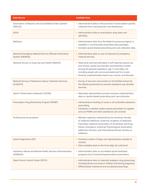| <b>Data Source</b>                                                          | <b>Available Data</b>                                                                                                                                                                                                                                                                                       |
|-----------------------------------------------------------------------------|-------------------------------------------------------------------------------------------------------------------------------------------------------------------------------------------------------------------------------------------------------------------------------------------------------------|
| Automation of Reports and Consolidated Orders System<br>(ARCOS)             | • Administrative data on the provision of prescription opioids<br>collected from manufacturers and distributors.                                                                                                                                                                                            |
| <b>IQVIA</b>                                                                | • Administrative data on prescription drug sales and<br>spending.                                                                                                                                                                                                                                           |
| Medicare                                                                    | • Administrative data from the federal insurance program is<br>available in commercially assembled data packages.<br>· Includes opioid-related prescribing and care utilization data.                                                                                                                       |
| National Emergency Medical Service Officials Information<br>System (NEMSIS) | • Administrative data on use of naloxone by emergency<br>medical services.                                                                                                                                                                                                                                  |
| National Survey on Drug Use and Health (NSDUH)                              | • State-level, biennial estimates of self-reported opioid use<br>and misuse, opioid use disorder, and treatment receipt<br>among the general population, age 12 and older, not<br>including people who are incarcerated and live in jails.<br>Severely underestimates heroin use, misuse, and disorder.     |
| National Survey of Substance Abuse Treatment Services<br>(N-SSATS)          | • Survey of structure and content of all facilities known by<br>the federal government to provide substance use disorder<br>services.                                                                                                                                                                       |
| Optum Clinformatics Datamart (OCDM)                                         | • Nationally representative private insurance administrative<br>data on opioid-related prescribing and care utilization.                                                                                                                                                                                    |
| Prescription Drug Monitoring Program (PDMP)                                 | • Administrative tracking of some or all controlled substance<br>prescribing.<br>• Variations in whether states require prescribers to register<br>and use PDMP, and what substances are covered.                                                                                                           |
| <b>Professional Associations</b>                                            | • Member registries maintained by the American Society<br>of Addiction Medicine, American Academy of Addiction<br>Psychiatry, National Association of Alcoholism and Drug<br>Abuse Counselors, American Psychological Association<br>Addictions Division, and International Nurses Society on<br>Addiction. |
| Quest Diagnostics (QD)                                                      | • Urinalysis results of large, non-representative sample of<br>workers.<br>• Data available down to the three-digit zip code level.                                                                                                                                                                         |
| Substance Abuse and Mental Health Services Administration<br>(SAMHSA)       | • Administrative data on accredited opioid treatment<br>programs and X-waivered buprenorphine prescribers.                                                                                                                                                                                                  |
| <b>State Poison Control Center (SPCC)</b>                                   | • Administrative data on reported analgesic drug poisonings,<br>including those occurring in children and during pregnancy.<br>Differentiates intentional and accidental poisonings.<br>$\bullet$                                                                                                           |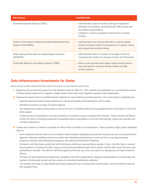| <b>Data Source</b>                                                            | <b>Available Data</b>                                                                                                                                                                                                 |
|-------------------------------------------------------------------------------|-----------------------------------------------------------------------------------------------------------------------------------------------------------------------------------------------------------------------|
| Treatment Episode Dataset (TEDS)                                              | • Administrative data on number and type of addiction<br>specialty care patients, including those with primary and<br>secondary drug problems.<br>• Limited or no data on programs that receive no public<br>funding. |
| Uniform Crime Reports/National Incident-Based Reporting<br>System (UCR/NIBRS) | • Administrative law enforcement data on opioid-related<br>arrests, including arrests for possession of opioids, heroin,<br>and unspecified synthetic drugs.                                                          |
| Wide-ranging Online Data for Epidemiologic Research<br>(WONDER)               | • Administrative data on causes of mortality in the U.S.,<br>maintained by Centers for Disease Control and Prevention.                                                                                                |
| Youth Risk Behavior Surveillance System (YRBS)                                | • Data on self-reported prescription opioid misuse, heroin<br>use, and injection drug use among middle and high<br>school students.                                                                                   |

### **Data Infrastructure Investments for States**

*States should consider making three data-related investments as they tackle the opioid crisis:*

- **1.** Regularly extract state-level data from the datasets listed in Table 6.2. This could be accomplished in a cost-efficient manner if states pooled resources to support a single analytic team that could regularly populate state dashboards.
- **2.** Improve the assessment of variables already captured, to some extent, by existing systems. The most obvious candidates are:
	- Expand state prescription drug monitoring to include all opioids, benzodiazepines, and Z-drugs.
	- Mandate universal coverage of all prescriptions.
	- Use wastewater analysis at key sites to correct for error in existing measures of population-level consumption of licit and illicit opioids.
	- Create surveys of populations currently missed by household surveys, including the homeless. These surveys will help to correct for errors in existing measures of population-level consumption of licit and illicit opioids, opioid use disorder, and overdose prevalence.
- **3.** Create new systems to measure variables for which there currently is no assessment. These systems might collect statewide data on:
	- Harm reduction services that are not tracked in administrative databases because the services are not run by government agencies. Measure staffing, services provided, and individuals participating in such services as syringe exchange programs, fentanyl strip distribution programs, and naloxone distribution initiatives.
	- Urinalysis and interviews conducted with individuals entering a representative sample of jails. Use this data to assess the prevalence of opioid and other drug use among incarcerated people and to gather market data about the price and availability of opioids. The defunct ADAM program's protocols can serve as a basis for designing such data collection efforts.
	- Pill drop-off sites operated by pharmacies, hospitals, and other organizations. Measure the prevalence of these sites, the number of individuals served, and the volume of controlled medications collected.
	- The number and type of drug-related prevention programming in schools and communities, and the evidence base for this programming.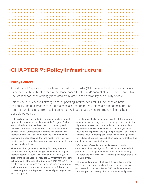# **CHAPTER 7: Policy Infrastructure**

# **Policy Context**

An estimated 20 percent of people with opioid use disorder (OUD) receive treatment, and only about 34 percent of those treated receive evidence-based treatment (Blanco et al., 2013; Knudsen 2015). The reasons for these strikingly low rates are related to the availability and quality of care.

This review of successful strategies for supporting interventions for OUD touches on both availability and quality of care, but gives special attention to regulations governing the supply of treatment options and efforts to increase the likelihood that a given treatment yields the best possible outcomes.

Historically, virtually all addiction treatment has been provided by specialty substance use disorder (SUD) "programs" with standardized durations and regimens of counseling and behavioral therapies for all patients. The national network of over 15,000 SUD treatment programs was created with federal funds in the 1960s in response to the heroin crisis. Licensing and regulatory control, and most of the recurrent funding, for these addiction programs were kept separate from mainstream health care.

Most regulations governing specialty SUD programs are enforced by state agencies charged with administering the federal Substance Abuse Prevention and Treatment (SAPT) block grant. These agencies regulate SUD treatment providers in 35 states and the District of Columbia (MACPAC, 2019). The regulatory system licenses or certifies facilities and programs, while government agencies also contract with SUD providers to treat people with SUD problems, especially among the lowincome population.

In most states, the licensing standards for SUD programs focus on an overarching process, including requirements that all patients be assessed or that individual treatment plans be provided. However, the standards offer little guidance about how to implement the required processes. For example, licensing requirements typically offer only minimal guidance on the types of staffing required, often suggesting that staffing should be based on patient needs.

Enforcement of standards is nearly always driven by complaints. If an investigation finds violations, a remediation plan must be developed. The consequences for violating standards are uniformly weak. Financial penalties, if they exist at all, are small.

The Medicaid program, which currently enrolls more than 72 million people, provides health insurance coverage for a population that is at high risk for OUD. Medicaid's benefits structure, provider participation requirements, and payment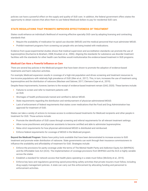policies can have a powerful effect on the supply and quality of SUD care. In addition, the federal government offers states the opportunity to obtain waivers that allow them to use federal Medicaid dollars to pay for residential SUD care.

#### STATE REGULATIONS THAT PROMOTE IMPROVED EFFECTIVENESS OF TREATMENT

States could enhance an individual's likelihood of receiving effective specialty OUD care by adopting licensing and contracting standards that:

- **•** Require the availability of medication for opioid use disorder (MOUD) and the medical personnel that must administer MOUD.
- **•** Prohibit treatment programs from screening out people who are being treated with medications.

Evidence from quasi-experimental studies shows that medical supervision and accreditation standards can promote the use of buprenorphine (Ducharme & Abraham, 2008; Knudsen et al., 2006). Aligning the standards for substance use disorder treatment facilities with the standards for other health care facilities would institutionalize the evidence-based treatment in SUD programs.

#### *Medicaid Can Have a Powerful Influence on Care*

There are several key policies in the Medicaid program that have been shown to promote the adoption of evidence-based treatments and harm reduction activities.

For example, Medicaid expansion results in coverage of a high-risk population and drives screening and treatment resources to low-income populations with relatively high prevalence of OUD (Wen et al., 2017). This, in turn, increases the use of treatment using buprenorphine and the distribution of naloxone (Maclean and Saloner, 2017; Clemans-Cope et al., 2019).

Despite these improvements, however, barriers to the receipt of evidence-based treatment remain (GAO, 2020). These barriers include:

- **•** Failures to screen and refer to treatment patients with an OUD.
- **•** Shortages of health professionals trained and certified to deliver MOUD.
- State requirements regarding the distribution and reimbursement of physician-administered MOUD.
- **•** Lack of enforcement of federal requirements that states cover medications that the Food and Drug Administration has approved for treatment of OUD.

States can take a variety of actions to increase access to evidence-based treatments for Medicaid recipients and other people in treatment for OUD. Those actions include:

- **•** Promote the identification of OUD cases through screening and referral requirements for all relevant treatment settings.
- **•** Allow nurse practitioners and physician assistants to become certified and able to administer buprenorphine.
- **•** Relax strict requirements for how physician-administered MOUD is distributed and reimbursed.
- **•** Enforce federal requirements for coverage of MOUD in the Medicaid program.

**Beyond the Medicaid Program:** States have policy tools available that have been demonstrated to increase access to SUD treatment and promote wider distribution of naloxone. State governments can work through their insurance commissioners to influence the availability and affordability of treatment for OUD. Strategies include:

- **•** Enforce the provisions for parity coverage under the terms of The Mental Health Parity and Addiction Equity Act (MHPAEA) and the Affordable Care Act (ACA). The implementation of coverage provisions from MHPAEA and the ACA is highly variable across the states
- **•** Establish a standard for network access that health plans operating in a state must follow (McGinty et al., 2015).
- **•** Enforce key laws and regulations governing opioid prescribing safety activities that private insurers must follow, including drug supply management policies. A state can carry out this enforcement by allocating funding and personnel to enforcement activities.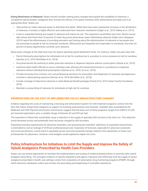**Easing Restrictions on Naloxone:** States should consider making policy changes that expand the availability of naloxone, a competitive opioid-receptor antagonist that reverses the effects of an opioid overdose when administered promptly and in an appropriate dose. States can:

- **•** Take actions to make naloxone easier to distribute and obtain. While there have been substantial increases in the distribution of naloxone, it remains a highly effective and underused harm reduction mechanism (Giglio et al., 2015; Walley et al., 2013).
- **•** Invest in expanded training and supply of naloxone and require its use. This expansion would likely save lives. Recent survey data shows that fewer than 33 percent of chain drug store pharmacies report distributing naloxone (Giglioi and colleagues (2015) report the effectiveness of providing education and training about the administration of naloxone to lay people who are proximate to people at risk for potential overdoses. While police are frequently first responders to overdoses, less than 20 percent of police departments currently carry naloxone.

Many policy changes at the state level may not require spending opioid abatement funds. For instance, states can pass laws that:

- **•** Permit third-party prescriptions for individuals not at risk for overdose but in a position to revive someone at risk for overdose (Gertner et al., 2018; McClellan et al., 2018).
- **•** Give pharmacists the authority to either prescribe naloxone or dispense naloxone without a prescription (Abouk et al., 2019).
- **•** Authorize state health officials to issue a standing order allowing all licensed pharmacies in a jurisdiction to dispense naloxone without individual-level prescriptions (Gertner et al., 2018; Xu et al., 2018).
- **•** Provide immunity from criminal, civil, and professional sanctions for prescribers and dispensers of naloxone and laypersons involved in administering naloxone (Gertner et al., 2018; McClellan et al., 2018).
- **•** Include coverage of take-home naloxone in state Medicaid benefit packages (Frank & Fry, 2019; Kaiser Family Foundation, 2018).
- **•** Mandate co-prescribing of naloxone for individuals at high-risk for overdose

#### OBSERVATIONS ON THE COST OF IMPLEMENTING POLICY INFRASTRUCTURE CHANGES

Evidence regarding the costs of maintaining a licensing and enforcement system for OUD treatment programs comes from the fees that states charge these programs to support its licensing assessments and renewals. Available data assembled by the Medicaid and CHIP Payment and Access Commission suggest that the base cost of these programs ranges from \$500 to \$1,200 per licensed organization, plus a variable charge of between \$3 and \$35 per bed.

The imposition of these fees would likely cause a reduction in the supply of specialty SUD services in the short run. This reduction would decrease access and potentially raise the prices charged by SUD providers.

Expanding licensing requirements for physician extenders, and assessing the extenders' adherence to expanded requirements, is estimated to cost an average of \$100 per professional per year. Expansion of licensure, especially for physician assistants and nurse practitioners, would result in expanded access and some potential savings related to the substitution of lower-cost professionals for physicians. However, most budgets would experience higher net costs.

### **Policy Infrastructure for Initiatives to Limit the Supply and Improve the Safety of Opioid Analgesics Prescribed by Health Care Providers**

States can use several approaches to facilitate the implementation and scaling of evidence-based policies to promote safer opioid analgesic prescribing. The strongest evidence of specific legislative and agency measures that effectively limit the supply of opioid analgesics prescribed in health care settings comes from evaluations of prescription drug monitoring programs (PDMP), through which electronic databases collect and monitor the prescribing and dispensing of controlled substances.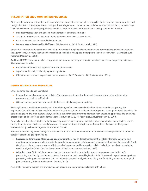#### PRESCRIPTION DRUG MONITORING PROGRAMS

State health departments, together with law enforcement agencies, are typically responsible for the funding, implementation, and design of PDMPs. These departments, along with state legislatures, influence the implementation of PDMP "best practices" that have been shown to enhance program effectiveness. "Robust" PDMP features are still evolving, but seem to include:

- **•** Mandatory registration and access, with appropriate patient exemptions.
- **•** Ability for prescribers to designate others to access the PDMP on their behalf.
- **•** Comprehensive data for controlled substances.
- **•** Data updates at least weekly (Haffajee, 2019; Mauri et al., 2019; Patrick, et al., 2016).

States that incorporate these robust PDMP elements, either through legislative mandates or program design decisions made at the agency-level, are more likely to achieve reductions in higher-risk opioid prescriptions than states in which PDMPs lack such features (Mauri et al., 2020).

Additional PDMP features are believed by prescribers to enhance program effectiveness but have limited supporting evidence. These features include:

- **•** Capabilities that ease use by prescribers and pharmacists.
- **•** Algorithms that help to identify higher-risk patients.
- **•** Education and outreach to providers (Mastarone et al., 2020; Reist et al., 2020; Weiner et al., 2019).

#### OTHER EVIDENCE-BASED POLICIES

Other evidence-based policies include:

- **•** Insurer drug supply management policies. The strongest evidence for these policies comes from prior authorization programs, particularly in Medicaid.
- **•** Clinical health system interventions that influence opioid analgesic prescribing.

State legislatures, health departments, and other state agencies have several critical functions related to supporting the implementation of these policies and interventions. In particular, there is evidence that drug supply management policies related to opioid analgesics, like prior authorization, could help state Medicaid programs decrease risky prescribing practices like high-dose prescriptions and use of long-acting formulations (Hartung et al., 2018; Keast et al., 2018; Morden et al., 2008).

Generally, there have been limited evaluations of approaches taken by state health departments and other agencies to promote the implementation of evidence-based drug supply management policies by insurers. Evaluations of clinical health system interventions by health care organizations are also limited.

Two examples shed light on existing state initiatives that promote the implementation of evidence-based policies to improve the safety of opioid analgesic prescribing.

- **• Encouraging Information-Sharing and Coordination:** State health departments might facilitate information-sharing and coordination among payers to promote the broader implementation of drug-supply management policies. For example, North Carolina regularly convenes payers with the goal of improving and harmonizing policies to limit the supply of prescription opioid analgesics (North Carolina Department of Health and Human Services, 2018).
- **• Adopting Laws:** State legislatures may take even stronger action by adopting laws encouraging or mandating safe prescribing practices by private health plans. For example, Utah passed legislation in 2017 urging all payers to enact policies promoting safer pain management, both by limiting risky opioid analgesic prescribing and facilitating access to non-opioid pain treatment (Office of the Inspector General, 2019).

Note that evidence to support the effectiveness of specific state approaches is lacking at this time.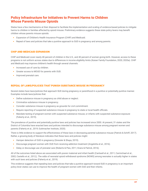# **Policy Infrastructure for Initiatives to Prevent Harms to Children Whose Parents Misuse Opioids**

States have a few mechanisms at their disposal to facilitate the implementation and scaling of evidence-based policies to mitigate harms to children in families affected by opioid misuse. Preliminary evidence suggests these state policy levers may benefit children whose parents misuse opioids:

- **•** Expansion of Children's Health Insurance Program (CHIP) and Medicaid.
- **•** Repeal of laws and policies that take a punitive approach to SUD in pregnancy and among parents.

#### CHIP AND MEDICAID EXPANSION

CHIP and Medicaid cover nearly 40 percent of children in the U.S., and 40 percent of women giving birth. However, access to these programs is not uniform across states due to differences in income eligibility limits (Kaiser Family Foundation, 2020; 2020a). CHIP and Medicaid may improve children's health through several channels:

- **•** Increased use of care by children.
- **•** Greater access to MOUD for parents with OUD.
- **•** Improved prenatal care.

#### REPEAL OF LAWS/POLICIES THAT PUNISH SUBSTANCE MISUSE IN PREGNANCY

Several states have laws/policies that approach SUD during pregnancy or parenthood in a punitive or potentially punitive manner. Examples include laws/policies that:

- **•** Define substance misuse in pregnancy as child abuse or neglect.
- **•** Criminalize substance misuse in pregnancy.
- **•** Consider substance misuse in pregnancy as grounds for civil commitment.
- **•** Require reporting of suspected substance misuse in pregnancy to state or local health officials.
- **•** Mandate testing of pregnant women with suspected substance misuse, or infants with suspected substance exposure (Faherty et al., 2019).

The prevalence of punitive and potentially punitive laws and policies has increased since 2000. At present, 31 states and the District of Columbia have enacted laws and policies intended to discourage substance misuse among pregnant women and parents (Faherty et al., 2019; Guttmacher Institute, 2020).

There is little evidence to support the effectiveness of these laws in decreasing parental substance misuse (Patrick & Schiff, 2017). Rather, a growing body of literature indicates that these laws and policies might:

- **•** Hamper detection of OUD in pregnancy (Gressler & Shaya, 2019).
- Discourage pregnant women with OUD from receiving addiction treatment (Angelotta et al., 2016).
- **•** Delay or discourage use of prenatal care (Roberts & Pies, 2011; Krans & Patrick, 2016).

All of the outcomes listed above are associated with poorer maternal and infant health (Cantwell et al., 2011; Carmichael et al., 2002; Castello et al., 2012;). The odds of neonatal opioid withdrawal syndrome (NOWS) among neonates is actually higher in states with such laws and policies (Faherty et al., 2019).

This evidence suggests that repealing laws and policies that take a punitive approach toward SUD in pregnancy is an important policy lever states can use to improve the health of pregnant women with OUD and their infants.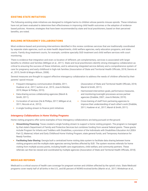#### EXISTING STATE INITIATIVES

The following existing state initiatives are designed to mitigate harms to children whose parents misuse opioids. These initiatives have not yet been evaluated to determine their effectiveness in improving child health outcomes or the adoption of evidencebased policies. However, strategies that have been recommended by state and local practitioners, based on their perceived benefits, are noted.

#### BUILDING INTERAGENCY COLLABORATIONS

Most evidence-based and promising interventions identified in this review combines services that are traditionally coordinated by separate state agencies, such as state health departments, child welfare agencies, early education programs, and state courts. Family drug treatment courts, for example, combine specialty SUD treatment and child welfare services with court monitoring.

There is evidence that integration and even co-location of different, yet complementary, services is associated with larger benefits to children and families (Milligan et al., 2011). State and local practitioners identify strong interagency collaboration as critical to ensuring the success of these initiatives, and to advancing integrated service delivery and a comprehensive system of care for pregnancy and early childhood in high-risk families (Association of State and Territorial Health Officials, 2018; Dennis et al., 2015; Smith & Mogro-Wilson, 2008).

Several measures are thought to support effective interagency collaboration to address the needs of children affected by their parents' opioid misuse:

- **•** Frequent interagency communication (Drabble, 2011; Huebner et al., 2017; Iachini et al., 2015; Jose & Wetzler, 2019; Meyer & Phillips, 2015).
- **•** Data-sharing across collaborating agencies (Marsh & Smith, 2011).
- **•** Co-location of services (He & Phillips, 2017; Milligan et al, 2011; Niccols et al., 2012).
- **•** A single funding stream to finance joint initiatives

#### (Association of State and Territorial Health Officials, 2018; Marsh & Smith, 2011).

- **•** Harmonized intervention goals, performance measures, and monitoring/oversight processes across partner agencies (Drabble, 2007; Jose & Wetzler, 2019).
- **•** Cross-training of staff from partnering agencies to improve their understanding of each other's work (Drabble, 2011; Huebner et al., 2017; Marsh & Smith, 2011).

#### *Interagency Collaborations in Home Visiting Programs*

Home visiting programs offer some examples of how interagency collaborations are being pursued on-the-ground.

- **• Streamlining Financing:** Texas created a single funding stream to support a home visiting program. The program is managed by that state's Department of Family and Protective Services but combines funding from several federal grants. These grants include Program for Infants and Toddlers with Disabilities, a provision of the Individuals with Disabilities Education Act (IDEA Part C); Maternal, Infant and Early Childhood Home Visiting Program; state general funds; and Temporary Assistance for Needy Families.
- **• Facilitating Data-Sharing:** Georgia built a centralized home visiting data system to facilitate data sharing between home visiting programs and the multiple state agencies serving families affected by SUD. The system receives referrals for home visiting from multiple access points, including health care organizations, child welfare, and community partners. These referrals can then be viewed and coordinated by multiple agencies (Association of State and Territorial Health Officials, 2018).

#### MEDICAID REFORMS

Medicaid is a critical source of health care coverage for pregnant women and children affected by the opioid crisis. State Medicaid programs cover nearly half of all births in the U.S., and 80 percent of NOWS-involved births (Martin et al., 2017; Winkelman et al.,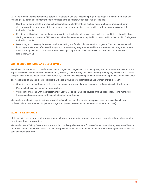2018). As a result, there is tremendous potential for states to use their Medicaid programs to support the implementation and financing of evidence-based interventions to mitigate harm to children. Such opportunities include:

- **•** Reimbursing components of evidence-based, multisectoral interventions, such as home visiting programs and family skills interventions. Numerous states reimburse case management services provided by these programs (Witgert & Richardson, 2012).
- **•** Requiring that Medicaid managed care organization networks include providers of evidence-based interventions like home visiting services, and integrate SUD treatment with other services, as is required in Minnesota (Normile et al., 2017; Witgert & Richardson, 2012).
- **•** Developing and operating the state's own home visiting and family skills intervention programs. This has been achieved by Michigan's Maternal Infant Health Program, a home visiting program operated by the state Medicaid program to ensure access among low-income pregnant women (Michigan Department of Health and Human Services, 2015; Witgert & Richardson, 2012).

#### WORKFORCE TRAINING AND DEVELOPMENT

State health departments, child welfare agencies, and agencies charged with coordinating early education services can support the implementation of evidence-based interventions by providing or subsidizing specialized training and ongoing technical assistance to help providers meet the needs of families affected by OUD. The following examples illustrate different approaches states have taken.

The Association of State and Territorial Health Officials (2018) reports that Georgia's Department of Public Health:

- **•** Organized and funded training so its home visiting workforce could obtain associate certificates in child development.
- **•** Provides technical assistance to home visitors.
- **•** Worked in partnership with the Department of Early Care and Learning to develop a training repository listing mandatory trainings and recommended professional education opportunities.

Maryland's state health department has provided training in services for substance-exposed newborns to early childhood professionals across multiple disciplines and agencies (Health Resources and Services Administration, 2019).

#### QUALITY ASSURANCE

State agencies can support quality improvement initiatives by monitoring how well programs in the state adhere to best practices for evidence-based interventions.

Maryland's Home Visiting Consortium, for example, provides quality oversight for state-funded home visiting programs (Maryland Children's Cabinet, 2017). The consortium includes private stakeholders and public officials from different agencies that oversee early childhood programs.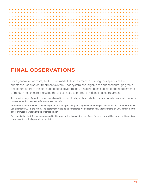

# **FINAL OBSERVATIONS**

For a generation or more, the U.S. has made little investment in building the capacity of the substance use disorder treatment system. That system has largely been financed through grants and contracts from the state and federal governments. It has not been subject to the requirements of modern health care, including the critical need to promote evidence-based treatment.

As a result, a range of practices have been allowed to co-exist, leaving to chance whether consumers receive treatments that work or treatments that may be ineffective or even harmful.

Abatement funds from opioid-related litigation offer an opportunity for a significant resetting of how we will deliver care for opioid use disorder (OUD) in the future. The abatement funds being considered would dramatically alter spending on OUD care in the U.S. Thus, promoting "what works" is of critical import.

Our hope is that the information contained in this report will help guide the use of new funds so they will have maximal impact on addressing the opioid epidemic in the U.S.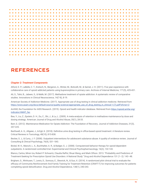# **REFERENCES**

#### *Chapter 2: Treatment Components*

Alford, D. P., LaBelle, C. T., Kretsch, N., Bergeron, A., Winter, M., Boticelli, M., & Samet, J. H. (2011). Five year experience with collaborative care of opioid addicted patients using buprenorphine in primary care. Archives of Internal Medicine, 171(5), 425-431.

Ali, S., Tahir, B., Jabeen, S., & Malik, M. (2017). Methadone treatment of opiate addiction: A systematic review of comparative studies. Innovations in Clinical Neuroscience, 14(7-8), 8-19.

American Society of Addiction Medicine. (2017). Appropriate use of drug testing in clinical addiction medicine. Retrieved from https://www.asam.org/docs/default-source/quality-science/appropriate\_use\_of\_drug\_testing\_in\_clinical-1-(7).pdf?sfvrsn=2

AmfAR, the Foundation for AIDS Research. (2019). Opioid and health indicator database. Retrieved from https://opioid.amfar.org/ indicator/AMAT\_fac

Bao, Y., Liu, Z., Epstein, D. H., Du, C., Shi, J., & Lu, L. (2009). A meta-analysis of retention in methadone maintenance by dose and dosing strategy. American Journal of Drug and Alcohol Abuse, 35(1), 28-33.

Bart, G. (2012). Maintenance Medication for Opiate Addiction: The Foundation of Recovery. Journal of Addiction Diseases, 31(3), 207-225.

Barthwell, A. G., Allgaier, J., & Egli, K. (2018). Definitive urine drug testing in office-based opioid treatment: A literature review. Critical Reviews in Toxicology, 48(10), 815-838.

Becker, S. J., & Curry, J. F. (2008). Outpatient interventions for adolescent substance abuse: A quality of evidence review. Journal of Consulting & Clinical Psychology, 76(4), 531–543.

Bickel, W. K., Marsch, L. A., Buchhalter, A. R., & Badger, G. J. (2008). Computerized behavior therapy for opioid-dependent outpatients: A randomized controlled trial. Experimental and Clinical Psychopharmacology, 16(2), 132-143.

Blanco, Carlos, Miren Iza, Robert P. Schwartz, Claudia Rafful, Shuai Wang, and Mark Olfson. 2013. "Probability and Predictors of Treatment-Seeking for Prescription Opioid Use Disorders: A National Study." Drug and Alcohol Dependence 131 (1–2): 143–48.

Brigham, G., Winhusen, T., Lewis, D., Somoza, E., Slesnick, N., & Guo, X. (2014). A randomized pilot clinical trial to evaluate the efficacy of Community Reinforcement And Family Training for Treatment Retention (CRAFT-T) for improving outcomes for patients completing opioid detoxification. Drug and Alcohol Dependence, 138(1), 240-243.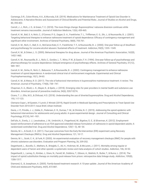Camenga, D.R., Colon-Rivera, H.A., & Muvvala, S.B. (2019). Medications for Maintenance Treatment of Opioid Use Disorder in Adolescents: A Narrative Review and Assessment of Clinical Benefits and Potential Risks. Journal of Studies on Alcohol and Drugs, 80, 393-402.

Carroll, J. J., Rich, J. D., & Green, T. C. (2018). The more things change: Buprenorphine/ naloxone diversion continues while treatment remains inaccessible. Journal of Addiction Medicine, 12(6), 459-465.

Carroll, K. M., Ball, S. A, Nich, C., O'Connor, P. G., Eagan, D. A., Frankforter, T. L., Triffleman, E. G., Shi, J., & Rounsaville, B. J. (2001). Targeting behavioral therapies to enhance naltrexone treatment of opioid dependence: Efficacy of contingency management and significant other involvement. Archives of General Psychiatry, 58(8), 755-761.

Carroll, K. M., Nich, C., Ball, S. A., McCance-Katz, E. F., Frankforter, T. F., & Rounsaville, B. J. (2000). One-year follow-up of disulfiram and psychotherapy for cocaine-alcohol abusers: Sustained effects of treatment. Addiction, 95(9), 1335–1349.

Carroll, K. M., & Onken, L. S. (2005). Behavioral therapies for drug abuse. Journal of the American Psychiatric Association, 162(8), 1452-1460.

Carroll, K. M., Rounsaville, B. J., Nich, C., Gordon, L. T., Wirtz, P. W., & Gawin, F. H. (1994). One-year follow-up of psychotherapy and pharmacotherapy for cocaine dependence: Delayed emergence of psychotherapy effects. Archives of General Psychiatry, 51(12), 989–997.

Carroll, K. M., Sinha, R., Nich, C., Babuscio, T., & Rounsaville, B. J. (2002). Contingency management to enhance naltrexone treatment of opioid dependence: A randomized clinical trial of reinforcement magnitude. Experimental and Clinical Psychopharmacology, 10(1), 54-63.

Carroll, K. M., & Weiss, R. D. (2017). The role of behavioral interventions in buprenorphine maintenance treatment: A review. The American Journal of Psychiatry, 174(8), 738–747.

Chapman, S. A., Blash, L. K., Mayer, K., & Spetz, J. (2018). Emerging roles for peer providers in mental health and substance use disorders. American journal of preventive medicine, 54(6), S267-S274.

Cicero, T. J., Ellis, M.S., & Chilcoat, H.D. (2018). Understanding the use of diverted buprenorphine. Drug and Alcohol Dependence, 193, 117-123.

Clemans-Cope L, M Epstein, V Lynch, E Winiski (2019), Rapid Growth in Medicaid Spending and Prescriptions to Treat Opioid Use Disorder from 2010-2017; Issue Brief, Urban Institute

Davis, J. P., Prindle, J. J., Eddie, D., Pedersen, E. R., Dumas, T. M., & Christie, N. C. (2019). Addressing the opioid epidemic with behavioral interventions for adolescents and young adults: A quasi-experimental design. Journal of Consulting and Clinical Psychology, 87(10), 941–951.

DeFulio, A., Everly, J. J., Leoutsakos, J. M., Umbricht, A., Fingerhood, M., Bigelow, G. E., & Silverman, K. (2012). Employmentbased reinforcement of adherence to an FDA-approved extended release formulation of naltrexone in opioid-dependent adults: A randomized controlled trial. Drug and Alcohol Dependence, 120(1–3), 48–54.

Dennis, M. L., & Scott, C. K. (2011). Four-year outcomes from the Early Re-Intervention (ERI) experiment using Recovery Management Checkups (RMCs). Drug and Alcohol Dependence, 121, 10-17.

Dennis, M. L., Scott, C. K., & Funk, R. (2003). An experimental evaluation of recovery management checkups (RMC) for people with chronic substance use disorders. Evaluation and Program Planning, 26, 339-352.

Degenhardt, L., Bucello, C., Mathers, B., Briegleb, C., Ali, H., Hickman, M., & McLaren, J. (2011). Mortality among regular or dependent users of heroin and other opioids: a systematic review and meta-analysis of cohort studies. Addiction, 106, 32-52.

Degenhardt, L., Larney, S., Kimber, J., Gisev, N., Farrell, M., Dobbins, T., Gibson, A., Mattick, R., Butler, T., & Burns, L. (2014). The impact of opioid substitution therapy on mortality post-release from prison: retrospective data linkage study. Addiction, 109(8), 1306-1317.

Diamond, G., & Josephson, A. (2005). Family-based treatment research: A 10-year update. Journal of the American Academy of Child and Adolescent Psychiatry, 44(9), 872-887.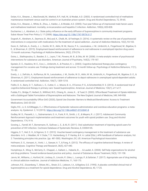Dolan, K.A., Shearer, J., MacDonald, M., Mattick, R.P., Hall, W., & Wodak, A.D. (2003). A randomised controlled trial of methadone maintenance treatment versus wait list control in an Australian prison system. Drug and Alcohol Dependence, 72, 59-65.

Dolan, K.A., Shearer, J., White, B., Zhou, J., Kaldor, J., & Wodak, A.D. (2005). Four-year follow-up of imprisoned male heroin users and methadone treatment: mortality, re-incarceration and hepatitis C infection. Addiction, 100(6), 820-828.

Ducharme, L.J., Abraham, A.J. State policy influence on the early diffusion of buprenorphine in community treatment programs. Subst Abuse Treat Prev Policy 3, 17 (2008). https://doi.org/10.1186/1747-597X-3-17

Dugosh, K., Abraham, A., Seymour, B., McLoyd, K., Chalk, M., & Festinger, D. (2016). A systematic review on the use of psychosocial interventions in conjunction with medications for the treatment of opioid addiction. Journal of Addiction Medicine, 10(2), 93-103.

Dunn, K., DeFulio, A., Everly, J. J., Donlin, W. D., Aklin, W. M., Nuzzo, P. A., Leoutsakos, J. M., Umbricht, A., Fingerhood, M., Bigelow, G. E., & Silverman, K. (2015). Employment-based reinforcement of adherence to oral naltrexone in unemployed injection drug users: 12-month outcomes. Psychology of Addictive Behaviors, 29(2), 270-276.

Dutra, L., Stathopoulou, G., Basden, S. L., Leyro, T. M., Powers, M. B., & Otto, M. W. (2008). A meta-analytic review of psychosocial interventions for substance use disorders. American Journal of Psychiatry, 165(2), 179-187.

Epstein, D. E., Hawkins, W. E., Covi, L., Umbricht, A., & Preston, K. L. (2003). Cognitive behavioral therapy plus contingency management for cocaine use: Findings during treatment and across 12-month follow-up. Psychology of Addictive Behaviors, 17(1), 73–82.

Everly, J. J., DeFulio, A., Koffarnus, M. N., Leoutsakos, J. M., Donlin, W. D., Aklin, W. M., Umbricht, A., Fingerhood, M., Bigelow, G. E., & Silverman, K. (2011). Employment-based reinforcement of adherence to depot naltrexone in unemployed opioid-dependent adults: A randomized controlled trial. Addiction, 106(7), 1309-1318.

Fiellin, D. A., Barry, D. T., Sullivan, L. E., Cutter, C. J., Moore, B. A., O'Connor, P. G., & Schottenfeld, R. S. (2013). A randomized trial of cognitive behavioral therapy in primary care–based buprenorphine. American Journal of Medicine, 126(1), e11-e17.

Fudala, P.J., Bridge, P., Herbert, S., Williford, W.O., Chiang, N., Jones, K…. & Tusel, D. (2003). Office-Based Treatment of Opiate Addiction with a Sublingual-Tablet Formulation of Buprenorphine and Naloxone. The New England Journal of Medicine, 349, 949-958.

Government Accountability Office GAO (2020), Opioid Use Disorder: Barriers to Medicaid Beneficiaries' Access to Treatment Medications, GAO-20-233

Giglio, R.E., Li, G. & DiMaggio, C.J. Effectiveness of bystander naloxone administration and overdose education programs: a metaanalysis. Inj. Epidemiol. 2, 10 (2015). https://doi.org/10.1186/s40621-015-0041-8

Godley, M. D., Passetti, L. L., Subramaniam, G. A., Funk, R. R., Smith, J. E., & Meyers, R. J. (2017). Adolescent Community Reinforcement Approach implementation and treatment outcomes for youth with opioid problem use. Drug and Alcohol Dependence, 174, 9-16.

Gowing, L., Farrell, M. F., Bornemann, R., Sullivan, L. E., & Ali, R. (2011). Oral substitution treatment of injecting opioid users for prevention of HIV infection. Cochrane Database of Systematic Reviews, 8, CD004145.

Higgins, S. T., Heil, S. H., & Sigmon, S. C. (2013). Voucher-based contingency management in the treatment of substance use disorders. In G. J. Madden, W. V. Dube, T. D. Hackenberg, G. P. Hanley, & K. A. Lattal (Eds.), APA handbook of behavior analysis, Vol. 2: Translating principles into practice. (pp. 481-500). Washington, DC, US: American Psychological Association.

Hofmann, S. G., Asnaani, A., Vonk, I. J., Sawyer, A. T., & Fang, A. (2012). The efficacy of cognitive behavioral therapy: A review of meta-analyses. Cognitive Therapy and Research, 36(5), 427-440.

Humphreys, K., Wing, S., McCarty, D., Chappel, J., Gallant, L., Haberle, B., ... & Laudet, A. (2004). Self-help organizations for alcohol and drug problems: Toward evidence-based practice and policy. Journal of Substance Abuse Treatment, 26(3), 151-158.

Jarvis, M., Williams, J., Hurford, M., Lindsay, D., Lincoln, P., Giles, L., Luongo, P., & Safarian, T. (2017). Appropriate use of drug testing in clinical addiction medicine. Journal of Addiction Medicine, 11, 163-173.

Johnson, R.E., Eissenberg, T., Stitzer, M.L., Strain, E.C., Liebson, I.A., & Bigelow, G.E. (1995). A placebo controlled clinical trial of buprenorphine as a treatment for opioid dependence. Drug and Alcohol Dependence, 40, 17-25.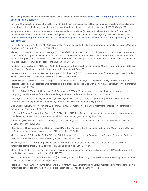KFF. (2019). Medicaid's Role in Addressing the Opioid Epidemic. Retrieved from: https://www.kff.org/infographic/medicaids-role-inaddressing-opioid-epidemic/

Kakko, J., Svanborg, K. D., Kreek, M. J., & Heilig, M. (2003). 1-year retention and social function after buprenorphine-assisted relapse prevention treatment for heroin dependence in Sweden: A randomised, placebo-controlled trial. Lancet, 361(9358), 662-668.

Kampman, K., & Jarvis, M. (2015). American Society of Addiction Medicine (ASAM) national practice guideline for the use of medications in the treatment of addiction involving opioid use. Journal of Addiction Medicine, 9(5), 358–367. Retrieved from https://www.asam.org/docs/default-source/practice-support/guidelines-and-consensus-docs/asam-national-practice-guidelinesupplement.pdf.

Kelly, J.F., Humphreys, K., & Ferri, M. (2020). Alcoholics Anonymous and other 12-step programs for alcohol use disorder. Cochrane Database of Systematic Reviews, 3, CD012880.

Kleber, H. D., Weiss, R. D., Anton, R. F., George, T. P., Greenfield, S. F., Kosten, T. R., . . . Smith Connery, H. (2006). Practice guideline for the treatment of patients with substance use disorders. Arlington, VA: American Psychiatric Association.Knudsen, Hannah K. 2015. "The Supply of Physicians Waivered to Prescribe Buprenorphine for Opioid Use Disorders in the United States: A State-Level Analysis." Journal of Studies on Alcohol and Drugs 76 (4): 644–54.

Knudsen HK, LJ Ducharme, PM Roman (2006), Early Adoption of Buprenorphine in Substance Abuse Treatment Centers: Data from the Private and Public Sectors, J Substance Abuse Treatment 30(4):363-373.

Lagisetty, P., Klasa, K., Bush, C., Heisler, M., Chopra, V., & Bohnert, A. (2017). Primary care models for treating opioid use disorders: What actually works? A systematic review. PLoS ONE, 12(10), e0186315.

Larochelle, M. R., Bernson, D., Land, T., Stopka, T. J., Wang, N., Xuan, Z., Bagley, S. M., Liebschutz, J. M., & Walley, A. Y. (2018). Medication for opioid use disorder after nonfatal opioid overdose and association with mortality: A cohort study. Annals of Internal Medicine, 169, 137-145.

Liddle, H., Dakof, G., Turner, R., Henderson, C., & Greenbaum, P. (2008). Treating adolescent drug abuse: A randomized trial comparing multidimensional family therapy and cognitive behavior therapy. Addiction, 103(10), 1660-1670.

Ling, W., Charuvastra, C., Collins, J.F., Batki, S., Brown Jr., L.S., Kintaudi, P., … & Segal, D. (1998). Buprenorphine maintenance treatment of opiate dependence: a multicenter, randomized clinical trial. Addiction, 93(4), 475-486.

Ling, W., Hillhouse, M., Ang, A., Jenkins, J., & Fahey, J. (2013). Comparison of behavioral treatment conditions in buprenorphine maintenance. Addiction, 108(10), 1788–1798.

Lo Sasso, A.T., Byro, E., Jason, L.A., Ferrari, J.R., & Olsen, B. (2012). Benefits and costs associated with mutual-help communitybased recovery homes: The Oxford House model. Evaluation and Program Planning, 35, 47-53.

Luborsky, L., McLellan, A., Woody, G., O'Brien, C., & Auerbach, A. (1985). Therapist success and its determinants. Archives of General Psychiatry, 42(6), 602-11.

McGinty EE, SH Busch, A Stuart et al (2015), Federal Parity Law Associated with Increased Probability of Out of Network Services for Substance Use Disorder Services, Health Affairs 34 (8): 1331-1339.

Maclean, JC, and B Saloner. 2017. "The Effect of Public Insurance Expansions on Substance Use Disorder Treatment: Evidence from the Affordable Care Act." NBER Working Paper 23342 (September).

Magill, M., & Ray, L. A. (2009). Cognitive behavioral treatment with adult alcohol and illicit drug users: A meta-analysis of randomized control trials. Journal of Studies on Alcohol and Drugs, 70(4), 516-527.

Marsch, L. A. (1998). The efficacy of methadone maintenance interventions in reducing illicit opioid use, HIV risk behavior and criminality: a meta-analysis. Addiction, 93(4), 515-532.

Marsh, J. C., D'Aunno, T. A., & Smith, B. D. (2000). Increasing access and providing social services to improve drug abuse treatment for women with children. Addiction, 95(8), 1237-1247.

Mattick, R. P. Ali, R., White, J. M., O'Brien, S., Wolk, S., & Danz, C. (2003). Buprenorphine versus methadone maintenance therapy: a randomized double-blind trial with 405 opioid-dependent patients. Addiction, 98(4), 441-452.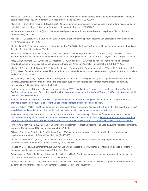Mattick, R. P., Breen, C., Kimber, J., & Davoli, M. (2009). Methadone maintenance therapy versus no opioid replacement therapy for opioid dependence (Review). Cochrane Database of Systematic Reviews, 3, CD002209.

Mattick, R.P., Breen, C., Kimber, J., & Davoli, M. (2014). Buprenorphine maintenance versus placebo or methadone maintenance for opioid dependence (Review). Cochrane Database of Systematic Reviews, 2, CD002207.

McGovern, M. P., & Carroll, K. M. (2003). Evidence-based practices for substance use disorders. Psychiatric Clinics of North America, 26(4), 991-1010.

McHugh, R. K., Hearon, B. A., & Otto, M. W. (2010). Cognitive-behavioral therapy for substance use disorders. Psychiatric Clinics of North America, 33(3), 511-525.

Medicaid and CHIP Payment and Access Commission (MACPAC) (2019), Report to Congress: Utilization Management of Medicaid Assisted Treatment in Medicaid (October)

Mee-Lee, D., Shulman, G. D., Fishman, M. J., Gastfriend, D. R., Miller, M. M., & Provence, S. M. (Eds). (2013). The ASAM criteria: Treatment criteria for addictive, substance-related and co-occurring conditions. (3rd ed). Carson City, NV: The Change Companies.

Milby, J. B., Schumacher, J. E., Wallace, D., Freedman, M. J., & Vuchinich, R. E. (2005). To house or not to house: The effects of providing housing to homeless substance abusers in treatment. American Journal of Public Health, 95(7), 1259-1265.

Mitchell, S. G., Kelly, S. M., Brown, B. S., Schacht Reisinger, H., Peterson, J. A., Ruhf, A., Agar, M. H., O'Grady, K. E., & Schwartz, R. P. (2009). Uses of diverted methadone and buprenorphine by opioid-addicted individuals in Baltimore, Maryland. American Journal on Addictions, 18(5), 346-355.

Morgenstern, J., Morgan, T. J., McCrady, B. S., Keller, D. S., & Carroll, K. M. (2001). Manual-guided cognitive behavioral therapy training: A promising method for disseminating empirically supported substance abuse treatments to practice community. Psychology of Addictive Behaviors, 15(2), 83–88.

National Academies of Sciences, Engineering, and Medicine (2019). Medications for opioid use disorder save lives. Washington, DC: The National Academies Press. Retrieved from http://www.nationalacademies.org/hmd/Reports/2019/medications-for-opioiduse-disorder-save-lives.aspx.

National Institute on Drug Abuse. (1998). A cognitive-behavioral approach. Treating cocaine addiction. Retrieved from https:// archives.drugabuse.gov/publications/cognitive-behavioral-approach-treating-cocaine-addiction.

Orgera & Tolbert. (2019). The Opioid Epidemic and Medicaid's Role in Facilitating Access to Treatment. KFF. Retrieved from: https:// www.kff.org/medicaid/issue-brief/the-opioid-epidemic-and-medicaids-role-in-facilitating-access-to-treatment/

Park-Lee, E., Lipari, R.N., Hedden, S.L., Copello, E.A.P., & Kroutil, L.A. (2016). Receipt of services for substance use and mental health issues among adults: Results from the 2015 National Survey on Drug Use and Health. Retrieved from https://www.samhsa. gov/data/sites/default/files/NSDUH-ServiceUseAdult-2015/NSDUH-ServiceUseAdult-2015/NSDUH-ServiceUseAdult-2015.htm.

Petry, N.M. & Martin, B. (2002). Low-Cost Contingency Management for Treating Cocaine- and Opioid-Abusing Methadone Patients. Journal of Consulting and Clinical Psychology, 70(2), 398-405.

Pilkonis, P. A., Imber, S. D., Lewis, P., & Rubinsky, P. A. (1984). Comparative outcome study of individual, group, and conjoint psychotherapy. Archives of General Psychiatry, 41(5), 431-437.

Polcin, D. L., Korcha, R. A., Bond, J., & Galloway, G. (2010). Sober living houses for alcohol and drug dependence: 18-month outcomes. Journal of Substance Abuse Treatment, 38(4), 356-365.

Powers, M. B., Vedel, E., & Emmelkamp, P. M. (2008). Behavioral couples therapy (BCT) for alcohol and drug abuse disorders: A meta-analysis. Clinical Psychology Review, 28(6), 952–962.

Prendergast, M., Podus, D., Finney, J., Greenwell, L., & Roll, J. (2006). Contingency management for treatment of substance use disorders: A meta-analysis. Addiction, 101(11), 1546-1560.

Puddy, R. W. & Wilkins, N. (2011). Understanding evidence part 1: Best available research evidence. A guide to the continuum of evidence of effectiveness. Atlanta, GA: Centers for Disease Control and Prevention.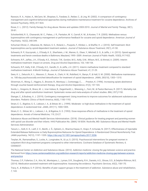Rawson, R. A., Huber, A., McCann, M., Shoptaw, S., Farabee, D., Reiber, C., & Ling, W. (2002). A comparison of contingency management and cognitive-behavioral approaches during methadone maintenance treatment for cocaine dependence. Archives of *General Psychiatry, 59*(9), 817-824.

Rowe, C. L. (2012). Family therapy for drug abuse: Review and updates 2003-2010. *Journal of Marital and Family Therapy, 38*(1), 59-81.

Schottenfeld, R. S., Chawarski, M. C., Pakes, J. R., Pantalon, M. V., Carroll, K. M., & Kosten, T. R. (2005). Methadone versus buprenorphine with contingency management or performance feedback for cocaine and opioid dependence. *American Journal of Psychiatry, 162*(2), 340-349.

Schuman-Olivier, Z., Albanese, M., Nelson, S. E., Roland, L., Puopolo, F., Klinker, L., & Shaffer, H. J. (2010). Self-treatment: illicit buprenorphine use by opioid-dependent treatment seekers. *Journal of Substance Abuse Treatment, 39*(1), 41-50.

Schwartz, R. P., Gryczynski, J., O'Grady, K. E., Sharfstein, J. M., Warren, G., Olsen, Y., Mitchell, S. G., & Jaffe, J. H. (2013). Opioid agonist treatments and heroin overdose deaths in Baltimore, Maryland, 1995–2009. *American Journal of Public Health, 103*(5), 917-922.

Schwartz, R.P., Jaffee, J.H., O'Grady, K.E., Kinlock, T.W., Gordon, M.S., Kelly, S.M., Wilson, M.E., & Ahmed, A. (2009). Interim methadone treatment: Impact on arrests. *Drug and Alcohol Dependence, 103,* 148-154.

Schwartz, R.P., Kelly, S.M., O'Grady, K.E., Gandhi, D., & Jaffe, J.H. (2011). Interim methadone treatment compared to standard methadone treatment: 4-Month findings. *Journal of Substance Abuse Treatment, 41,* 21-29.

Sees, K. L., Delucchi, K. L., Masson, C., Rosen, A., Clark, H. W., Robillard, H., Banys, P., & Hall, S. M. (2000). Methadone maintenance vs. 180-day psychosocially enriched detoxification for treatment of opioid dependence. *JAMA, 283*(10), 1303–1310.

Silverman, K., Wong, C., Higgins, S., Brooner, R., Montoya, I., Contoreggi, C., . . . Preston, K. (1996). Increasing opiate abstinence through voucher-based reinforcement therapy. *Drug and Alcohol Dependence, 41*(2), 157-165.

Sordo, L., Gregorio, B., Bravo, M. J., Iciar Indave, B., Degenhardt, L., Wiessing, L., Ferri, M., & Pastor-Barriuso, R. (2017). Mortality risk drug and after opioid substitution treatment: Systematic review and meta-analysis of cohort studies. *BMJ, 357*:j1150.

Stanger, C., & Budney, A. J. (2019). Contingency management: Using incentives to improve outcomes for adolescent substance use disorders. *Pediatric Clinics of North America, 66*(6), 1183-1192.

Strain, E. C., Bigelow, G. E., Liebson, I. A., & Stitzer, M. L. (1999). Moderate- vs high-dose methadone in the treatment of opioid dependence: A randomized trial. *JAMA, 281*(11), 1000-1005.

Strain, E. C., Stitzer, M. L., Liebson, I. A., & Bigelow, G. E. (1993). Dose-response effects of methadone in the treatment of opioid dependence. *Annals of Internal Medicine, 119,* 23-27.

Substance Abuse and Mental Health Services Administration. (2018). *Clinical guidance for treating pregnant and parenting women with opioid use disorder and their infants.* HHS Publication No. (SMA) 18-5054. Rockville, MD: Substance Abuse and Mental Health Services Administration

Tanum, L., Solli, K. K., Latif, Z. E., Benth, J. Š., Opheim, A., Sharma-Haase, K., Krajci, P., & Kunøe, N. (2017). Effectiveness of Injectable Extended-Release Naltrexone vs Daily Buprenorphine-Naloxone for Opioid Dependence: A Randomized Clinical Noninferiority Trial. *JAMA psychiatry, 74*(12), 1197–1205. https://doi.org/10.1001/jamapsychiatry.2017.3206

Terplan, M., Ramanadhan, S., Locke, A., Longinaker, N., & Lui, S. (2015). Psychosocial interventions for pregnant women in outpatient illicit drug treatment programs compared to other interventions. C*ochrane Database of Systematic Reviews, 4,* CD006037.

The National Center on Addiction and Substance Abuse. (2012). A*ddiction medicine: closing the gap between science and practice.* Retrieved from https://www.centeronaddiction.org/addiction-research/reports/addiction-medicine-closing-gap-between-scienceand-practice

Thomas, C.P., Fullerton, C.A., Kim, M., Montejano, L., Lyman, D.R., Dougherty, R.H., Daniels, A.S., Ghose, S.S., & Delphin-Rittmon, M.E. (2014). Medication-assisted treatment with buprenorphine: Assessing the evidence. *Psychiatric Services, 65*(2), 158-170.

Tracy, K., & Wallace, S. P. (2016). Benefits of peer support groups in the treatment of addiction. *Substance abuse and rehabilitation, 7,* 143.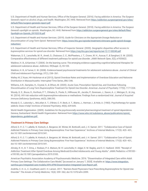U.S. Department of Health and Human Services, Office of the Surgeon General. (2016). *Facing addiction in America: The Surgeon General's report on alcohol, drugs, and health.* Washington, DC: HHS. Retrieved from https://addiction.surgeongeneral.gov/sites/ default/files/surgeon-generals-report.pdf

U.S. Department of Health and Human Services, Office of the Surgeon General. (2018). *Facing addiction in America: The Surgeon General's spotlight on opioids.* Washington, DC: HHS. Retrieved from https://addiction.surgeongeneral.gov/sites/default/files/ Spotlight-on-Opioids\_09192018.pdf

U.S. Department of Health and Human Services. (2019). *Guide for Clinicians on the Appropriate Dosage Reduction or Discontinuation of Long-Term Opioid.* Retrieved from: https://www.hhs.gov/opioids/treatment/clinicians-guide-opioid-dosagereduction/

U.S. Department of Health and Human Services, Office of Inspector General. (2020). *Geographic disparities affect access to buprenorphine services for opioid use disorder.* Retrieved from https://oig.hhs.gov/oei/reports/oei-12-17-00240.pdf

Wakeman, S. E., Larochelle, M. R., Ameli, O., Chaisson, C. E., McPheeters, J. T., Crown, W. H., Azocar, F., & Sanghavi, D. M. (2020). Comparative effectiveness of different treatment pathways for opioid use disorder. *JAMA Network Open, 3*(2), e1920622.

Waldron, H. B., & Kaminer, Y. (2004). On the learning curve: The emerging evidence supporting cognitive-behavioral therapies for adolescent substance abuse. *Addiction, 99*(Suppl. 2), 93-105.

Waldron, H. B., & Turner, C. W. (2008). Evidence-based psychosocial treatments for adolescent substance abuse. *Journal of Clinical Child and Adolescent Psychology, 37*(1), 238–261.

Walley AY, Z Xuan, HH Hackman et al (2013), Opioid Overdose Rates and Implementation of Overdose Education and Naloxone Distribution in Massachusetts: Interrupted Time Series, *BMJ* 346.

Williams, A.R., Samples, H., Crystal, S., & Olfson, M. (2020). Acute Care, Prescription Opioid Use, and Overdose Following Discontinuation of Long-Term Buprenorphine Treatment for Opioid Use Disorder. *American Journal of Psychiatry 177(2), 117*-1224.

Woody, G. E., Bruce, D., Korthuis, P. T., Chhatre, S., Poole, S., Hillhouse, M., Jacobs, P., Sorensen, J., Saxon, A. J., Metzger, D., & Ling, W. (2014). HIV risk reduction with buprenorphine-naloxone or methadone: Findings from a randomized trial. *Journal of Acquired Immune Deficiency Syndromes, 66*(3), 288-293.

Woody G. E., Luborsky L., McLellan A. T., O'Brien, C. P., Beck, A. T., Blaine, J., Herman, I., & Hole, A. (1983). Psychotherapy for opiate addicts: Does it help? *Archives of General Psychiatry, 40*(6), 639-645.

World Health Organization. (2009). *Guidelines for the psychosocially assisted pharmacological treatment of opioid dependence.* Geneva, Switzerland: World Health Organization. Retrieved from https://www.who.int/substance\_abuse/publications/opioid\_ dependence\_guidelines.pdf.

# *Treatment in Primary Care Settings*

Alford, D. P., C. T. LaBelle, N. Kretsch, A. Bergeron, M. Winter, M. Botticelli, and J. H. Samet. 2011. "Collaborative Care of Opioid-Addicted Patients in Primary Care Using Buprenorphine: Five-Year Experience." *Archives of Internal Medicine, 171*(5): 425–431, doi:10.1001/archinternmed.2010.541.

Alford, D. P., C. T. LaBelle, N. Kretsch, A. Bergeron, M. Winter, M. Botticelli, and J. H. Samet. 2011. "Collaborative Care of Opioid-Addicted Patients in Primary Care Using Buprenorphine: Five-Year Experience." *Archives of Internal Medicine, 171*(5): 425–431, doi:10.1001/archinternmed.2010.541.

Alinsky, R. H., B. T. Zima, J. Rodean, P. A. Matson, M. R. Larochelle, H. Adger, S. M. Bagley, and S. E. Hadland. 2020. "Receipt of Addiction Treatment After Opioid Overdose Among Medicaid-Enrolled Adolescents and Young Adults." *JAMA Pediatrics:* e195183– e195183, doi:10.1001/jamapediatrics.2019.5183.

American Psychiatric Association Academy of Psychosomatic Medicine. 2016. "Dissemination of Integrated Care within Adult Primary Care Settings: The Collaborative Care Model," [accessed on January 7, 2020]. Available at: https://www.integration. samhsa.gov/integrated-care-models/APA-APM-Dissemination-Integrated-Care-Report.pdf.

Andrilla, C. H. A., C. Coulthard, and E. H. Larson. 2017. "Barriers Rural Physicians Face Prescribing Buprenorphine for Opioid Use Disorder." *The Annals of Family Medicine, 15*(4): 359–362, doi:10.1370/afm.2099.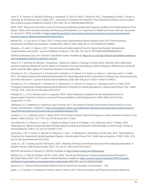Arora, S., K. Thornton, G. Murata, P. Deming, S. Kalishman, D. Dion, B. Parish, T. Burke, W. Pak, J. Dunkelberg, M. Kistin, J. Brown, S. Jenkusky, M. Komaromy, and C. Qualls. 2011. "Outcomes of Treatment for Hepatitis C Virus Infection by Primary Care Providers." *New England Journal of Medicine, 364*(23): 2199–2207, doi:10.1056/NEJMoa1009370.

ASPE. 2018. "State and Local Policy Levers for Increasing Treatment and Recovery Capacity to Address the Opioid Epidemic: Final Report," Office of the Assistant Secretary for Planning and Evaluation, U.S. Department of Health and Human Services. [Accessed on January 27, 2020]. Available at: https://aspe.hhs.gov/basic-report/state-and-local-policy-levers-increasing-treatment-andrecovery-capacity-address-opioid-epidemic-final-report.

Barnett, M. L., D. Lee, and R. G. Frank. 2019. "In Rural Areas, Buprenorphine Waiver Adoption Since 2017 Driven By Nurse Practitioners And Physician Assistants." *Health Affairs, 38*(12): 2048–2056, doi:10.1377/hlthaff.2019.00859.

Brooklyn, J. R. and S. C. Sigmon. 2017. "Vermont Hub-and-Spoke Model of Care For Opioid Use Disorder: Development, Implementation, and Impact." *Journal of addiction medicine, 11*(4): 286–292, doi:10.1097/ADM.0000000000000310.

California Substance Use Line | Clinician Consultation Center. Available at: https://nccc.ucsf.edu/clinician-consultation/substanceuse-management/california-substance-use-line/

Chou, R., P. T. Korthuis, M. Weimer, C. Bougatsos, I. Blazina, B. Zakher, S. Grusing, B. Devine, and D. McCarty. 2016. Medication-Assisted Treatment Models of Care for Opioid Use Disorder in Primary Care Settings, AHRQ Comparative Effectiveness Technical Briefs, Rockville (MD): Agency for Healthcare Research and Quality (US).

D'Onofrio, G., M. C. Chawarski, P. G. O'Connor, M. V. Pantalon, S. H. Busch, P. H. Owens, K. Hawk, S. L. Bernstein, and D. A. Fiellin. 2017. "Emergency Department-Initiated Buprenorphine for Opioid Dependence with Continuation in Primary Care: Outcomes During and After Intervention." *Journal of General Internal Medicine, 32*(6): 660–666, doi:10.1007/s11606-017-3993-2.

D'Onofrio, G., P. G. O'Connor, M. V. Pantalon, M. C. Chawarski, S. H. Busch, P. H. Owens, S. L. Bernstein, and D. A. Fiellin. 2015. "Emergency Department-Initiated Buprenorphine/Naloxone Treatment for Opioid Dependence: A Randomized Clinical Trial." *JAMA, 313(*16): 1636–1644, doi:10.1001/jama.2015.3474.

Haffajee, R. L., A. S. B. Bohnert, and P. A. Lagisetty. 2018. "Policy Pathways to Address Provider Workforce Barriers to Buprenorphine Treatment." *American Journal of Preventive Medicine, 54*(6, Supplement 3): S230–S242, doi:10.1016/j. amepre.2017.12.022.

Jabbarpour, Y., E. DeMarchis, A. Bazemore, and P. Grundy. 2017. The Impact of Primary Care Practice Transformation on Cost, Quality, and Utilization. Available at: https://www.graham-center.org/content/dam/rgc/documents/publications-reports/reports/ ImpactPrimaryCarePracticeTransformationCostQualityUtilization.PDF.

Joudrey, P. J., E. J. Edelman, and E. A. Wang. 2019. "Drive Times to Opioid Treatment Programs in Urban and Rural Counties in 5 US States." *JAMA, 322*(13): 1310–1312, doi:10.1001/jama.2019.12562.

Larochelle, M. R., D. Bernson, T. Land, T. J. Stopka, N. Wang, Z. Xuan, S. M. Bagley, J. M. Liebschutz, and A. Y. Walley. 2018. "Medication for Opioid Use Disorder After Nonfatal Opioid Overdose and Association With Mortality: A Cohort Study." *Annals of Internal Medicine, 169*(3): 137, doi:10.7326/M17-3107.

Liebschutz, J. M., D. Crooks, D. Herman, B. Anderson, J. Tsui, L. Z. Meshesha, S. Dossabhoy, and M. Stein. 2014. "Buprenorphine Treatment for Hospitalized, Opioid-Dependent Patients: A Randomized Clinical Trial." *JAMA internal medicine, 174*(8): 1369–1376, doi:10.1001/jamainternmed.2014.2556.

Louie, D. L., M. T. Assefa, and M. P. McGovern. 2019. "Attitudes of Primary Care Physicians toward Prescribing Buprenorphine: A Narrative Review." *BMC Family Practice, 20*(1): 157, doi:10.1186/s12875-019-1047-z.

MCSTAP. [accessed on February 27, 2020 b]. Available at: https://www.mcstap.com/Default.aspx.

McBain, R. K., A. Dick, M. Sorbero, and B. D. Stein. 2020. "Growth and Distribution of Buprenorphine-Waivered Providers in the United States, 2007–2017." *Annals of Internal Medicine* Available at: https://annals.org/aim/fullarticle/2758512/growthdistribution-buprenorphine-waivered-providers-united-states-2007-2017, doi:10.7326/M19-2403.

Rawson, R. A. "Vermont Hub-and-Spoke Model of Care for Opioid Use Disorders: An Evaluation." : 185.

Spetz, J., C. Toretsky, S. Chapman, B. Phoenix, and M. Tierney. 2019. "Nurse Practitioner and Physician Assistant Waivers to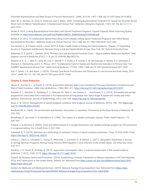Prescribe Buprenorphine and State Scope of Practice Restrictions." *JAMA, 321*(14): 1407–1408, doi:10.1001/jama.2019.0834.

Stein, M., D. Herman, M. Conti, B. Anderson, and G. Bailey. 2020. "Initiating Buprenorphine Treatment for Opioid Use Disorder during Short-Term in-Patient 'Detoxification': A Randomized Clinical Trial." *Addiction (Abingdon, England),* 115(1): 82–94, doi:10.1111/ add.14737.

Stoller, K. 2015. Linking Buprenorphine Prescribers with Opioid Treatment Programs: Expand Capacity While Improving Quality. Available at: http://www.atforum.com/pdf/CoOPtalkforONDCP\_SAMHSAAug2015Stoller.pdf.

Stoller, K. B. 2015. "A Collaborative Opioid Prescribing (CoOP) Model Linking Opioid Treatment Programs with Office-Based Buprenorphine Providers." *Addiction Science & Clinical Practice, 10*(1): A63, doi:10.1186/1940-0640-10-S1-A63.

Van Donsel, A., A. Folland, and M. Levine. 2019. A Public Health Guide to Ending the Opioid Epidemic, Chapter 10: Expanding Access to Treatment and Recovery Services Using a Hub-and-Spoke Model of Care, New York, NY: Oxford University Press.

Wakeman, S. E. and M. L. Barnett. 2018. "Primary Care and the Opioid-Overdose Crisis — Buprenorphine Myths and Realities." *New England Journal of Medicine, 379*(1): 1–4, doi:10.1056/NEJMp1802741.

Watkins, K. E., A. J. Ober, K. Lamp, M. Lind, C. Setodji, K. C. Osilla, S. B. Hunter, C. M. McCullough, K. Becker, P. O. Iyiewuare, A. Diamant, K. Heinzerling, and H. A. Pincus. 2017. "Collaborative Care for Opioid and Alcohol Use Disorders in Primary Care: The SUMMIT Randomized Clinical Trial." *JAMA Internal Medicine, 177*(10): 1480–1488, doi:10.1001/jamainternmed.2017.3947.

Xue, Y., Smith, J.A., and Spetz, J. (2019). "Primary Care Nurse Practitioners and Physicians in Low-Income and Rural Areas, 2010- 2016." *JAMA, 321* (1): 102-105, doe:10.1001.jama.2018.17944.

### *Chapter 3: Harm Reduction*

Abouk, R., Pacula, R. L., & Powell, D. (2019). Association between State Laws Facilitating Pharmacy Distribution of Naloxone and Risk of Fatal Overdose. *JAMA Internal Medicine, 179*(6), 805–811. https://doi.org/10.1001/jamainternmed.2019.0272

Aspinall, E. J., Nambiar, D., Goldberg, D. J., Hickman, M., Weir, A., Van Velzen, E., … Hutchinson, S. J. (2014). Are needle and syringe programmes associated with a reduction in hiv transmission among people who inject drugs: A systematic review and metaanalysis. *International Journal of Epidemiology, 43*(1), 235–248. https://doi.org/10.1093/ije/dyt243

Boyer, E. W. (2012). Management of opioid analgesic overdose. New England Journal of Medicine, 367(2), 146–155. https://doi. org/10.1056/NEJMra1202561

Bradford Hill, A. (1965). The environment and disease: association or causation. *Procedures of the Royal Society of Medicine, 58,* 295–300.

Broadhead, R., van Hulst, Y., & Heckathorn, D. (1999). The impact of a needle exchange's closure. *Public Health Reports, 114,* 439–447.

Cabase, J., & Sanchez, E. (2003). Costs and effectiveness of a syringe distribution and needle exchange program for HIV prevention in a regional setting. *Eur J Health Econ, 4,* 203–208.

Campbell, N. D. (2019). Naloxone as a technology of solidarity: History of opioid overdose prevention. Cmaj, 191(34), E945–E946. https://doi.org/10.1503/cmaj.190257

Canary, L., Hariri, S., Campbell, C., Young, R., Whitcomb, J., Kaufman, H., & Vellozzi, C. (2017). Geographic Disparities in Access to Syringe Services Programs Among Young Persons With Hepatitis C Virus Infection in the United States. *Clin Infect Dis, 65*(3), 514–517.

Caulkins, J. P., Pardo, B., & Kilmer, B. (2019). Supervised consumption sites: a nuanced assessment of the causal evidence. Addiction, 114(12), 2109-2115. https://doi.org/10.1111/add.14747

Centers for Disease Control and Prevention. (2010). Establishing a Holistic Framework to Reduce Inequities in HIV, Viral Hepatitis, STDs, and Tuberculosis in the United States. Atlanta, GA. Retrieved from https://www.cdc.gov/socialdeterminants/docs/SDH-White-Paper-2010.pdf

Centers for Medicare and Medicaid Services. (2019). National Average Drug Acquisition Cost. Retrieved from https://data. medicaid.gov/Drug-Pricing-and-Payment/NADAC-National-Average-Drug-Acquisition-Cost-/a4y5-998d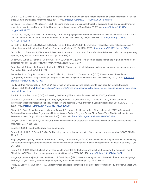Coffin, P. O., & Sullivan, S. D. (2013). Cost-effectiveness of distributing naloxone to heroin users for lay overdose reversal in Russian cities. *Journal of Medical Economics, 16*(8), 1051–1060. https://doi.org/10.3111/13696998.2013.811080

Davidson, P. J., Lopez, A. M., & Kral, A. H. (2018). Using drugs in un/safe spaces: Impact of perceived illegality on an underground supervised injecting facility in the United States. *International Journal of Drug Policy, 53,* 37–44. https://doi.org/10.1016/j. drugpo.2017.12.005

Davis, C. S., Carr, D., Southwell, J. K., & Beletsky, L. (2015). Engaging law enforcement in overdose reversal initiatives: Authorization and liability for naloxone administration. *American Journal of Public Health, 105*(8), 1530–1537. https://doi.org/10.2105/ AJPH.2015.302638

Davis, C. S., Southwell, J. K., Niehaus, V. R., Walley, A. Y., & Dailey, M. W. (2014). Emergency medical services naloxone access: A national systematic legal review. *Academic Emergency Medicine, 21*(10), 1173–1177. https://doi.org/10.1111/acem.12485

Des Jarlais, D., Friedman, S., Friedmann, P., Wenston, J., Sotheran, J., K, C., & Al, E. (1995). HIV/AIDS-related behavior change among injecting drug users in different national settings. *AIDS, 9*(6), 611.

Doherty, M., Junge, B., Rathouz, P., Garfein, R., Riley, E., & Vlahov, D. (2002). The effect of needle exchange program on numbers of discarded needles: a 2-year follow-up. *Amer J Public Health, 90*, 936–939.

Donoghoe, M., Stimson, G., Dolan, K., & Alldritt, L. (1989). Changes in HIV risk behaviour in clients of syringe-exchange schemes in England and Scotland. *AIDS, 3*(5), 267.

Fernandes, R. M., Cary, M., Duarte, G., Jesus, G., Alarcão, J., Torre, C., … Carneiro, A. V. (2017). Effectiveness of needle and syringe Programmes in people who inject drugs - An overview of systematic reviews. *BMC Public Health, 17*(1), 1–15. https://doi. org/10.1186/s12889-017-4210-2

Food and Drug Administration. (2019). FDA approves first generic naloxone nasal spray to treat opioid overdose. Retrieved February 20, 2020, from https://www.fda.gov/news-events/press-announcements/fda-approves-first-generic-naloxone-nasal-spraytreat-opioid-overdose

Frank, R. G., & Pollack, H. A. (2017). Addressing the Fentanyl Threat to Public Health. *NEJM, 376*(7), 605–607.

Garfein, R. S., Golub, E. T., Greenberg, A. E., Hagan, H., Hanson, D. L., Hudson, S. M., … Thiede, H. (2007). A peer-education intervention to reduce injection risk behaviors for HIV and hepatitis C virus infection in young injection drug users. *AIDS, 21*(14), 1923–1932. https://doi.org/10.1097/QAD.0b013e32823f9066

Gilchrist, G., Swan, D., Widyaratna, K., Marquez-Arrico, J. E., Hughes, E., Mdege, N. D., … Tirado-Munoz, J. (2017). A Systematic Review and Meta-analysis of Psychosocial Interventions to Reduce Drug and Sexual Blood Borne Virus Risk Behaviours Among People Who Inject Drugs. *AIDS and Behavior, 21*(7), 1791–1811. https://doi.org/10.1007/s10461-017-1755-0

Gold, M., Gafni, A., Nelligan, P., & Millson, P. (1997). Needle exchange programs: An economic evaluation of a local experience. *Can Med Assoc J, 157,* 255–262.

GoodRx, I. (2020). GoodRx. Retrieved from goodrx.com

Gupta, R., Shah, N. D., & Ross, J. S. (2016). The rising price of naloxone - risks to efforts to stem overdose deaths. *NEJM2, 375*(23), 2213–2215.

Hagan, H., McGough, J., Thiede, H., Hopkins, S., Duchin, J., & Alexander, E. (2000). Reduced injection frequency and increased entry and retention in drug treatment associated with needle-exchange participation in Seattle drug injectors. *J Subst Abuse Treat, 19*(3), 247–252.

Harris, Z. K. (2006). Efficient allocation of resources to prevent HIV infection among injection drug users: The Prevention Point Philadelphia (PPP) needle exchange program. *Health Economics, 15*(2), 147–158. https://doi.org/10.1002/hec.1021

Hartgers, C., van Ameijden, E., van den Hoek, J., & Coutinho, R. (1992). Needle sharing and participation in the Amsterdam Syringe Exchange program among HIV-seronegative injecting users. *Public Health Reports, 107,* 675–681.

Hurley, S., Jolley, D., & Kaldor, J. (1997). Effectiveness of needle-exchange programmes for prevention of HIV infection. Lancet, 349, 1797.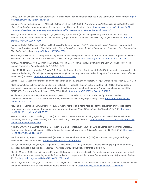Jiang, T. (2018). Clinical and Regulatory Overview of Naloxone Products Intended for Use in the Community. Retrieved from https:// www.fda.gov/media/121189/download

Jones, L., Pickering, L., Sumnall, H., McVeigh, J., Mark, A., & Bellis, M. (2008). *A review of the effectiveness and cost-effectiveness of needle and syringe programmes for injecting drug users.* Liverpool. Retrieved from https://www.nice.org.uk/guidance/ph18/ documents/needle-and-syringe-programmes-review-of-effectiveness-and-cost-effectiveness-full-report-2

Kerr, T., Small, W., Buchner, C., Zhang, R., Li, K., Montaner, J., & Wood, E. (2010). Syringe sharing and HIV incidence among injection drug users and increased access to sterile syringes. *American Journal of Public Health, 100*(8), 1449–1453. https://doi. org/10.2105/AJPH.2009.178467

Kilmer, B., Taylor, J., Caulkins, J., Mueller, P., Ober, A., Pardo, B., … Reuter, P. (2019). Considering Heroin-Assisted Treatment and Supervised Drug Consumption Sites in the United States. *Considering Heroin-Assisted Treatment and Supervised Drug Consumption Sites in the United States.* https://doi.org/10.7249/rr2693

Kral, A. H., & Davidson, P. J. (2017). Addressing the Nation's Opioid Epidemic: Lessons from an Unsanctioned Supervised Injection Site in the U.S. *American Journal of Preventive Medicine, 53*(6), 919–922. https://doi.org/10.1016/j.amepre.2017.06.010

Kwon, J., Anderson, J., Kerr, C., Thein, H., Zhang, L., Iversen, J., … Wilson, D. (2012). Estimating the Cost-Effectiveness of Needle-Syringe Programs in Australia. *AIDS, 26*(17), 2201–2210.

Latka, M. H., Hagan, H., Kapadia, F., Golub, E. T., Bonner, S., Campbell, J. V., … Strathdee, S. A. (2008). A randomized intervention trial to reduce the lending of used injection equipment among injection drug users infected with hepatitis C. *American Journal of Public Health, 98*(5), 853–861. https://doi.org/10.2105/AJPH.2007.113415

Laufer, F. (2001). Cost-effectiveness of syringe exchange as an HIV prevention strategy. *J Acquir Immune Defic Syndr, 28,* 273–278.

MacKesy-Amiti, M. E., Finnegan, L., Ouellet, L. J., Golub, E. T., Hagan, H., Hudson, S. M., … Garfein, R. S. (2013). Peer-education intervention to reduce injection risk behaviors benefits high-risk young injection drug users: A latent transition analysis of the CIDUS 3/DUIT study. *AIDS and Behavior, 17*(6), 2075–2083. https://doi.org/10.1007/s10461-012-0373-0

McClellan, C., Lambdin, B. H., Ali, M. M., Mutter, R., Davis, C. S., Wheeler, E., … Kral, A. H. (2018). Opioid-overdose laws association with opioid use and overdose mortality. *Addictive Behaviors, 86*(August 2017), 90–95. https://doi.org/10.1016/j. addbeh.2018.03.014

McDonald, R., Campbell, N. D., & Strang, J. (2017). Twenty years of take-home naloxone for the prevention of overdose deaths from heroin and other opioids—Conception and maturation. *Drug and Alcohol Dependence, 178*(March), 176–187. https://doi. org/10.1016/j.drugalcdep.2017.05.001

Meader, N., Li, R., Dc, D. J., & Pilling, S. (2010). Psychosocial interventions for reducing injection and sexual risk behaviour for preventing HIV in drug users (Review). *Cochrane Database Syst Rev,* (1), CD07192. https://doi.org/10.1002/14651858.CD007192. pub2.www.cochranelibrary.com

Nguyen, T. Q., Weir, B. W., Des Jarlais, D. C., Pinkerton, S. D., & Holtgrave, D. R. (2014). Syringe Exchange in the United States: A National Level Economic Evaluation of Hypothetical Increases in Investment. *AIDS and Behavior, 18*(11), 2144–2155. https://doi. org/10.1007/s10461-014-0789-9

North American Syringe Exchange Network (NASEN): A Dave Purchase Initiative. (2020). North American Syringe Exchange Network (NASEM) Location Map. Retrieved from https://nasen.org/map/

Oliver, K., Friedman, S., Maynard, H., Magnuson, L., & Des Jarlais, D. (1992). Impact of a needle exchange program on potentially infectious syringes in public places. *Journal of Acquired Immune Deficiency Syndrome, 5,* 534–535.

Platt, L., Minozzi, S., Reed, J., Vickerman, P., Hagan, H., French, C., … Hickman, M. (2017). Needle syringe programmes and opioid substitution therapy for preventing hepatitis C transmission in people who inject drugs. *Cochrane Database of Systematic Reviews, 2017*(9). https://doi.org/10.1002/14651858.CD012021.pub2

Rees, D. I., Sabia, J. J., Argys, L. M., Latshaw, J., & Dave, D. (2017). With a little help from my friends: The effects of naloxone access and good samaritan laws on opioid-related deaths. *NBER, Working Pa.* https://doi.org/10.1016/j.pulmoe.2019.05.008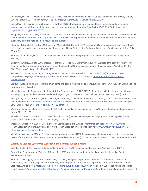Rosenberg, M., Chai, G., Mehta, S., & Schick, A. (2018). Trends and economic drivers for United States naloxone pricing, January 2006 to February 2017. Addict Behav, 86, 86–89. https://doi.org/10.1016/j.physbeh.2017.03.040

Sacks-Davis, R., Horyniak, D., Grebely, J., & Hellard, M. (2012). Behavioural interventions for preventing hepatitis C infection in people who inject drugs: A global systematic review. International Journal of Drug Policy, 23(3), 176-184. https://doi. org/10.1016/j.drugpo.2011.08.002

Sharpless, Norman E.. (2019). Statement on continued efforts to increase availability of all forms of naloxone to help reduce opioid overdose deaths. Retrieved from https://www.fda.gov/news-events/press-announcements/statement-continued-efforts-increaseavailability-all-forms-naloxone-help-reduce-opioid-overdose

Sherman, S., Morales, K., Park, J., McKenzie, M., Marshall, B., & Green, T. (2019). Acceptability of implementing community-based drug checking services for people who use drugs in three United States cities: Baltimore, Boston and Providence. Int J Drug Policy, 68, 46–53.

Strathdee, S., & Vlahov, D. (2001). The effectiveness of needle exchange programs: A review of the science and policy. AIDS Science, 1(1).

Sweeney, S., Ward, Z., Platt, L., Guinness, L., Hickman, M., Hope, V., … Vickerman, P. (2019). Evaluating the cost-effectiveness of existing needle and syringe programmes in preventing hepatitis C transmission in people who inject drugs. Addiction, 114(3), 560–570. https://doi.org/10.1111/add.14519

Teshale, E. H., Asher, A., Aslam, M. V., Augustine, R., Duncan, E., Rose-Wood, A., … Dietz, P. M. (2019). Estimated cost of comprehensive syringe service program in the United States. PLoS ONE, 14(4), 1–10. https://doi.org/10.1371/journal. pone.0216205

UNAIDS. (2016). Do no harm - Health, human rights and people who use drugs. Geneva, Switzerland: UNAIDS: Joint United Nations Programme on HIV/AIDS.

Vlahov, D., Junge, B., Brookmeyer, R., Cohn, S., Riley, E., Armenian, H., & Al, E. (1997). Reductions in high-risk drug use behaviors among participants in the Baltimore needle exchange program. J Acquir Immune Defic Syndr Hum Retrovirol, 16(5), 400.

Walley, A. Y., Xuan, Z., Hackman, H. H., Quinn, E., Doe-Simkins, M., Sorensen-Alawad, A., … Ozonoff, A. (2013). Opioid overdose rates and implementation of overdose education and nasal naloxone distribution in Massachusetts: Interrupted time series analysis. BMJ (Online), 346(7894). https://doi.org/10.1136/bmj.f174

Watters, J., Estilo, M., Clark, G., & Lorvick, J. (1994). Syringe and needle exchange as HIV/AIDS prevention for injection drug users. JAMA, 271, 115–120.

Wheeler, E., Jones, T. S., Gilbert, M. K., & Davidson, P. J. (2015). Opioid overdose prevention programs providing naloxone to laypersons -- United States, 2014. MMWR, 64(23), 631–635.

Wodak, A., & Cooney, A. (2004). Effectiveness of Sterile Needle and Syringe Programming in Reducing HIV/AIDS. World Health Organization. Geneva, Switzerland: World Health Organization. Retrieved from http://www.who.int/hiv/pub/prev\_care/ effectivenesssterileneedle.pdf?ua=1

Wodak, A., & Cooney, A. (2006). Do needle syringe programs reduce HIV infection among injecting drug users: A comprehensive review of the international evidence. Substance Use and Misuse, 41(6–7), 777–813. https://doi.org/10.1080/10826080600669579

#### *Chapter 4: Care for Opioid Use Disorder in the Criminal Justice System*

Belenko, S. et al. 2013. Treating Substance Use Disorders in the Criminal Justice System. Curr Psychiatry Rep. 15(11).

Boutwell, A. E., Nijhawan, A., Zaller, N., & Rich, J. D. (2007). Arrested on heroin: A national opportunity. Journal of Opioid Management, 3, 328-332;

Bronson, J., Stroop, J., Zimmer, S., & Berzofsky, M. (2017). Drug use, dependence, and abuse among state prisoners and jail inmates, 2007-2009. (Rep. No. NCJ #250546). Washington, DC: United States Department of Justice, Bureau of Justice Statistics. Available from https://www.bjs.gov/ content/pub/pdf/dudaspji0709.pdf. As cited in Substance Abuse and Mental Health Services Administration: Use of Medication-Assisted Treatment for Opioid Use Disorder in Criminal Justice Settings. HHS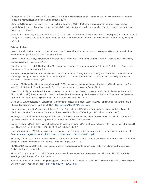Publication No. PEP19-MATUSECJS Rockville, MD: National Mental Health and Substance Use Policy Laboratory. Substance Abuse and Mental Health Services Administration, 2019.

Clark, C. B., Hendricks, P. S., Lane, P. S., Trent, L., & Cropsey, K. L. (2014). Methadone maintenance treatment may improve completion rates and delay opioid relapse for opioid dependent individuals under community corrections supervision. *Addictive Behaviors, 39,* 1736-1740

Clifasefi, S. L., Lonczak, H. S., Collins, S. E. (2017). Seattle's law enforcement assisted diversion (LEAD) program: Within-subjects changes on housing, employment, and income/benefits outcomes and associations with recidivism. *Crime & Delinquency, 63,* 429-445.

### **Criminal Justice**

Evans, EA et al., 2019, Criminal Justice Outcomes Over 5 Years After Randomization to Buprenorphine-Naloxone or Methadone Treatment for Opioid Use Disorder, *Addiction, Vol. 114*.

Farrell-Macdonald S et al., 2014, Impact of Methadone Maintenance Treatment on Women Offenders' Post-Release Recidivism, *European Addiction Research, Vol. 20.*

Farrell-Macdonald S et al., 2014, Impact of Methadone Maintenance Treatment on Women Offenders' Post-Release Recidivism, *European Addiction Research, Vol. 20.*

Friedmann, P. D., Hoskinson Jr, R., Gordon, M., Schwartz, R., Kinlock, T., Knight, K. et al. (2012). Medication-assisted treatment in criminal justice agencies affiliated with the criminal justice-drug abuse treatment studies (CJ-DATS): Availability, barriers, and intentions. *Substance Abuse, 33,* 9-18.

Gardner, T.M., Samuels, P.N., Nikolic, S., Woodworth, A.M., Fleshler, D. Health and Justice: Bridging The Gap. Lessons from New York State Initiatives to Provide Access to Care After Incarceration. *Legal Action Center, 2018.* 

Green, Traci & Clarke, Jennifer & Brinkley-Rubinstein, Lauren & Marshall, Brandon & Alexander-Scott, Nicole & Boss, Rebecca & Rich, Josiah. (2018). Postincarceration Fatal Overdoses After Implementing Medications for Addiction Treatment in a Statewide Correctional System. *JAMA Psychiatry. 75.* 10.1001/jamapsychiatry.2017.4614.

Guyer et al., State Strategies for Establishing Connections to Health Care for Justice-Involved Populations: The Central Role of Medicaid (Commonwealth Fund, Jan. 2019). https://doi.org/10.26099/cm62-tb94.

Jannetta, Jesse, Jane B. Wishner, and Rebecca Peters, "Ohio's Medicaid Prerelease Enrollment Program: Medicaid Areas of Flexibility to Provide Coverage and Care to Justice-Involved Populations" (Washington, DC: Urban Institute, 2017).

Krawczyk, N., C. E. Picher, K. A. Feder, and B. Saloner. 2017. Only one in twenty justice- referred adults in specialty treatment for opioid use receive methadone or buprenorphine. Health Affairs 36(12):2046–2053.

Lee JD, Friedmann PD, Kinlock TW, et al. Extended-Release Naltrexone to Prevent Opioid Relapse in Criminal Justice Offenders. N Engl J Med. 2016;374(13):1232–1242. doi:10.1056/NEJMoa1505409

Legal Action Center. (2011). Legality of denying access to medication assisted treatment in the criminal justice system. Available from https://lac. org/wp-content/uploads/2014/12/MAT\_Report\_ FINAL\_12-1-2011.pdf;

Marsden, J. et al. 2017. Does exposure to opioid substitution treatment in prison reduce the risk of death after release? A national prospective observational study in England. Addiction. 112(8):1408-1418.

McMillan G.P., Lapham S.C. 2005. Staff perspectives on methadone maintenance therapy (MMT) in a large southwestern jail. Addict Res Theory. 13:53–63.

Mumola, C. J. & Bonczar, T. P. (1998). Substance abuse and treatment of adults on probation, 1995. (Rep. No. NCJ 166611). Washington, DC: Bureau of Justice Statistics.

National Academies of Sciences, Engineering, and Medicine 2019. Medications for Opioid Use Disorder Save Lives. Washington, DC: The National Academies Press. https://doi.org/10.17226/25310.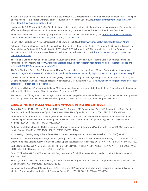National Institute on Drug Abuse; National Institutes of Health; U.S. Department of Health and Human Services. 2014. Principles of Drug Abuse Treatment for Criminal Justice Populations: A Research-Based Guide. https://d14rmgtrwzf5a.cloudfront.net/ sites/default/files/txcriminaliustice\_0.pdf

Nordstrom, B. R. & Marlowe, D. B. (2016). Medication- assisted treatment for opioid use disorders in drug courts: Ensuring the safe, effective, and responsible use of addiction medications for drug court participants. Drug Court Practitioner Fact Sheet, 11.

President's Commission on Combating Drug Addiction and the Opioid Crisis: Final Report, 2017, https://www.whitehouse.gov/ sites/whitehouse.gov/files/images/Final\_Report\_Draft\_11-15-2017.pdf

Prison Policy Institute, 2019. Mass Incarceration: The Whole Pie 2019. https://www.prisonpolicy.org/reports/pie2019.html

Substance Abuse and Mental Health Services Administration: Use of Medication-Assisted Treatment for Opioid Use Disorder in Criminal Justice Settings. HHS Publication No. PEP19-MATUSECJS Rockville, MD: National Mental Health and Substance Use Policy Laboratory. Substance Abuse and Mental Health Services Administration, 2019. https://store.samhsa.gov/system/files/ pep19-matusecjs.pdf.

The National Center on Addiction and Substance Abuse at Columbia University, 2010. Behind Bars II: Substance Abuse and America's Prison Problem, https://www.centeronaddiction.org/addiction-research/reports/behind-bars-ii-substance-abuse-andamerica%E2%80%99s-prison-populationhttp%3A

The Pew Charitable Trusts, 2018. Probation and Parole Systems Marked by High Stakes, Missed Opportunities. https://www. pewtrusts.org/-/media/assets/2018/09/probation\_and\_parole\_systems\_marked\_by\_high\_stakes\_missed\_opportunities\_pew.pdf

U.S. Department of Health and Human Services (HHS), Office of the Surgeon General, Facing Addiction in America: The Surgeon General's Report on Alcohol, Drugs, and Health. Washington, DC: HHS, November 2016. https://addiction.surgeongeneral.gov/sites/ default/files/surgeon-generals-report.pdf.

Westerberg, VS et al., 2016, Community-Based Methadone Maintenance in a Large Detention Center is Associated with Decreases in Inmate Recidivism, Journal of Substance Abuse Treatment, Vol. 70;

Winkelman, T. N., Chang, V. W., & Binswanger, I.A. (2018). Health, polysubstance use, and criminal justice involvement among adults with varying levels of opioid use. JAMA Network Open, 1, e180558. doi: 10.1001/jamanetworkopen.2018.0558

# *Chapter 5: Prevention of Opioid Misuse and its Harmful Effects on Children and Families*

Agarwal S, Bryan JD, Hu HM, Lee JS, Chua KP, Haffajee RL, Brummett CM, Englesbe MJ, Waljee JF. Association of State Opioid Duration Limits With Postoperative Opioid Prescribing. JAMA Netw Open. 2019;2(12):e1918361. PMCID: PMC6991309.

Anda RF, Felitti VJ, Bremner JD, Walker JD, Whitfield C, Perry BD, Dube SR, Giles WH. The enduring effects of abuse and related adverse experiences in childhood. A convergence of evidence from neurobiology and epidemiology. Eur Arch Psychiatry Clin Neurosci. 2006;256(3):174-86. PMCID: PMC3232061.

Anderson D, Zlateva I, Davis B, Bifulco L, Giannotti T, Coman E, Spegman D. Improving Pain Care with Project ECHO in Community Health Centers. Pain Med. 2017;18(10):1882-9. PMCID: PMC5914304.

Azzi-Lessing L. Serving highly vulnerable families in home-visitation programs. Infant Ment Health J. 2013;34(5):376-90.

Barnett ML, Olenski AR, Thygeson NM, Ishisaka D, Wong S, Jena AB, Mehrotra A. A Health Plan's Formulary Led To Reduced Use Of Extended-Release Opioids But Did Not Lower Overall Opioid Use. Health Aff (Millwood). 2018;37(9):1509-16. PMCID: PMC6407123.

Bartle-Haring S, Slesnick N, Murnan A. BENEFITS TO CHILDREN WHO PARTICIPATE IN FAMILY THERAPY WITH THEIR SUBSTANCE-USING MOTHER. J Marital Fam Ther. 2018;44(4):671-86.

Bono KE, Sheinberg N, Scott KG, Claussen AH. Early intervention for children prenatally exposed to cocaine. Infants Young Child. 2007;20(1):26-37.

Brook J, Akin BA, Lloyd MH, Johnson-Motoyama M, Yan Y. Family Drug Treatment Courts As Comprehensive Service Models: Cost Considerations. Juv Fam Court J. 2016;67(3):23-43.

Buchmueller, Thomas C., and Colleen Carey. 2018. "The Effect of Prescription Drug Monitoring Programs on Opioid Utilization in Medicare." American Economic Journal: Economic Policy, 10 (1): 77-112.DOI: 10.1257/pol.20160094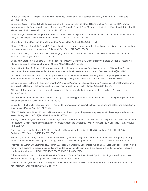Burrus SW, Mackin JR, Finigan MW. Show me the money: Child welfare cost savings of a family drug court. Juv Fam Court J. 2011;62(3):1-14.

Burwick A, Zaveri H, Shang L, Boller K, Daro D, Strong DA. Costs of Early Childhood Home Visiting: An Analysis of Programs Implemented in the Supporting Evidence-Based Home Visiting to Prevent Child Maltreatment Initiative - Final Report. Princeton, NJ: Mathematica Policy Research, 2014 Contract No.: 40110.

Catalano RF, Gainey RR, Fleming CB, Haggerty KP, Johnson NO. An experimental intervention with families of substance abusers: one-year follow-up of the focus on families project. Addiction. 1999;94(2):241-54.

Choi S. Family Drug Courts in Child Welfare. Child Adolesc Soc Work J. 2012;29(6):447-61.

Chuang E, Moore K, Barrett B, Young MS. Effect of an integrated family dependency treatment court on child welfare reunification, time to permanency and re-entry rates. Child Youth Serv Rev. 2012;34(9):1896-902.

Cicero TJ, Ellis MS, Surratt HL, Kurtz SP. The changing face of heroin use in the United States: a retrospective analysis of the past 50 years. JAMA Psychiatry. 2014;71(7):821-6.

Danovich D, Greenstein J, Chacko J, Hahn B, Ardolic B, Ilyaguyev B, Berwald N. Effect of New York State Electronic Prescribing Mandate on Opioid Prescribing Patterns. J Emerg Med. 2019;57(2):156-61.

Dauber S, Neighbors C, Dasaro C, Riordan A, Morgenstern J. Impact of Intensive Case Management on Child Welfare System Involvement for Substance-Dependent Parenting Women on Public Assistance. Child Youth Serv Rev. 2012;34(7):1359-66.

Devlin LA, Lau T, Radmacher PG. Decreasing Total Medication Exposure and Length of Stay While Completing Withdrawal for Neonatal Abstinence Syndrome during the Neonatal Hospital Stay. Front Pediatr. 2017;5:216. PMCID: PMC5641300.

Dickes L, Summey J, Mayo R, Hudson J, Sherrill WW, Chen L. Potential for Medicaid Savings: A State and National Comparison of an Innovative Neonatal Abstinence Syndrome Treatment Model. Popul Health Manag. 2017;20(6):458-64.

Dillender M. The impact of a closed formulary on prescribing patterns in the treatment of injured workers. Economic Letters. 2016;145:88-91.

Dillender M. What happens when the insurer can say no? Assessing prior authorization as a tool to prevent high-risk prescriptions and to lower costs. J Public Econ. 2018;165:170-200.

Dubowitz H. The Safe Environment for Every Kid model: promotion of children's health, development, and safety, and prevention of child neglect. Pediatr Ann. 2014;43(11):e271-7.

Elder JW, DePalma G, Pines JM. Optimal implementation of prescription drug monitoring programs in the emergency department. West J Emerg Med. 2018;19(2):387-91. PMCID: 29560070.

Faherty LJ, Kranz AM, Russell-Fritch J, Patrick SW, Cantor J, Stein BD. Association of Punitive and Reporting State Policies Related to Substance Use in Pregnancy With Rates of Neonatal Abstinence Syndrome. JAMA Netw Open. 2019;2(11):e1914078. PMCID: PMC6902764.

Feder KA, Letourneau EJ, Brook J. Children in the Opioid Epidemic: Addressing the Next Generation's Public Health Crisis. Pediatrics. 2019;143(1). PMCID: PMC6317647.

Fenton JJ, Agnoli AL, Xing G, Hang L, Altan AE, Tancredi DJ, Jerant A, Magnan E. Trends and Rapidity of Dose Tapering Among Patients Prescribed Long-term Opioid Therapy, 2008-2017. JAMA Netw Open. 2019;2(11):e1916271. PMCID: PMC6902834.

Freeman PR, Curran GM, Drummond KL, Martin BC, Teeter BS, Bradley K, Schoenberg N, Edlund MJ. Utilization of prescription drug monitoring programs for prescribing and dispensing decisions: Results from a multi-site qualitative study. Research in social & administrative pharmacy : RSAP. 2019;15(6):754-60. PMCID: PMC6417986.

Fulton-Kehoe D, Sullivan MD, Turner JA, Garg RK, Bauer AM, Wickizer TM, Franklin GM. Opioid poisonings in Washington State Medicaid: trends, dosing, and guidelines. Med Care. 2015;53(8):679-85.

Green BL, Furrer C, Worcel S, Burrus S, Finigan MW. How effective are family treatment drug courts? Outcomes from a four-site national study. Child Maltreat. 2007;12(1):43-59.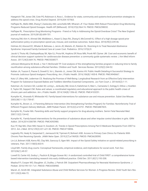Haegerich TM, Jones CM, Cote PO, Robinson A, Ross L. Evidence for state, community and systems-level prevention strategies to address the opioid crisis. Drug Alcohol Depend. 2019;204:107563.

Haffajee RL, Mello MM, Zhang F, Zaslavsky AM, Larochelle MR, Wharam JF. Four States With Robust Prescription Drug Monitoring Programs Reduced Opioid Dosages. Health Aff (Millwood). 2018;37(6):964-74. PMCID: PMC6298032.

Haffajee RL. Prescription Drug Monitoring Programs - Friend or Folly in Addressing the Opioid-Overdose Crisis? The New England journal of medicine. 2019;381(8):699-701.

Hartung DM, Kim H, Ahmed SM, Middleton L, Keast S, Deyo RA, Zhang K, McConnell KJ. Effect of a high dosage opioid prior authorization policy on prescription opioid use, misuse, and overdose outcomes. Subst Abus. 2018;39(2):239-46.

Holmes AV, Atwood EC, Whalen B, Beliveau J, Jarvis JD, Matulis JC, Ralston SL. Rooming-In to Treat Neonatal Abstinence Syndrome: Improved Family-Centered Care at Lower Cost. Pediatrics. 2016;137(6):9.

Jacob V, Thota AB, Chattopadhyay SK, Njie GJ, Proia KK, Hopkins DP, Ross MN, Pronk NP, Clymer JM. Cost and economic benefit of clinical decision support systems for cardiovascular disease prevention: a community guide systematic review. J Am Med Inform Assoc. 2017;24(3):669-76. PMCID: PMC5538577.

Johnson-Motoyama M, Brook J, Yan Y, McDonald TP. Cost analysis of the strengthening families program in reducing time to family reunification among substance-affected families. Children and Youth Services Review. 2013;35(2):244-52.

Kattan JA, Tuazon E, Paone D, Dowell D, Vo L, Starrels JL, Jones CM, Kunins HV. Public Health Detailing-A Successful Strategy to Promote Judicious Opioid Analgesic Prescribing. Am J Public Health. 2016;106(8):1430-8. PMCID: PMC4940667.

Katz LF, Ullery MA, Lederman CS. Realizing the Promise of Well-Being: Longitudinal Research from an Effective Early Intervention Program for Substance Exposed Babies and Toddlers Identifies Essential Components. Juv Fam Court J. 2014;65(2):1-11.

Katzman JG, Comerci GD, Landen M, Loring L, Jenkusky SM, Arora S, Kalishman S, Marr L, Camarata C, Duhigg D, Dillow J, Koshkin E, Taylor DE, Geppert CM. Rules and values: a coordinated regulatory and educational approach to the public health crises of chronic pain and addiction. Am J Public Health. 2014;104(8):1356-62. PMCID: PMC4103251.

Kumpfer KL, Alvarado R, Whiteside HO. Family-based interventions for substance use and misuse prevention. Subst Use Misuse. 2003;38(11-13):1759-87.

Kumpfer KL, Brown JL. A Parenting Behavior Intervention (the Strengthening Families Program) for Families: Noninferiority Trial of Different Program Delivery Methods. JMIR Pediatr Parent. 2019;2(2):e14751. PMCID: PMC6887825.

Kumpfer KL, Fowler MA. Parenting skills and family support programs for drug-abusing mothers. Semin Fetal Neonatal Med. 2007;12(2):134-42.

Kumpfer KL. Family-based interventions for the prevention of substance abuse and other impulse control disorders in girls. ISRN Addict. 2014;2014:308789. PMCID: PMC4392980.

Kuo YF, Raji MA, Chen NW, Hasan H, Goodwin JS. Trends in Opioid Prescriptions Among Part D Medicare Recipients From 2007 to 2012. Am J Med. 2016;129(2):221 e21-30. PMCID: PMC4718856.

Lagisetty PA, Healy N, Garpestad C, Jannausch M, Tipirneni R, Bohnert ASB. Access to Primary Care Clinics for Patients With Chronic Pain Receiving Opioids. JAMA Netw Open. 2019;2(7):e196928. PMCID: PMC6628590.

Lin LA, Bohnert ASB, Kerns RD, Clay MA, Ganoczy D, Ilgen MA. Impact of the Opioid Safety Initiative on opioid-related prescribing in veterans. Pain. 2017;158(5):833-9.

Lloyd MH. Family drug courts: Conceptual frameworks, empirical evidence, and implications for social work. Fam Soc. 2015;96(1):49-57.

Lowell DI, Carter AS, Godoy L, Paulicin B, Briggs-Gowan MJ. A randomized controlled trial of Child FIRST: a comprehensive homebased intervention translating research into early childhood practice. Child Dev. 2011;82(1):193-208.

Maalouf FI, Cooper WO, Slaughter JC, Dudley J, Patrick SW. Outpatient Pharmacotherapy for Neonatal Abstinence Syndrome. J Pediatr. 2018;199:151-7 e1. PMCID: PMC6558980.

Marsh JC, Smith BD. Integrated Substance Abuse and Child Welfare Services for Women: A Progress Review. Child Youth Serv Rev. 2011;33(3):466-72.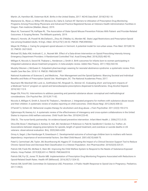Martin JA, Hamilton BE, Osterman MJK. Births in the United States, 2017. NCHS Data Brief. 2018(318):1-8.

Mastarone GL, Wyse JJ, Wilbur ER, Morasco BJ, Saha S, Carlson KF. Barriers to Utilization of Prescription Drug Monitoring Programs Among Prescribing Physicians and Advanced Practice Registered Nurses at Veterans Health Administration Facilities in Oregon. Pain medicine (Malden, Mass). 2019.

Mauri AI, Townsend TN, Haffajee RL. The Association of State Opioid Misuse Prevention Policies With Patient- and Provider-Related Outcomes: A Scoping Review. The Milbank quarterly. 2019.

Meara E, Horwitz JR, Powell W, McClelland L, Zhou W, O'Malley AJ, Morden NE. State Legal Restrictions and Prescription-Opioid Use among Disabled Adults. N Engl J Med. 2016;375(1):44-53. PMCID: PMC4985562.

Meyer M, Phillips J. Caring for pregnant opioid abusers in Vermont: A potential model for non-urban areas. Prev Med. 2015;80:18- 22. PMCID: 26212632.

Michael SS, Babu KM, Androski C, Jr., Reznek MA. Effect of a Data-driven Intervention on Opioid Prescribing Intensity Among Emergency Department Providers: A Randomized Controlled Trial. Acad Emerg Med. 2018;25(5):482-93.

Milligan K, Niccols A, Sword W, Thabane L, Henderson J, Smith A. Birth outcomes for infants born to women participating in integrated substance abuse treatment programs: A meta-analytic review. Addict Res Theory. 2011;19(6):542-55.

Murphy-Oikonen J, McQueen K. Outpatient pharmacologic weaning for neonatal abstinence syndrome: a systematic review. Prim Health Care Res Dev. 2018:1-9. PMCID: PMC6567897.

National Academies of Sciences E, and Medicine, . Pain Management and the Opioid Epidemic: Blancing Societal and Individual Benefits and Risks of Prescription Opioid Use. Washington, DC: The National Academies Press; 2017.

Naumann RB, Marshall SW, Lund JL, Gottfredson NC, Ringwalt CL, Skinner AC. Evaluating short- and long-term impacts of a Medicaid "lock-in" program on opioid and benzodiazepine prescriptions dispensed to beneficiaries. Drug Alcohol Depend. 2018;182:112-9.

Neger EN, Prinz RJ. Interventions to address parenting and parental substance abuse: conceptual and methodological considerations. Clin Psychol Rev. 2015;39:71-82.

Niccols A, Milligan K, Smith A, Sword W, Thabane L, Henderson J. Integrated programs for mothers with substance abuse issues and their children: A systematic review of studies reporting on child outcomes. Child Abuse Negl. 2012;36(4):308-22.

O'Farrell TJ, Schein AZ. Behavioral couples therapy for alcoholism and drug abuse. J Fam Psychother. 2011;22(3):193-215.

Ogbonnaya IN, Keeney AJ. A systematic review of the effectiveness of interagency and cross-system collaborations in the United States to improve child welfare outcomes. Child Youth Serv Rev. 2018;94:225-45.

Olds DL. The nurse-family partnership: An evidence-based preventive intervention. Infant Ment Health J. 2006;27(1):5-25.

Oliva EM, Bowe T, Manhapra A, Kertesz S, Hah JM, Henderson P, Robinson A, Paik M, Sandbrink F, Gordon AJ, Trafton JA. Associations between stopping prescriptions for opioids, length of opioid treatment, and overdose or suicide deaths in US veterans: observational evaluation. Bmj. 2020;368:m283.

Ornoy A, Segal J, Bar-Hamburger R, Greenbaum C. Developmental outcome of school-age children born to mothers with heroin dependency: importance of environmental factors. Dev Med Child Neurol. 2001;43(10):668-75.

Patel S, Carmichael JM, Taylor JM, Bounthavong M, Higgins DT. Evaluating the Impact of a Clinical Decision Support Tool to Reduce Chronic Opioid Dose and Decrease Risk Classification in a Veteran Population. Ann Pharmacother. 2018;52(4):325-31.

Patrick SW, Frank RG, McNeer E, Stein BD. Improving the Child Welfare System to Respond to the Needs of Substance-Exposed Infants. Hosp Pediatr. 2019;9(8):651-4. PMCID: PMC6663518.

Patrick SW, Fry CE, Jones TF, Buntin MB. Implementation of Prescription Drug Monitoring Programs Associated with Reductions in Opioid-Related Death Rates. Health Aff (Millwood). 2016;35(7):1324-32.

Patrick SW, Schiff DM, Committee On Substance USE, Prevention. A Public Health Response to Opioid Use in Pregnancy. Pediatrics. 2017;139(3).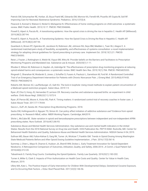Patrick SW, Schumacher RE, Horbar JD, Buus-Frank ME, Edwards EM, Morrow KA, Ferrelli KR, Picarillo AP, Gupta M, Soll RF. Improving Care for Neonatal Abstinence Syndrome. Pediatrics. 2016;137(5):8.

Peacock S, Konrad S, Watson E, Nickel D, Muhajarine N. Effectiveness of home visiting programs on child outcomes: a systematic review. BMC Public Health. 2013;13:17. PMCID: PMC3546846.

Powell D, Alpert A, Pacula RL. A transitioning epidemic: How the opioid crisis is driving the rise in hepatitis C. Health Aff (Millwood). 2019;38(3):287-94.

Powell D, Alpert A, Pacula RL. A Transitioning Epidemic: How the Opioid Crisis is Driving the Rise in Hepatitis C. Health Aff (Millwood). 2019;38(2):287-94.

Quanbeck A, Brown RT, Zgierska AE, Jacobson N, Robinson JM, Johnson RA, Deyo BM, Madden L, Tuan WJ, Alagoz E. A randomized matched-pairs study of feasibility, acceptability, and effectiveness of systems consultation: a novel implementation strategy for adopting clinical guidelines for Opioid prescribing in primary care. Implement Sci. 2018;13(1):21. PMCID: PMC5784593.

Reist J, Frazier J, Rottingham A, Welsh M, Viyyuri BR, Witry M. Provider beliefs on the Barriers and Facilitators to Prescription Monitoring Programs and Mandated Use. Substance use & misuse. 2020;55(1):1-11.

Rhodes E, Wilson M, Robinson A, Hayden JA, Asbridge M. The effectiveness of prescription drug monitoring programs at reducing opioid-related harms and consequences: a systematic review. BMC Health Serv Res. 2019;19(1):784. PMCID: PMC6825333.

Ringwalt C, Shanahan M, Wodarski S, Jones J, Schaffer D, Fusaro A, Paulozzi L, Garrettson M, Ford M. A Randomized Controlled Trial of an Emergency Department Intervention for Patients with Chronic Noncancer Pain. J Emerg Med. 2015;49(6):974-83. PMCID: PMC6684210.

Roberts AW, Skinner AC, Lauffenburger JC, Galt KA. The lock-in loophole: Using mixed methods to explain patient circumvention of a Medicaid opioid restriction program. Subst Abus. 2019:1-9.

Ryan JP, Choi S, Hong JS, Hernandez P, Larrison CR. Recovery coaches and substance exposed births: an experiment in child welfare. Child Abuse Negl. 2008;32(11):1072-9.

Ryan JP, Perron BE, Moore A, Victor BG, Park K. Timing matters: A randomized control trial of recovery coaches in foster care. J Subst Abuse Treat. 2017;77:178-84.

Sacco L, Duff JH, Sarata AK. Prescription Drug Monitoring Programs. 2018.

Sacks DW, Hollingsworth A, Nguyen TD, Simon KI. Can policy affect initiation of addictive substance use? Evidence from opioid prescribing. In: Research NBoE, editor. NBER Working Papers. Cambridge, MA2019.

Shirle L, McCabe BE. State variation in opioid and benzodiazepine prescriptions between independent and non-independent APRN prescribing states. Nurs Outlook. 2016;64(1):86-93.

Substance Abuse and Mental Health Services Administration. Key substance use and mental health indicators in the United States: Results from the 2018 National Survey on Drug Use and Health. HHS Publication No. PEP19-5068. Rockville, MD: Center for Behavioral Health Statistics and Quality, Substance Abuse and Mental Health Services Administration. NSDUH Series H-54, 2019.

Sullivan MD, Bauer AM, Fulton-Kehoe D, Garg RK, Turner JA, Wickizer T, Franklin GM. Trends in Opioid Dosing Among Washington State Medicaid Patients Before and After Opioid Dosing Guideline Implementation. J Pain. 2016;17(5):561-8.

Summey J, Chen L, Mayo R, Charron E, Hudson JA, Sherrill WW, Dickes L. Early Treatment Innovation for Opioid-Dependent Newborns: A Retrospective Comparison of Outcomes, Utilization, Quality, and Safety, 2006-2014. Jt Comm J Qual Patient Saf. 2018;44(6):312-20.

Tabashneck S. Family Drug Courts: Combatting the Opioid Epidemic. Family Law Quarterly. 2018;52(1):183-202.

Turner A, Miller G, Clark S. Impacts of Prior Authorization on Health Care Costs and Quality. Center for Value in Health Care, Altarum, 2019.

Ullery MA, Katz L. The Positive Impact of Early Intervention for Children With Developmental Delays, Gestational Cocaine Exposure, and Co-Occurring Risk Factors. J Educ Stud Placed Risk. 2017;22(3):146-56.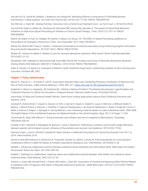Van der Put CE, Assink M, Gubbels J, Boekhout van Solinge NF. Identifying Effective Components of Child Maltreatment Interventions: A Meta-analysis. Clin Child Fam Psychol Rev. 2018;21(2):171-202. PMCID: PMC5899109.

Van Wormer J, Hsieh ML. Healing Families: Outcomes from a Family Drug Treatment Court. Juv Fam Court J. 2016;67(2):49-65.

Von Korff M, Dublin S, Walker RL, Parchman M, Shortreed SM, Hansen RN, Saunders K. The Impact of Opioid Risk Reduction Initiatives on High-Dose Opioid Prescribing for Patients on Chronic Opioid Therapy. J Pain. 2016;17(1):101-10. PMCID: PMC4698093.

Weiner SG, Baker O, Poon SJ, Rodgers AF, Garner C, Nelson LS, Schuur JD. The Effect of Opioid Prescribing Guidelines on Prescriptions by Emergency Physicians in Ohio. Ann Emerg Med. 2017;70(6):799-808 e1.

Weiner SG, Sherritt KM, Tseng Z, Tripathi J. Advanced visualizations to interpret prescription drug monitoring program information. Drug and alcohol dependence. 2019;201:260-5. PMCID: PMC6737934.

Whalen BL, Holmes AV, Blythe S. Models of care for neonatal abstinence syndrome: What works? Semin Fetal Neonatal Med. 2019;24(2):121-32.

Winkelman TNA, Villapiano N, Kozhimannil KB, Davis MM, Patrick SW. Incidence and Costs of Neonatal Abstinence Syndrome Among Infants With Medicaid: 2004-2014. Pediatrics. 2018;141(4). PMCID: PMC5869343.

Zeller D, Hornby H, Ferguson A. Evaluation of Maine's Family Treatment Drug Courts: A preliminary analysis of short and long-term outcomes. Portland, ME: 2007.

# *Chapter 7: Policy Infrastructure*

Abouk, R., Pacula, R. L., & Powell, D. (2019). Association between State Laws Facilitating Pharmacy Distribution of Naloxone and Risk of Fatal Overdose. JAMA Internal Medicine, 179(6), 805–811. https://doi.org/10.1001/jamainternmed.2019.0272

Angelotta C, Weiss CJ, Angelotta JW, Friedman RA. A Moral or Medical Problem? The Relationship between Legal Penalties and Treatment Practices for Opioid Use Disorders in Pregnant Women. Womens Health Issues. 2016;26(6):595-601.

Association of State and Territorial Health Officials. State Home Visiting Approaches Improve Early Childhood Outcomes and Systems. 2018.

Cantwell R, Clutton-Brock T, Cooper G, Dawson A, Drife J, Garrod D, Harper A, Hulbert D, Lucas S, McClure J, Millward-Sadler H, Neilson J, Nelson-Piercy C, Norman J, O'Herlihy C, Oates M, Shakespeare J, de Swiet M, Williamson C, Beale V, Knight M, Lennox C, Miller A, Parmar D, Rogers J, Springett A. Saving Mothers' Lives: Reviewing maternal deaths to make motherhood safer: 2006-2008. The Eighth Report of the Confidential Enquiries into Maternal Deaths in the United Kingdom. Bjog. 2011;118 Suppl 1:1-203.

Carmichael SL, Shaw GM, Nelson V. Timing of prenatal care initiation and risk of congenital malformations. Teratology. 2002;66(6):326-30.

Castello A, Rio I, Martinez E, Rebagliato M, Barona C, Llacer A, Bolumar F. Differences in preterm and low birth weight deliveries between spanish and immigrant women: influence of the prenatal care received. Ann Epidemiol. 2012;22(3):175-82.

Clemans-Cope L, Lynch V, Winiski E, Epstein M. State Variation in Medicaid Prescriptions for Opioid Use Disorder from 2011 to 2018. Urban Institute, 2019.

Dennis K, Rodi MS, Robinson G, DeCerchio K, Young NK, Gardner SL, Stedt E, Corona M. Promising Results for Cross-Systems Collaborative Efforts to Meet the Needs of Families Impacted by Substance Use. Child Welfare. 2015;94(5):21-43.

Drabble L. Advancing collaborative practice between substance abuse treatment and child welfare fields: What helps and hinders the process? Admin Soc Work. 2011;35(1):88-106.

Drabble L. Pathways to collaboration: exploring values and collaborative practice between child welfare and substance abuse treatment fields. Child Maltreat. 2007;12(1):31-42.

Faherty LJ, Kranz AM, Russell-Fritch J, Patrick SW, Cantor J, Stein BD. Association of Punitive and Reporting State Policies Related to Substance Use in Pregnancy With Rates of Neonatal Abstinence Syndrome. JAMA Netw Open. 2019;2(11):e1914078. PMCID: PMC6902764.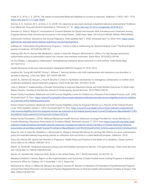Frank, R. G., & Fry, C. E. (2019). The impact of expanded Medicaid eligibility on access to naloxone. Addiction, 114(9), 1567–1574. https://doi.org/10.1111/add.14634

Gertner, A. K., Domino, M. E., & Davis, C. S. (2018). Do naloxone access laws increase outpatient naloxone prescriptions? Evidence from Medicaid. Drug and Alcohol Dependence, 190(June), 37–41. https://doi.org/10.1016/j.drugalcdep.2018.05.014

Gressler LE, Shah S, Shaya FT. Association of Criminal Statutes for Opioid Use Disorder With Prevalence and Treatment Among Pregnant Women With Commercial Insurance in the United States. JAMA Netw Open. 2019;2(3):e190338. PMCID: PMC6484651.

Guttmacher Institute. Substance Use During Pregnancy. 2020 updated April 1, 2020; Accessed April 14, 2020, from: https://www. guttmacher.org/state-policy/explore/substance-use-during-pregnancy.

Haffajee RL. Prescription Drug Monitoring Programs - Friend or Folly in Addressing the Opioid-Overdose Crisis? The New England journal of medicine. 2019;381(8):699-701.

Hartung DM, Kim H, Ahmed SM, Middleton L, Keast S, Deyo RA, Zhang K, McConnell KJ. Effect of a high dosage opioid prior authorization policy on prescription opioid use, misuse, and overdose outcomes. Subst Abus. 2018;39(2):239-46.

He AS, Phillips J. Interagency collaboration: Strengthening substance abuse resources in child welfare. Child Abuse Negl. 2017;64:101-8.

Health Resources & Services Administration. Maryland's MIECHV Program FY 2019. 2019.

Huebner RA, Young NK, Hall MT, Posze L, Willauer T. Serving families with child maltreatment and substance use disorders: A decade of learning. J Fam Soc Work. 2017;20(4):288-305.

Iachini AL, DeHart DD, McLeer J, Hock R, Browne T, Clone S. Facilitators and barriers to interagency collaboration in mother-child residential substance abuse treatment programs. Child Youth Serv Rev. 2015;53:176-84.

Jose A, Wetzler S. Implementing a Provider Partnership to Improve Substance Abuse and Child Welfare Outcomes in Urban High-Needs Parents. Families in Society-the Journal of Contemporary Social Services. 2019;100(3):328-35.

Kaiser Family Foundation. Medicaid and CHIP Income Eligibility Limits for Children as a Percent of the Federal Poverty Level. 2020; Accessed April 12, from: https://www.kff.org/health-reform/state-indicator/medicaid-and-chip-income-eligibility-limits-for-childrenas-a-percent-of-the-federal-poverty-level/.

Kaiser Family Foundation. Medicaid and CHIP Income Eligibility Limits for Pregnant Women as a Percent of the Federal Poverty Level. 2020 updated January 1, 2020; Accessed April 12, from: https://www.kff.org/health-reform/state-indicator/medicaid-andchip-income-eligibility-limits-for-pregnant-women-as-a-percent-of-the-federal-poverty-level/?currentTimeframe=0&sortModel=%7B% 22colId%22:%22Location%22,%22sort%22:%22asc%22%7D.

Kaiser Family Foundation. (2018). Medicaid Behavioral Health Services: Naloxone Coverage Provided for Family Members or Friends Obtaining a Naloxone Prescription on Enrollee's Behalf. Retrieved January 17, 2019, from https://www.kff.org/other/stateindicator/medicaid-behavioral-health-services-naloxone-coverage-provided-for-family-members-or-friends-obtaining-naloxoneprescription-on-enrollees-behalf/?currentTimeframe=0&sortModel=%257B%2522colId%2522:%2522Location%2522,%2522sort%25

Keast SL, Kim H, Deyo RA, Middleton L, McConnell KJ, Zhang K, Ahmed SM, Nesser N, Hartung DM. Effects of a prior authorization policy for extended-release/long-acting opioids on utilization and outcomes in a state Medicaid program. Addiction. 2018.

Krans EE, Patrick SW. Opioid Use Disorder in Pregnancy: Health Policy and Practice in the Midst of an Epidemic. Obstet Gynecol. 2016;128(1):4-10. PMCID: PMC4917415.

Marsh JC, Smith BD. Integrated Substance Abuse and Child Welfare Services for Women: A Progress Review. Child Youth Serv Rev. 2011;33(3):466-72. PMCID: PMC3076740.

Martin JA, Hamilton BE, Osterman MJK. Births in the United States, 2017. NCHS Data Brief. 2018(318):1-8.

Maryland Children's Cabinet. Report on the Implementation and Outcomes of State-Funded Home Visiting Programs in Maryland. Governor's Office for Children, 2017 December 1, 2017. Report No.

Mastarone GL, Wyse JJ, Wilbur ER, Morasco BJ, Saha S, Carlson KF. Barriers to Utilization of Prescription Drug Monitoring Programs Among Prescribing Physicians and Advanced Practice Registered Nurses at Veterans Health Administration Facilities in Oregon. Pain Med. 2020;21(4):695-703.